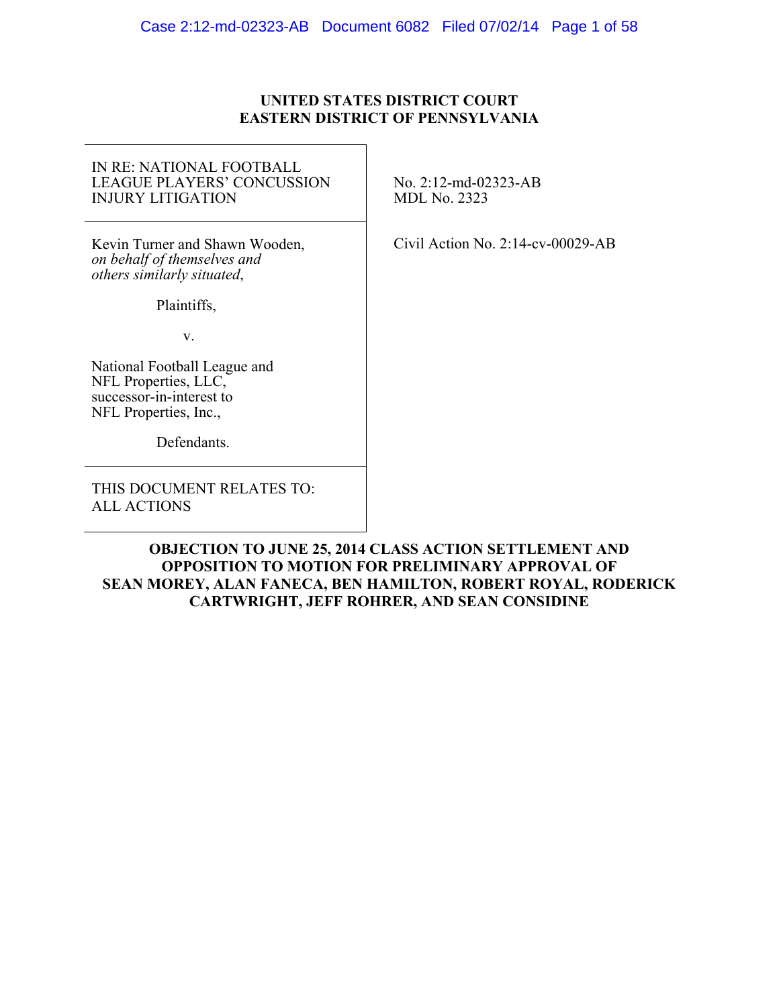### **UNITED STATES DISTRICT COURT EASTERN DISTRICT OF PENNSYLVANIA**

#### IN RE: NATIONAL FOOTBALL LEAGUE PLAYERS' CONCUSSION INJURY LITIGATION

Kevin Turner and Shawn Wooden, *on behalf of themselves and others similarly situated*,

Plaintiffs,

v.

National Football League and NFL Properties, LLC, successor-in-interest to NFL Properties, Inc.,

Defendants.

THIS DOCUMENT RELATES TO: ALL ACTIONS

No. 2:12-md-02323-AB MDL No. 2323

Civil Action No. 2:14-cv-00029-AB

# **OBJECTION TO JUNE 25, 2014 CLASS ACTION SETTLEMENT AND OPPOSITION TO MOTION FOR PRELIMINARY APPROVAL OF SEAN MOREY, ALAN FANECA, BEN HAMILTON, ROBERT ROYAL, RODERICK CARTWRIGHT, JEFF ROHRER, AND SEAN CONSIDINE**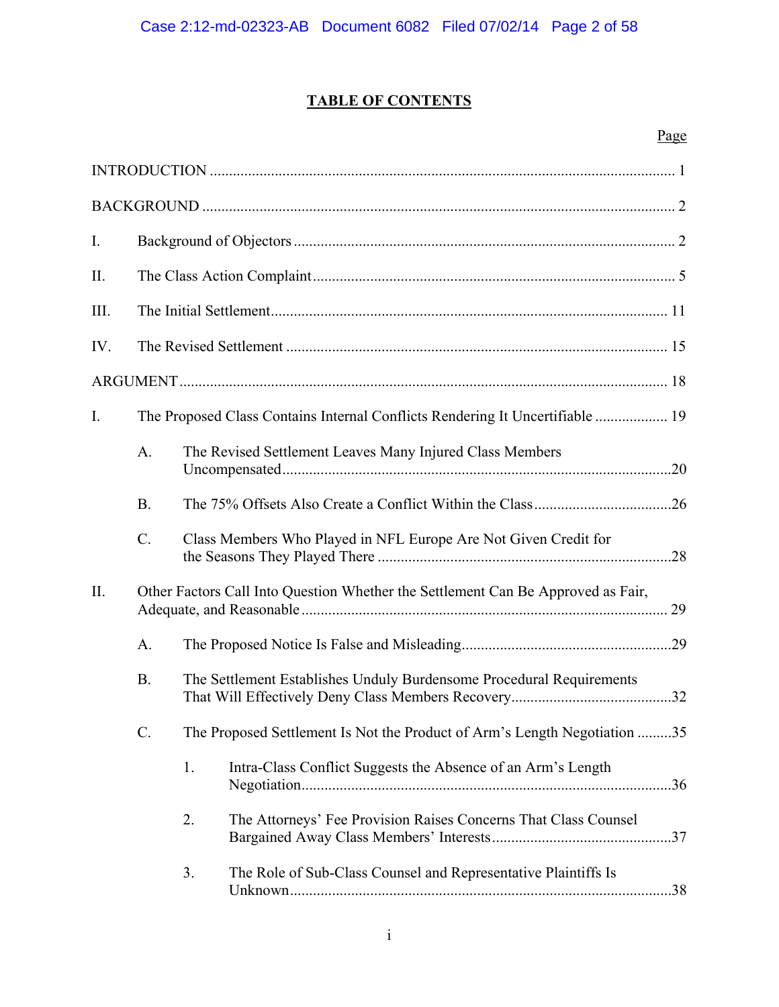# **TABLE OF CONTENTS**

# Page

| $I_{\cdot}$    |           |    |                                                                                  |  |
|----------------|-----------|----|----------------------------------------------------------------------------------|--|
| II.            |           |    |                                                                                  |  |
| III.           |           |    |                                                                                  |  |
| IV.            |           |    |                                                                                  |  |
|                |           |    |                                                                                  |  |
| $\mathbf{I}$ . |           |    | The Proposed Class Contains Internal Conflicts Rendering It Uncertifiable  19    |  |
|                | A.        |    | The Revised Settlement Leaves Many Injured Class Members                         |  |
|                | <b>B.</b> |    |                                                                                  |  |
|                | $C$ .     |    | Class Members Who Played in NFL Europe Are Not Given Credit for                  |  |
| II.            |           |    | Other Factors Call Into Question Whether the Settlement Can Be Approved as Fair, |  |
|                | A.        |    |                                                                                  |  |
|                | <b>B.</b> |    | The Settlement Establishes Unduly Burdensome Procedural Requirements             |  |
|                | C.        |    | The Proposed Settlement Is Not the Product of Arm's Length Negotiation 35        |  |
|                |           | 1. | Intra-Class Conflict Suggests the Absence of an Arm's Length                     |  |
|                |           | 2. | The Attorneys' Fee Provision Raises Concerns That Class Counsel                  |  |
|                |           | 3. | The Role of Sub-Class Counsel and Representative Plaintiffs Is                   |  |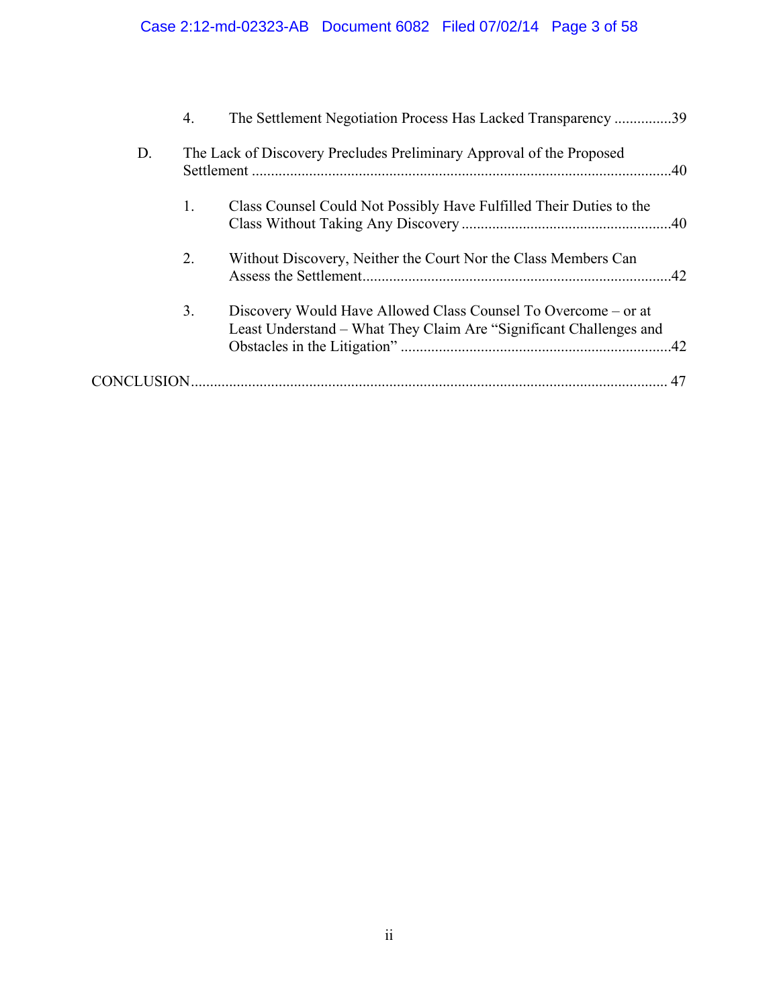|    | 4. | The Settlement Negotiation Process Has Lacked Transparency 39                                                                        |     |
|----|----|--------------------------------------------------------------------------------------------------------------------------------------|-----|
| D. |    | The Lack of Discovery Precludes Preliminary Approval of the Proposed                                                                 |     |
|    | 1. | Class Counsel Could Not Possibly Have Fulfilled Their Duties to the                                                                  |     |
|    | 2. | Without Discovery, Neither the Court Nor the Class Members Can                                                                       | .42 |
|    | 3. | Discovery Would Have Allowed Class Counsel To Overcome – or at<br>Least Understand – What They Claim Are "Significant Challenges and |     |
|    |    |                                                                                                                                      | 47  |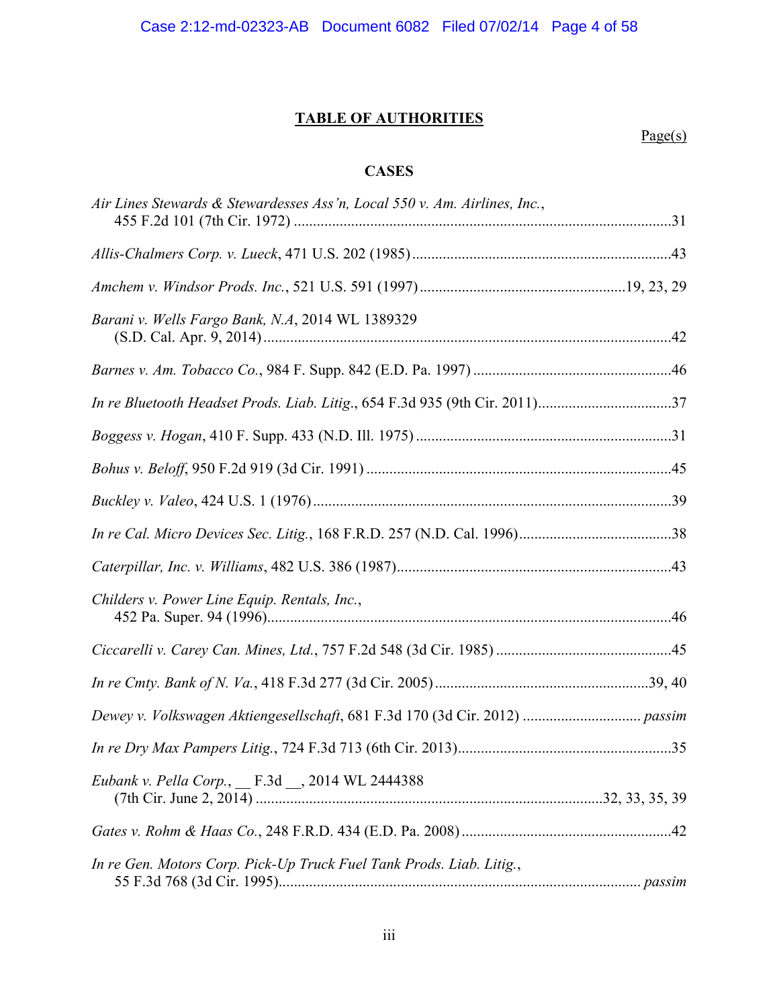# **TABLE OF AUTHORITIES**

# Page(s)

# **CASES**

| Air Lines Stewards & Stewardesses Ass'n, Local 550 v. Am. Airlines, Inc.,   |  |
|-----------------------------------------------------------------------------|--|
|                                                                             |  |
|                                                                             |  |
| Barani v. Wells Fargo Bank, N.A. 2014 WL 1389329                            |  |
|                                                                             |  |
| In re Bluetooth Headset Prods. Liab. Litig., 654 F.3d 935 (9th Cir. 2011)37 |  |
|                                                                             |  |
|                                                                             |  |
|                                                                             |  |
|                                                                             |  |
|                                                                             |  |
| Childers v. Power Line Equip. Rentals, Inc.,                                |  |
|                                                                             |  |
|                                                                             |  |
|                                                                             |  |
|                                                                             |  |
| Eubank v. Pella Corp., _ F.3d _ 2014 WL 2444388                             |  |
|                                                                             |  |
| In re Gen. Motors Corp. Pick-Up Truck Fuel Tank Prods. Liab. Litig.,        |  |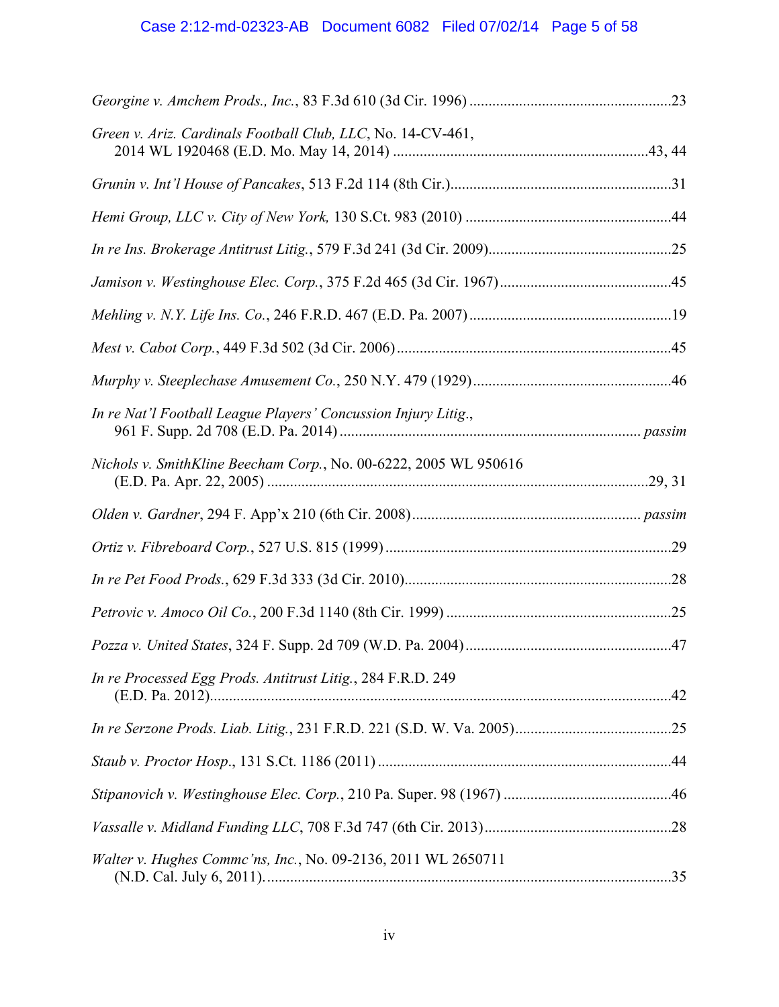| Green v. Ariz. Cardinals Football Club, LLC, No. 14-CV-461,      |  |
|------------------------------------------------------------------|--|
|                                                                  |  |
|                                                                  |  |
|                                                                  |  |
|                                                                  |  |
|                                                                  |  |
|                                                                  |  |
|                                                                  |  |
| In re Nat'l Football League Players' Concussion Injury Litig.,   |  |
| Nichols v. SmithKline Beecham Corp., No. 00-6222, 2005 WL 950616 |  |
|                                                                  |  |
|                                                                  |  |
|                                                                  |  |
|                                                                  |  |
|                                                                  |  |
| In re Processed Egg Prods. Antitrust Litig., 284 F.R.D. 249      |  |
|                                                                  |  |
|                                                                  |  |
|                                                                  |  |
|                                                                  |  |
| Walter v. Hughes Commc'ns, Inc., No. 09-2136, 2011 WL 2650711    |  |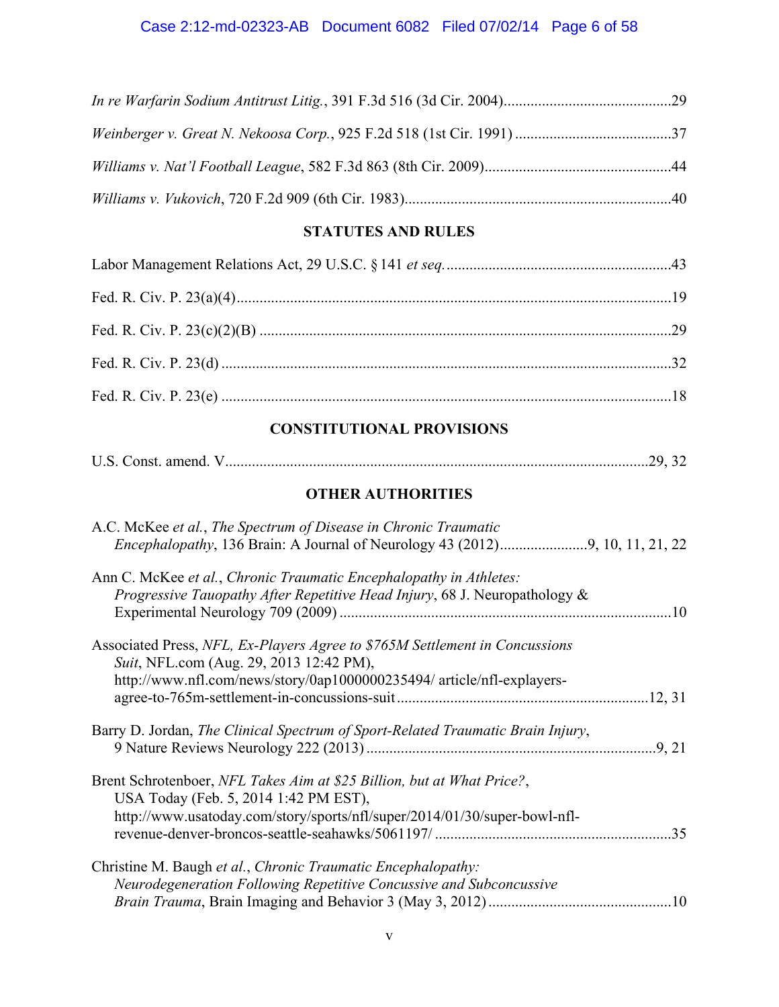# Case 2:12-md-02323-AB Document 6082 Filed 07/02/14 Page 6 of 58

# **STATUTES AND RULES**

# **CONSTITUTIONAL PROVISIONS**

| U.S. Const. amend. |  |  |  |  |
|--------------------|--|--|--|--|
|--------------------|--|--|--|--|

# **OTHER AUTHORITIES**

| A.C. McKee et al., The Spectrum of Disease in Chronic Traumatic                                                                                                                                  |     |
|--------------------------------------------------------------------------------------------------------------------------------------------------------------------------------------------------|-----|
| Ann C. McKee et al., Chronic Traumatic Encephalopathy in Athletes:<br>Progressive Tauopathy After Repetitive Head Injury, 68 J. Neuropathology &                                                 |     |
| Associated Press, NFL, Ex-Players Agree to \$765M Settlement in Concussions<br>Suit, NFL.com (Aug. 29, 2013 12:42 PM),<br>http://www.nfl.com/news/story/0ap1000000235494/ article/nfl-explayers- |     |
|                                                                                                                                                                                                  |     |
| Barry D. Jordan, The Clinical Spectrum of Sport-Related Traumatic Brain Injury,                                                                                                                  |     |
| Brent Schrotenboer, NFL Takes Aim at \$25 Billion, but at What Price?,<br>USA Today (Feb. 5, 2014 1:42 PM EST),                                                                                  |     |
| http://www.usatoday.com/story/sports/nfl/super/2014/01/30/super-bowl-nfl-                                                                                                                        | .35 |
| Christine M. Baugh et al., Chronic Traumatic Encephalopathy:                                                                                                                                     |     |
| Neurodegeneration Following Repetitive Concussive and Subconcussive                                                                                                                              |     |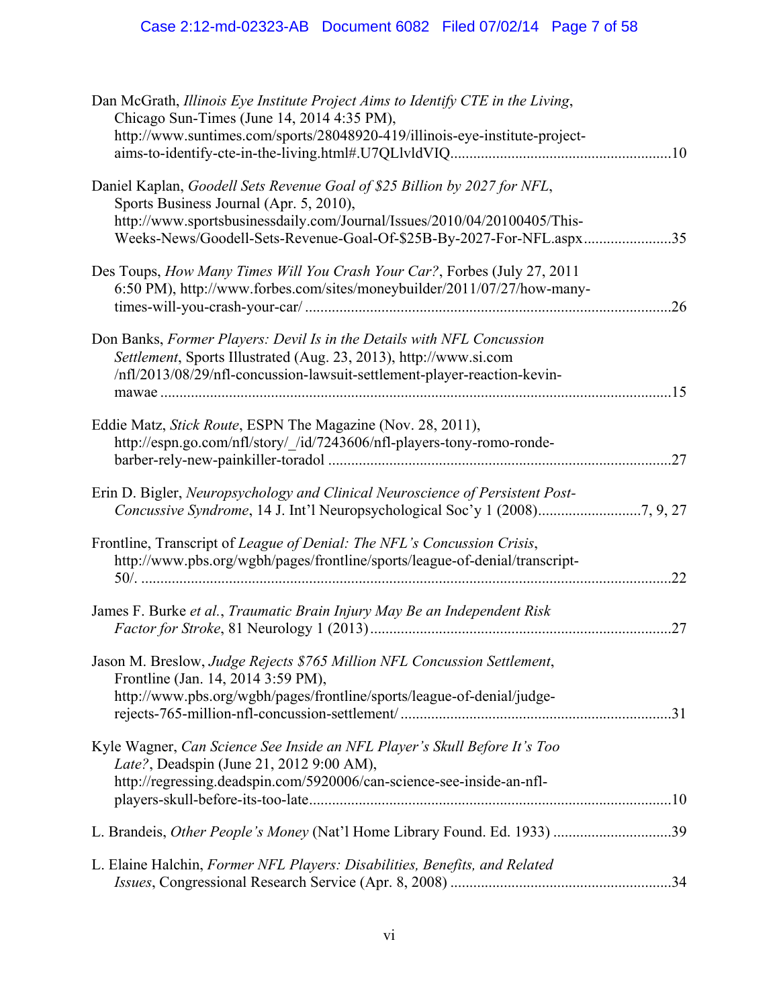| Dan McGrath, Illinois Eye Institute Project Aims to Identify CTE in the Living,<br>Chicago Sun-Times (June 14, 2014 4:35 PM),<br>http://www.suntimes.com/sports/28048920-419/illinois-eye-institute-project- |     |
|--------------------------------------------------------------------------------------------------------------------------------------------------------------------------------------------------------------|-----|
| Daniel Kaplan, Goodell Sets Revenue Goal of \$25 Billion by 2027 for NFL,<br>Sports Business Journal (Apr. 5, 2010),<br>http://www.sportsbusinessdaily.com/Journal/Issues/2010/04/20100405/This-             |     |
| Weeks-News/Goodell-Sets-Revenue-Goal-Of-\$25B-By-2027-For-NFL.aspx35                                                                                                                                         |     |
| Des Toups, How Many Times Will You Crash Your Car?, Forbes (July 27, 2011<br>6:50 PM), http://www.forbes.com/sites/moneybuilder/2011/07/27/how-many-                                                         | .26 |
| Don Banks, Former Players: Devil Is in the Details with NFL Concussion                                                                                                                                       |     |
| Settlement, Sports Illustrated (Aug. 23, 2013), http://www.si.com                                                                                                                                            |     |
| /nfl/2013/08/29/nfl-concussion-lawsuit-settlement-player-reaction-kevin-                                                                                                                                     | .15 |
| Eddie Matz, Stick Route, ESPN The Magazine (Nov. 28, 2011),                                                                                                                                                  |     |
| http://espn.go.com/nfl/story/_/id/7243606/nfl-players-tony-romo-ronde-                                                                                                                                       | .27 |
| Erin D. Bigler, Neuropsychology and Clinical Neuroscience of Persistent Post-                                                                                                                                |     |
| Frontline, Transcript of League of Denial: The NFL's Concussion Crisis,                                                                                                                                      |     |
| http://www.pbs.org/wgbh/pages/frontline/sports/league-of-denial/transcript-                                                                                                                                  | 22  |
| James F. Burke et al., Traumatic Brain Injury May Be an Independent Risk                                                                                                                                     |     |
|                                                                                                                                                                                                              | .27 |
| Jason M. Breslow, Judge Rejects \$765 Million NFL Concussion Settlement,<br>Frontline (Jan. 14, 2014 3:59 PM),                                                                                               |     |
| http://www.pbs.org/wgbh/pages/frontline/sports/league-of-denial/judge-                                                                                                                                       |     |
| Kyle Wagner, Can Science See Inside an NFL Player's Skull Before It's Too<br>Late?, Deadspin (June 21, 2012 9:00 AM),                                                                                        |     |
| http://regressing.deadspin.com/5920006/can-science-see-inside-an-nfl-                                                                                                                                        |     |
| L. Brandeis, Other People's Money (Nat'l Home Library Found. Ed. 1933) 39                                                                                                                                    |     |
|                                                                                                                                                                                                              |     |
| L. Elaine Halchin, Former NFL Players: Disabilities, Benefits, and Related                                                                                                                                   |     |
|                                                                                                                                                                                                              |     |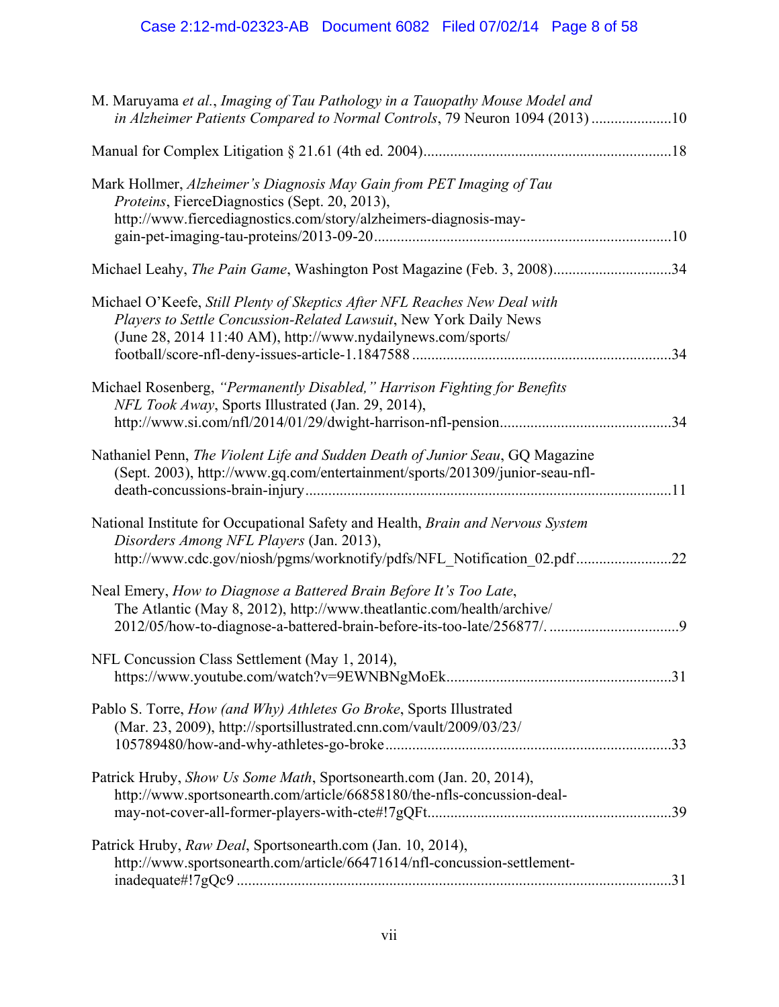| M. Maruyama et al., Imaging of Tau Pathology in a Tauopathy Mouse Model and<br>in Alzheimer Patients Compared to Normal Controls, 79 Neuron 1094 (2013) 10                                                           |     |
|----------------------------------------------------------------------------------------------------------------------------------------------------------------------------------------------------------------------|-----|
|                                                                                                                                                                                                                      |     |
| Mark Hollmer, Alzheimer's Diagnosis May Gain from PET Imaging of Tau<br>Proteins, FierceDiagnostics (Sept. 20, 2013),<br>http://www.fiercediagnostics.com/story/alzheimers-diagnosis-may-                            |     |
| Michael Leahy, The Pain Game, Washington Post Magazine (Feb. 3, 2008)34                                                                                                                                              |     |
| Michael O'Keefe, Still Plenty of Skeptics After NFL Reaches New Deal with<br>Players to Settle Concussion-Related Lawsuit, New York Daily News<br>(June 28, 2014 11:40 AM), http://www.nydailynews.com/sports/       | .34 |
| Michael Rosenberg, "Permanently Disabled," Harrison Fighting for Benefits<br>NFL Took Away, Sports Illustrated (Jan. 29, 2014),                                                                                      |     |
| Nathaniel Penn, The Violent Life and Sudden Death of Junior Seau, GQ Magazine<br>(Sept. 2003), http://www.gq.com/entertainment/sports/201309/junior-seau-nfl-                                                        |     |
| National Institute for Occupational Safety and Health, Brain and Nervous System<br>Disorders Among NFL Players (Jan. 2013),<br>http://www.cdc.gov/niosh/pgms/worknotify/pdfs/NFL_Notification_02.pdf22               |     |
| Neal Emery, How to Diagnose a Battered Brain Before It's Too Late,<br>The Atlantic (May 8, 2012), http://www.theatlantic.com/health/archive/<br>2012/05/how-to-diagnose-a-battered-brain-before-its-too-late/256877/ | 9   |
| NFL Concussion Class Settlement (May 1, 2014),                                                                                                                                                                       |     |
| Pablo S. Torre, How (and Why) Athletes Go Broke, Sports Illustrated<br>(Mar. 23, 2009), http://sportsillustrated.cnn.com/vault/2009/03/23/                                                                           |     |
| Patrick Hruby, Show Us Some Math, Sportsonearth.com (Jan. 20, 2014),<br>http://www.sportsonearth.com/article/66858180/the-nfls-concussion-deal-                                                                      |     |
| Patrick Hruby, Raw Deal, Sportsonearth.com (Jan. 10, 2014),<br>http://www.sportsonearth.com/article/66471614/nfl-concussion-settlement-                                                                              |     |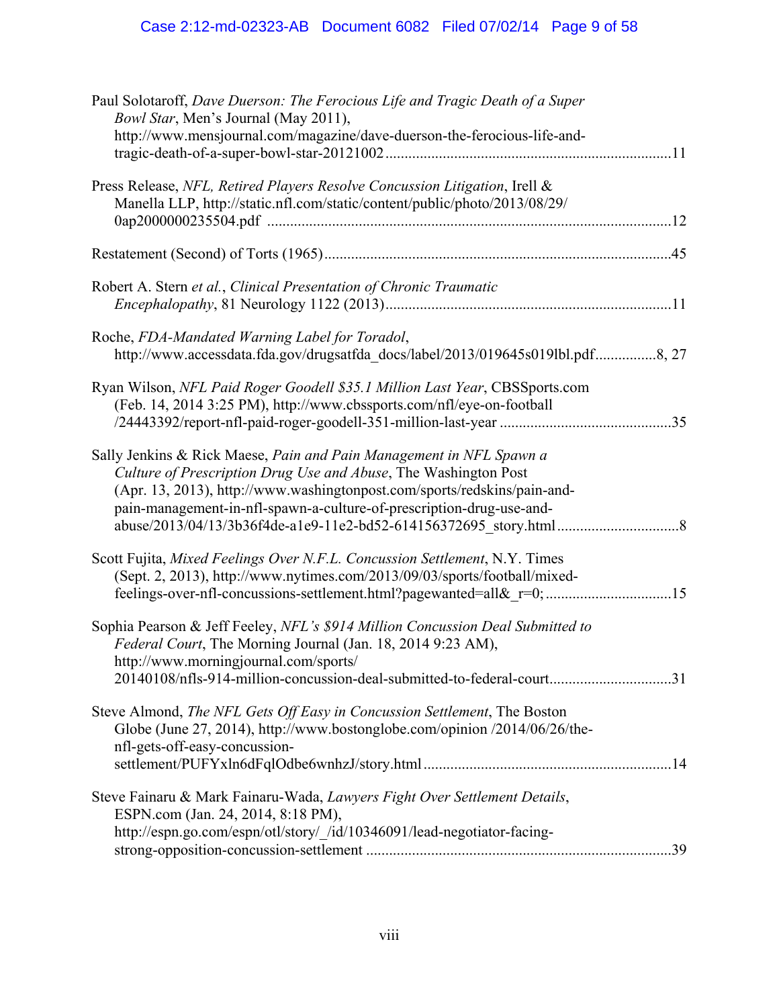| Paul Solotaroff, Dave Duerson: The Ferocious Life and Tragic Death of a Super<br>Bowl Star, Men's Journal (May 2011),<br>http://www.mensjournal.com/magazine/dave-duerson-the-ferocious-life-and-                                                                                          |
|--------------------------------------------------------------------------------------------------------------------------------------------------------------------------------------------------------------------------------------------------------------------------------------------|
|                                                                                                                                                                                                                                                                                            |
| Press Release, NFL, Retired Players Resolve Concussion Litigation, Irell &<br>Manella LLP, http://static.nfl.com/static/content/public/photo/2013/08/29/                                                                                                                                   |
|                                                                                                                                                                                                                                                                                            |
| Robert A. Stern et al., Clinical Presentation of Chronic Traumatic                                                                                                                                                                                                                         |
| Roche, FDA-Mandated Warning Label for Toradol,<br>http://www.accessdata.fda.gov/drugsatfda_docs/label/2013/019645s019lbl.pdf8, 27                                                                                                                                                          |
| Ryan Wilson, NFL Paid Roger Goodell \$35.1 Million Last Year, CBSSports.com<br>(Feb. 14, 2014 3:25 PM), http://www.cbssports.com/nfl/eye-on-football                                                                                                                                       |
| Sally Jenkins & Rick Maese, Pain and Pain Management in NFL Spawn a<br>Culture of Prescription Drug Use and Abuse, The Washington Post<br>(Apr. 13, 2013), http://www.washingtonpost.com/sports/redskins/pain-and-<br>pain-management-in-nfl-spawn-a-culture-of-prescription-drug-use-and- |
| Scott Fujita, Mixed Feelings Over N.F.L. Concussion Settlement, N.Y. Times<br>(Sept. 2, 2013), http://www.nytimes.com/2013/09/03/sports/football/mixed-<br>feelings-over-nfl-concussions-settlement.html?pagewanted=all&r=0;15                                                             |
| Sophia Pearson & Jeff Feeley, NFL's \$914 Million Concussion Deal Submitted to<br>Federal Court, The Morning Journal (Jan. 18, 2014 9:23 AM),<br>http://www.morningjournal.com/sports/<br>20140108/nfls-914-million-concussion-deal-submitted-to-federal-court31                           |
| Steve Almond, The NFL Gets Off Easy in Concussion Settlement, The Boston<br>Globe (June 27, 2014), http://www.bostonglobe.com/opinion /2014/06/26/the-<br>nfl-gets-off-easy-concussion-                                                                                                    |
| Steve Fainaru & Mark Fainaru-Wada, Lawyers Fight Over Settlement Details,<br>ESPN.com (Jan. 24, 2014, 8:18 PM),<br>http://espn.go.com/espn/otl/story/_/id/10346091/lead-negotiator-facing-                                                                                                 |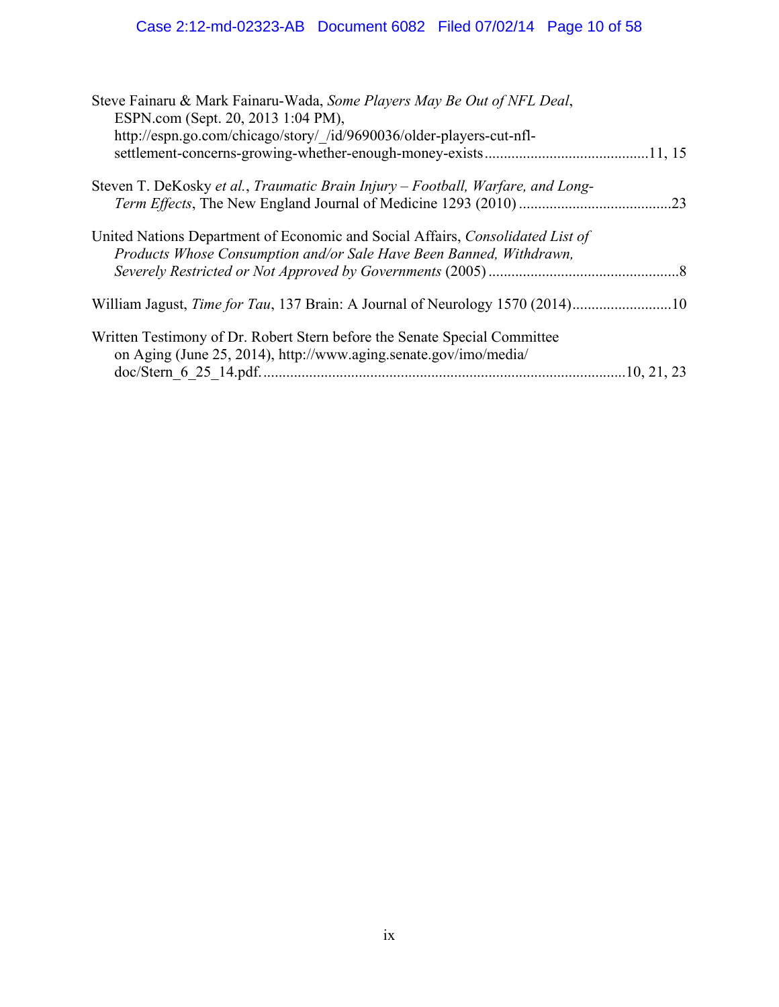| Steve Fainaru & Mark Fainaru-Wada, Some Players May Be Out of NFL Deal,<br>ESPN.com (Sept. 20, 2013 1:04 PM),                                         |     |
|-------------------------------------------------------------------------------------------------------------------------------------------------------|-----|
| http://espn.go.com/chicago/story/ /id/9690036/older-players-cut-nfl-                                                                                  |     |
| Steven T. DeKosky et al., Traumatic Brain Injury - Football, Warfare, and Long-                                                                       | .23 |
| United Nations Department of Economic and Social Affairs, Consolidated List of<br>Products Whose Consumption and/or Sale Have Been Banned, Withdrawn, |     |
|                                                                                                                                                       |     |
| Written Testimony of Dr. Robert Stern before the Senate Special Committee<br>on Aging (June 25, 2014), http://www.aging.senate.gov/imo/media/         |     |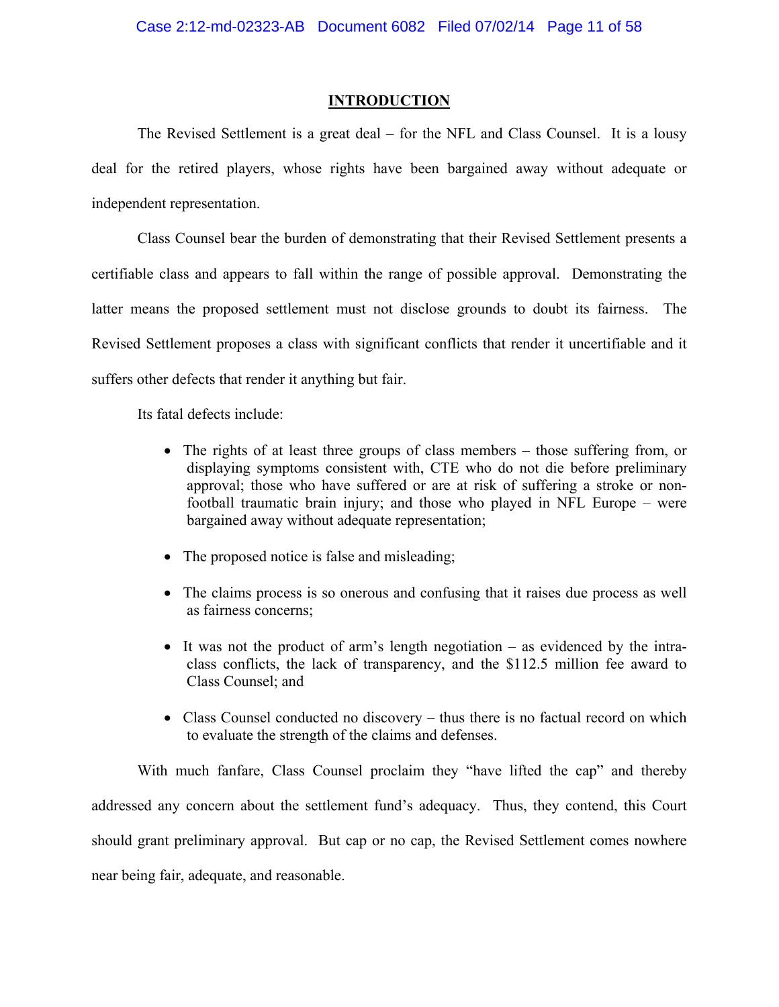### **INTRODUCTION**

The Revised Settlement is a great deal – for the NFL and Class Counsel. It is a lousy deal for the retired players, whose rights have been bargained away without adequate or independent representation.

Class Counsel bear the burden of demonstrating that their Revised Settlement presents a certifiable class and appears to fall within the range of possible approval. Demonstrating the latter means the proposed settlement must not disclose grounds to doubt its fairness. The Revised Settlement proposes a class with significant conflicts that render it uncertifiable and it suffers other defects that render it anything but fair.

Its fatal defects include:

- The rights of at least three groups of class members those suffering from, or displaying symptoms consistent with, CTE who do not die before preliminary approval; those who have suffered or are at risk of suffering a stroke or nonfootball traumatic brain injury; and those who played in NFL Europe – were bargained away without adequate representation;
- The proposed notice is false and misleading;
- The claims process is so onerous and confusing that it raises due process as well as fairness concerns;
- It was not the product of arm's length negotiation as evidenced by the intraclass conflicts, the lack of transparency, and the \$112.5 million fee award to Class Counsel; and
- Class Counsel conducted no discovery thus there is no factual record on which to evaluate the strength of the claims and defenses.

With much fanfare, Class Counsel proclaim they "have lifted the cap" and thereby addressed any concern about the settlement fund's adequacy. Thus, they contend, this Court should grant preliminary approval. But cap or no cap, the Revised Settlement comes nowhere near being fair, adequate, and reasonable.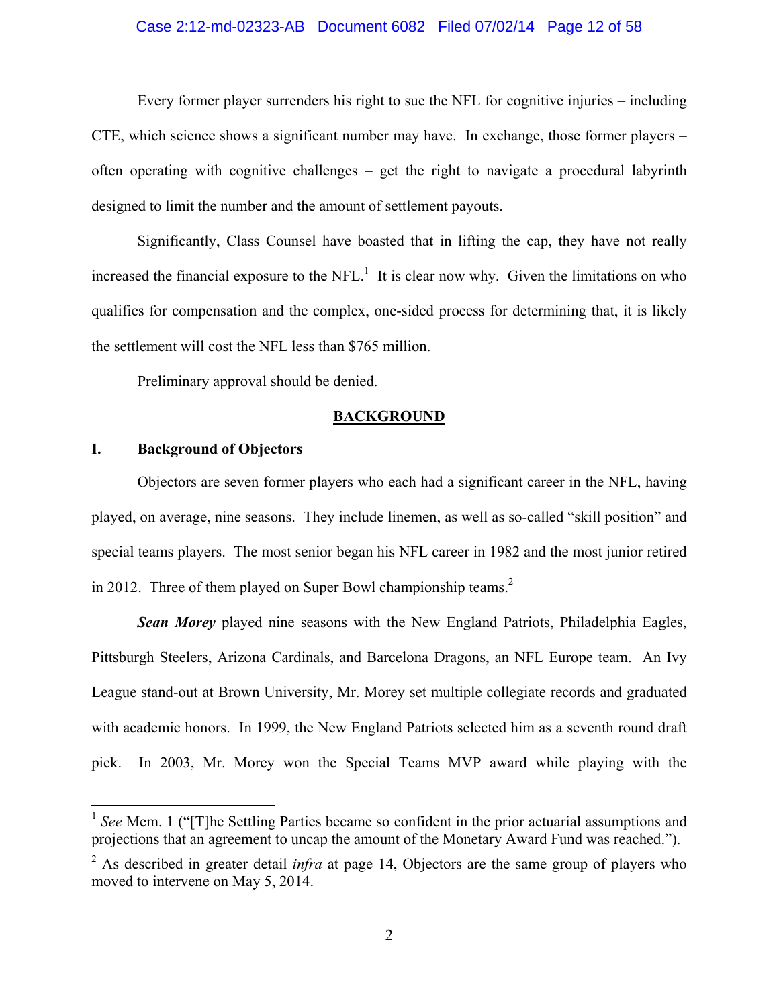#### Case 2:12-md-02323-AB Document 6082 Filed 07/02/14 Page 12 of 58

Every former player surrenders his right to sue the NFL for cognitive injuries – including CTE, which science shows a significant number may have. In exchange, those former players – often operating with cognitive challenges – get the right to navigate a procedural labyrinth designed to limit the number and the amount of settlement payouts.

Significantly, Class Counsel have boasted that in lifting the cap, they have not really increased the financial exposure to the  $NFL<sup>1</sup>$  It is clear now why. Given the limitations on who qualifies for compensation and the complex, one-sided process for determining that, it is likely the settlement will cost the NFL less than \$765 million.

Preliminary approval should be denied.

### **BACKGROUND**

### **I. Background of Objectors**

 $\overline{a}$ 

Objectors are seven former players who each had a significant career in the NFL, having played, on average, nine seasons. They include linemen, as well as so-called "skill position" and special teams players. The most senior began his NFL career in 1982 and the most junior retired in 2012. Three of them played on Super Bowl championship teams. $<sup>2</sup>$ </sup>

*Sean Morey* played nine seasons with the New England Patriots, Philadelphia Eagles, Pittsburgh Steelers, Arizona Cardinals, and Barcelona Dragons, an NFL Europe team. An Ivy League stand-out at Brown University, Mr. Morey set multiple collegiate records and graduated with academic honors. In 1999, the New England Patriots selected him as a seventh round draft pick. In 2003, Mr. Morey won the Special Teams MVP award while playing with the

<sup>1</sup> *See* Mem. 1 ("[T]he Settling Parties became so confident in the prior actuarial assumptions and projections that an agreement to uncap the amount of the Monetary Award Fund was reached.").

<sup>&</sup>lt;sup>2</sup> As described in greater detail *infra* at page 14, Objectors are the same group of players who moved to intervene on May 5, 2014.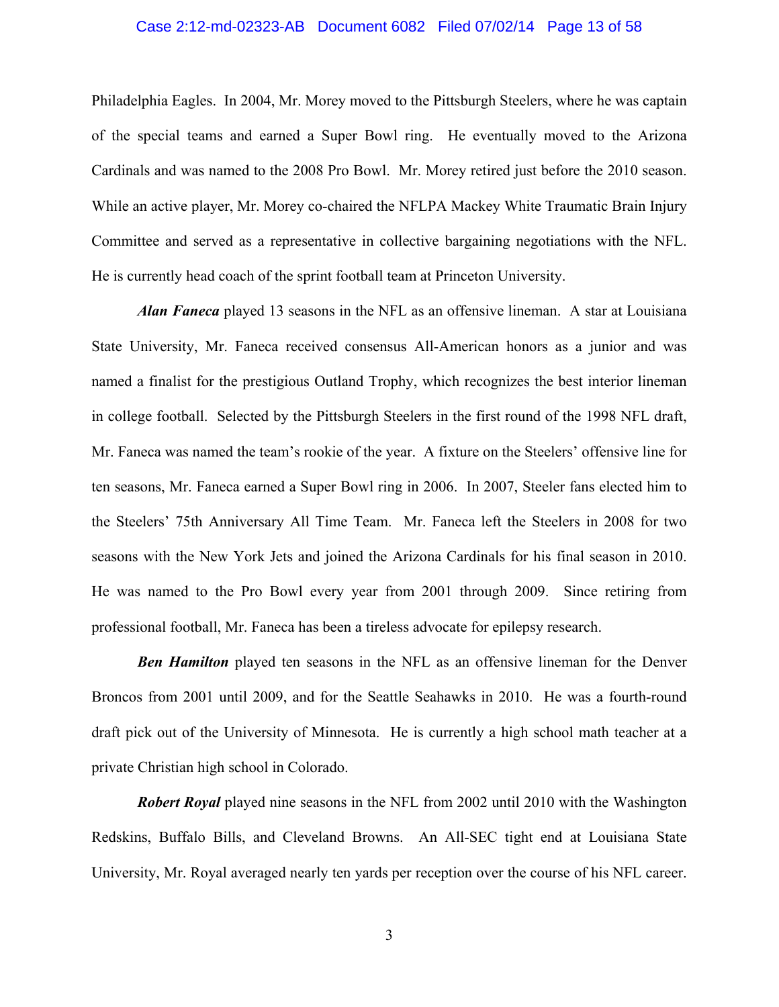#### Case 2:12-md-02323-AB Document 6082 Filed 07/02/14 Page 13 of 58

Philadelphia Eagles. In 2004, Mr. Morey moved to the Pittsburgh Steelers, where he was captain of the special teams and earned a Super Bowl ring. He eventually moved to the Arizona Cardinals and was named to the 2008 Pro Bowl. Mr. Morey retired just before the 2010 season. While an active player, Mr. Morey co-chaired the NFLPA Mackey White Traumatic Brain Injury Committee and served as a representative in collective bargaining negotiations with the NFL. He is currently head coach of the sprint football team at Princeton University.

*Alan Faneca* played 13 seasons in the NFL as an offensive lineman. A star at Louisiana State University, Mr. Faneca received consensus All-American honors as a junior and was named a finalist for the prestigious Outland Trophy, which recognizes the best interior lineman in college football. Selected by the Pittsburgh Steelers in the first round of the 1998 NFL draft, Mr. Faneca was named the team's rookie of the year. A fixture on the Steelers' offensive line for ten seasons, Mr. Faneca earned a Super Bowl ring in 2006. In 2007, Steeler fans elected him to the Steelers' 75th Anniversary All Time Team. Mr. Faneca left the Steelers in 2008 for two seasons with the New York Jets and joined the Arizona Cardinals for his final season in 2010. He was named to the Pro Bowl every year from 2001 through 2009. Since retiring from professional football, Mr. Faneca has been a tireless advocate for epilepsy research.

*Ben Hamilton* played ten seasons in the NFL as an offensive lineman for the Denver Broncos from 2001 until 2009, and for the Seattle Seahawks in 2010. He was a fourth-round draft pick out of the University of Minnesota. He is currently a high school math teacher at a private Christian high school in Colorado.

*Robert Royal* played nine seasons in the NFL from 2002 until 2010 with the Washington Redskins, Buffalo Bills, and Cleveland Browns. An All-SEC tight end at Louisiana State University, Mr. Royal averaged nearly ten yards per reception over the course of his NFL career.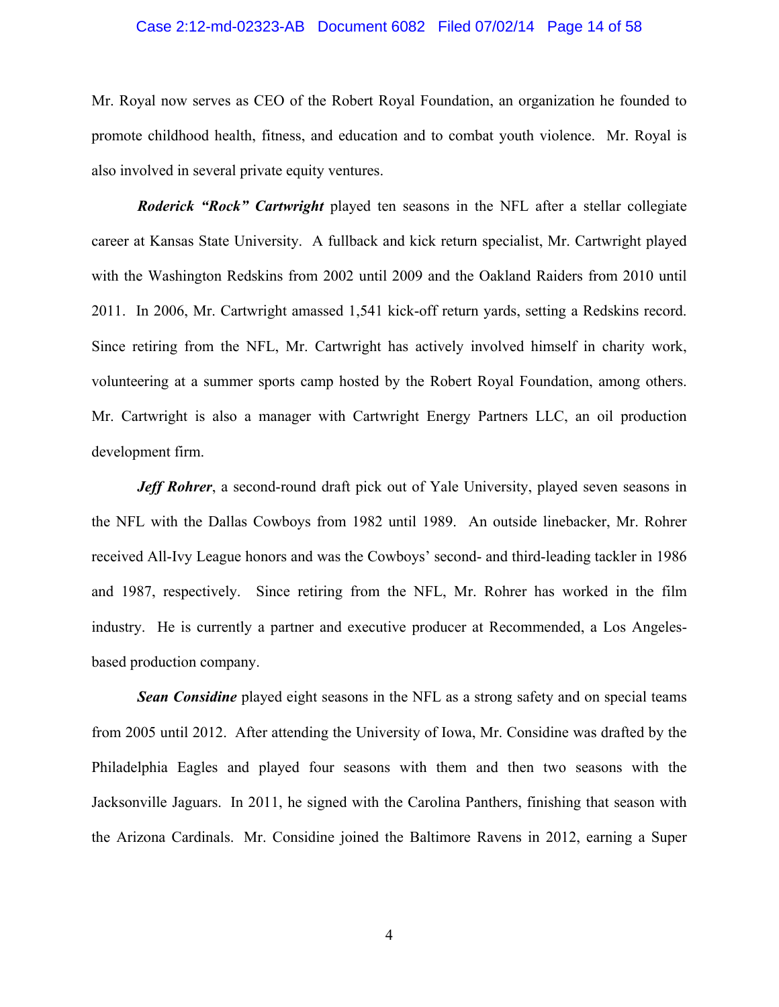#### Case 2:12-md-02323-AB Document 6082 Filed 07/02/14 Page 14 of 58

Mr. Royal now serves as CEO of the Robert Royal Foundation, an organization he founded to promote childhood health, fitness, and education and to combat youth violence. Mr. Royal is also involved in several private equity ventures.

*Roderick "Rock" Cartwright* played ten seasons in the NFL after a stellar collegiate career at Kansas State University. A fullback and kick return specialist, Mr. Cartwright played with the Washington Redskins from 2002 until 2009 and the Oakland Raiders from 2010 until 2011. In 2006, Mr. Cartwright amassed 1,541 kick-off return yards, setting a Redskins record. Since retiring from the NFL, Mr. Cartwright has actively involved himself in charity work, volunteering at a summer sports camp hosted by the Robert Royal Foundation, among others. Mr. Cartwright is also a manager with Cartwright Energy Partners LLC, an oil production development firm.

*Jeff Rohrer*, a second-round draft pick out of Yale University, played seven seasons in the NFL with the Dallas Cowboys from 1982 until 1989. An outside linebacker, Mr. Rohrer received All-Ivy League honors and was the Cowboys' second- and third-leading tackler in 1986 and 1987, respectively. Since retiring from the NFL, Mr. Rohrer has worked in the film industry. He is currently a partner and executive producer at Recommended, a Los Angelesbased production company.

*Sean Considine* played eight seasons in the NFL as a strong safety and on special teams from 2005 until 2012. After attending the University of Iowa, Mr. Considine was drafted by the Philadelphia Eagles and played four seasons with them and then two seasons with the Jacksonville Jaguars. In 2011, he signed with the Carolina Panthers, finishing that season with the Arizona Cardinals. Mr. Considine joined the Baltimore Ravens in 2012, earning a Super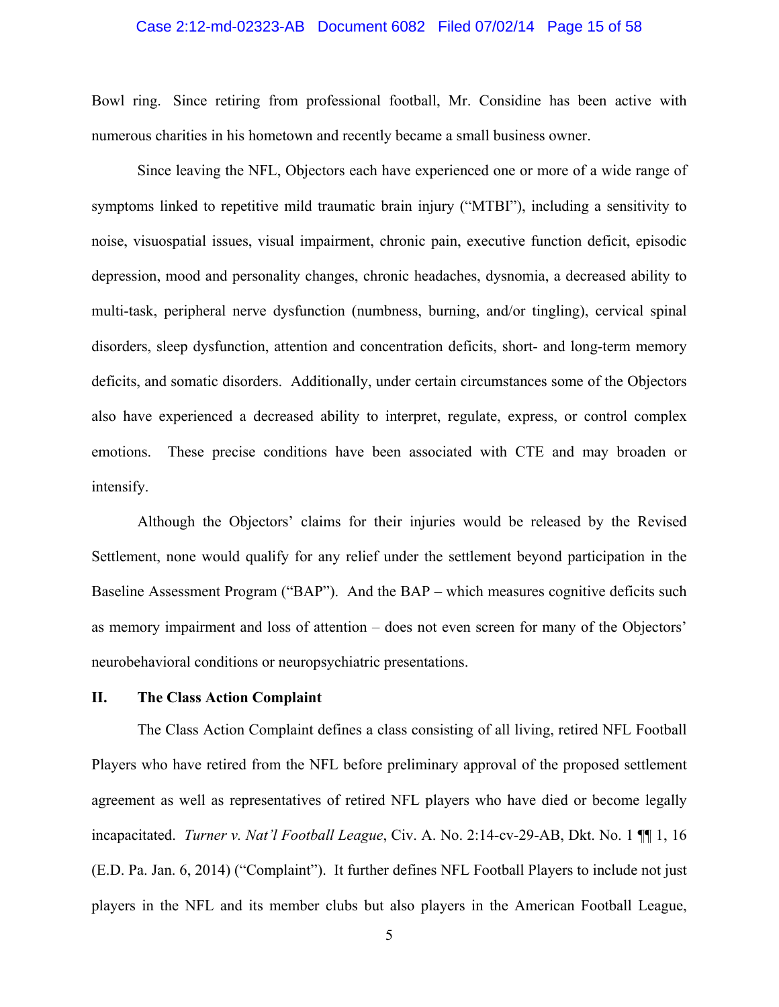# Case 2:12-md-02323-AB Document 6082 Filed 07/02/14 Page 15 of 58

Bowl ring. Since retiring from professional football, Mr. Considine has been active with numerous charities in his hometown and recently became a small business owner.

Since leaving the NFL, Objectors each have experienced one or more of a wide range of symptoms linked to repetitive mild traumatic brain injury ("MTBI"), including a sensitivity to noise, visuospatial issues, visual impairment, chronic pain, executive function deficit, episodic depression, mood and personality changes, chronic headaches, dysnomia, a decreased ability to multi-task, peripheral nerve dysfunction (numbness, burning, and/or tingling), cervical spinal disorders, sleep dysfunction, attention and concentration deficits, short- and long-term memory deficits, and somatic disorders. Additionally, under certain circumstances some of the Objectors also have experienced a decreased ability to interpret, regulate, express, or control complex emotions. These precise conditions have been associated with CTE and may broaden or intensify.

Although the Objectors' claims for their injuries would be released by the Revised Settlement, none would qualify for any relief under the settlement beyond participation in the Baseline Assessment Program ("BAP"). And the BAP – which measures cognitive deficits such as memory impairment and loss of attention – does not even screen for many of the Objectors' neurobehavioral conditions or neuropsychiatric presentations.

### **II. The Class Action Complaint**

The Class Action Complaint defines a class consisting of all living, retired NFL Football Players who have retired from the NFL before preliminary approval of the proposed settlement agreement as well as representatives of retired NFL players who have died or become legally incapacitated. *Turner v. Nat'l Football League*, Civ. A. No. 2:14-cv-29-AB, Dkt. No. 1 ¶¶ 1, 16 (E.D. Pa. Jan. 6, 2014) ("Complaint"). It further defines NFL Football Players to include not just players in the NFL and its member clubs but also players in the American Football League,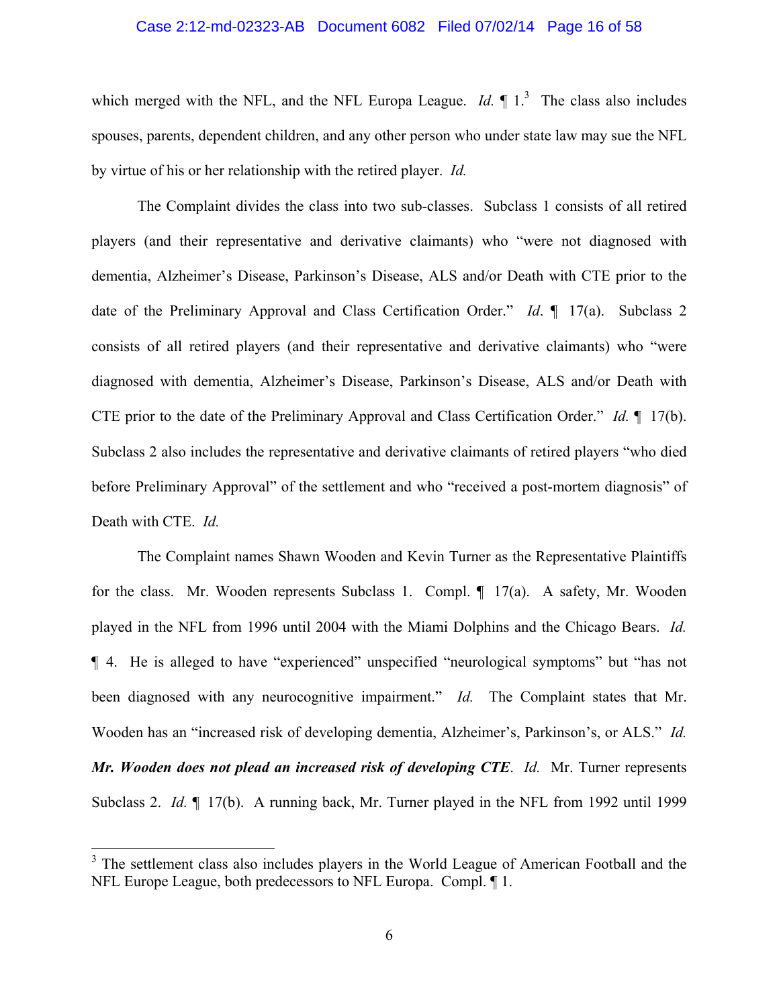#### Case 2:12-md-02323-AB Document 6082 Filed 07/02/14 Page 16 of 58

which merged with the NFL, and the NFL Europa League. *Id*.  $\parallel$  1.<sup>3</sup> The class also includes spouses, parents, dependent children, and any other person who under state law may sue the NFL by virtue of his or her relationship with the retired player. *Id.*

The Complaint divides the class into two sub-classes. Subclass 1 consists of all retired players (and their representative and derivative claimants) who "were not diagnosed with dementia, Alzheimer's Disease, Parkinson's Disease, ALS and/or Death with CTE prior to the date of the Preliminary Approval and Class Certification Order." *Id*. ¶ 17(a). Subclass 2 consists of all retired players (and their representative and derivative claimants) who "were diagnosed with dementia, Alzheimer's Disease, Parkinson's Disease, ALS and/or Death with CTE prior to the date of the Preliminary Approval and Class Certification Order." *Id.* ¶ 17(b). Subclass 2 also includes the representative and derivative claimants of retired players "who died before Preliminary Approval" of the settlement and who "received a post-mortem diagnosis" of Death with CTE. *Id.*

The Complaint names Shawn Wooden and Kevin Turner as the Representative Plaintiffs for the class. Mr. Wooden represents Subclass 1. Compl. ¶ 17(a). A safety, Mr. Wooden played in the NFL from 1996 until 2004 with the Miami Dolphins and the Chicago Bears. *Id.* ¶ 4. He is alleged to have "experienced" unspecified "neurological symptoms" but "has not been diagnosed with any neurocognitive impairment." *Id.* The Complaint states that Mr. Wooden has an "increased risk of developing dementia, Alzheimer's, Parkinson's, or ALS." *Id. Mr. Wooden does not plead an increased risk of developing CTE*. *Id.* Mr. Turner represents Subclass 2. *Id.* ¶ 17(b). A running back, Mr. Turner played in the NFL from 1992 until 1999

 $3$  The settlement class also includes players in the World League of American Football and the NFL Europe League, both predecessors to NFL Europa. Compl. ¶ 1.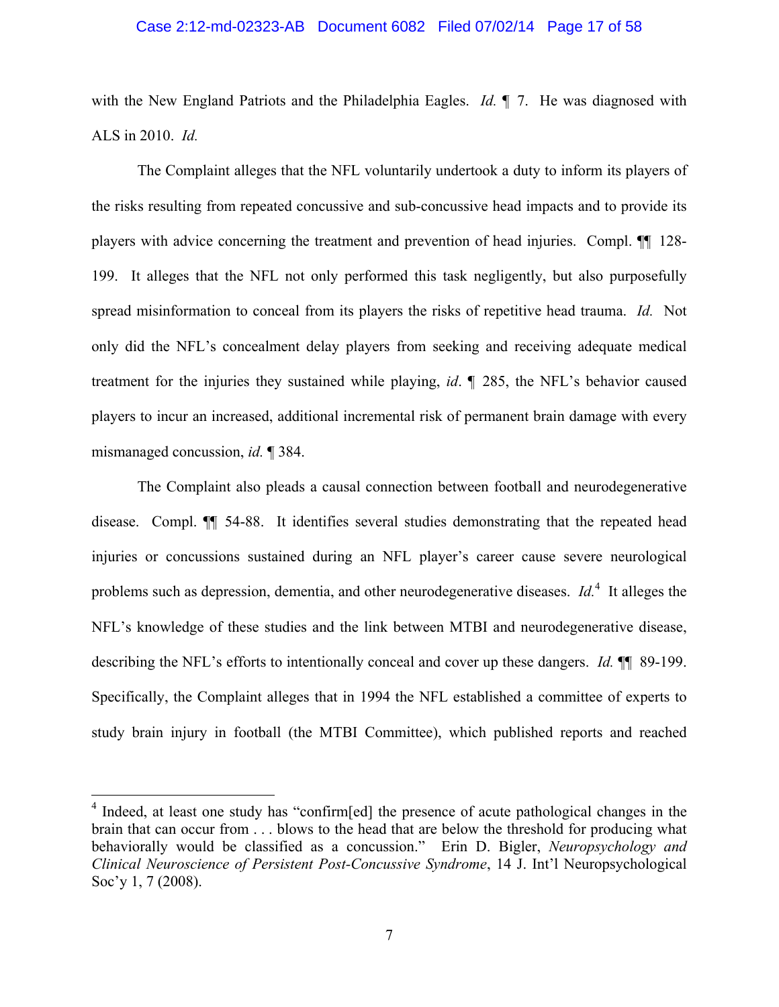#### Case 2:12-md-02323-AB Document 6082 Filed 07/02/14 Page 17 of 58

with the New England Patriots and the Philadelphia Eagles. *Id.* ¶ 7. He was diagnosed with ALS in 2010. *Id.*

The Complaint alleges that the NFL voluntarily undertook a duty to inform its players of the risks resulting from repeated concussive and sub-concussive head impacts and to provide its players with advice concerning the treatment and prevention of head injuries. Compl. ¶¶ 128- 199. It alleges that the NFL not only performed this task negligently, but also purposefully spread misinformation to conceal from its players the risks of repetitive head trauma. *Id.* Not only did the NFL's concealment delay players from seeking and receiving adequate medical treatment for the injuries they sustained while playing, *id*. ¶ 285, the NFL's behavior caused players to incur an increased, additional incremental risk of permanent brain damage with every mismanaged concussion, *id.* ¶ 384.

The Complaint also pleads a causal connection between football and neurodegenerative disease. Compl. ¶¶ 54-88. It identifies several studies demonstrating that the repeated head injuries or concussions sustained during an NFL player's career cause severe neurological problems such as depression, dementia, and other neurodegenerative diseases. *Id*.<sup>4</sup> It alleges the NFL's knowledge of these studies and the link between MTBI and neurodegenerative disease, describing the NFL's efforts to intentionally conceal and cover up these dangers. *Id.* ¶¶ 89-199. Specifically, the Complaint alleges that in 1994 the NFL established a committee of experts to study brain injury in football (the MTBI Committee), which published reports and reached

<u>.</u>

<sup>&</sup>lt;sup>4</sup> Indeed, at least one study has "confirm[ed] the presence of acute pathological changes in the brain that can occur from . . . blows to the head that are below the threshold for producing what behaviorally would be classified as a concussion." Erin D. Bigler, *Neuropsychology and Clinical Neuroscience of Persistent Post-Concussive Syndrome*, 14 J. Int'l Neuropsychological Soc'y 1, 7 (2008).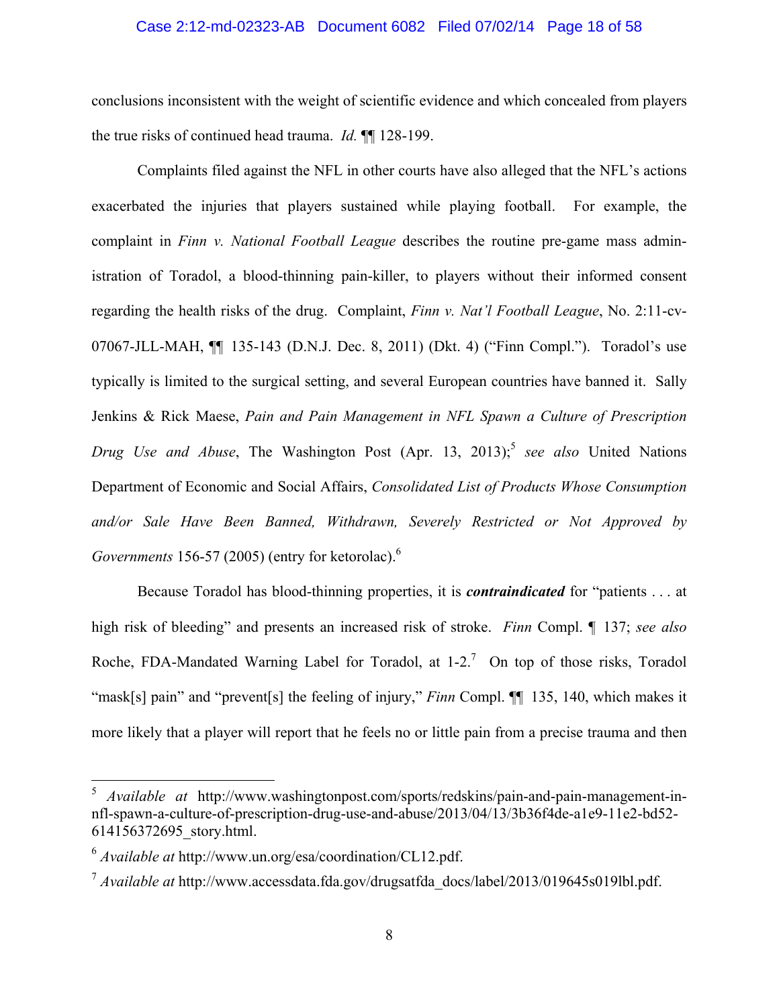#### Case 2:12-md-02323-AB Document 6082 Filed 07/02/14 Page 18 of 58

conclusions inconsistent with the weight of scientific evidence and which concealed from players the true risks of continued head trauma. *Id.* ¶¶ 128-199.

Complaints filed against the NFL in other courts have also alleged that the NFL's actions exacerbated the injuries that players sustained while playing football. For example, the complaint in *Finn v. National Football League* describes the routine pre-game mass administration of Toradol, a blood-thinning pain-killer, to players without their informed consent regarding the health risks of the drug. Complaint, *Finn v. Nat'l Football League*, No. 2:11-cv-07067-JLL-MAH, ¶¶ 135-143 (D.N.J. Dec. 8, 2011) (Dkt. 4) ("Finn Compl."). Toradol's use typically is limited to the surgical setting, and several European countries have banned it. Sally Jenkins & Rick Maese, *Pain and Pain Management in NFL Spawn a Culture of Prescription Drug Use and Abuse*, The Washington Post (Apr. 13, 2013);<sup>5</sup> *see also* United Nations Department of Economic and Social Affairs, *Consolidated List of Products Whose Consumption and/or Sale Have Been Banned, Withdrawn, Severely Restricted or Not Approved by Governments* 156-57 (2005) (entry for ketorolac).6

Because Toradol has blood-thinning properties, it is *contraindicated* for "patients . . . at high risk of bleeding" and presents an increased risk of stroke. *Finn* Compl. ¶ 137; *see also*  Roche, FDA-Mandated Warning Label for Toradol, at  $1-2$ .<sup>7</sup> On top of those risks, Toradol "mask[s] pain" and "prevent[s] the feeling of injury," *Finn* Compl. ¶¶ 135, 140, which makes it more likely that a player will report that he feels no or little pain from a precise trauma and then

<u>.</u>

<sup>5</sup> *Available at* http://www.washingtonpost.com/sports/redskins/pain-and-pain-management-innfl-spawn-a-culture-of-prescription-drug-use-and-abuse/2013/04/13/3b36f4de-a1e9-11e2-bd52- 614156372695\_story.html.

<sup>6</sup> *Available at* http://www.un.org/esa/coordination/CL12.pdf.

<sup>&</sup>lt;sup>7</sup> Available at http://www.accessdata.fda.gov/drugsatfda\_docs/label/2013/019645s019lbl.pdf.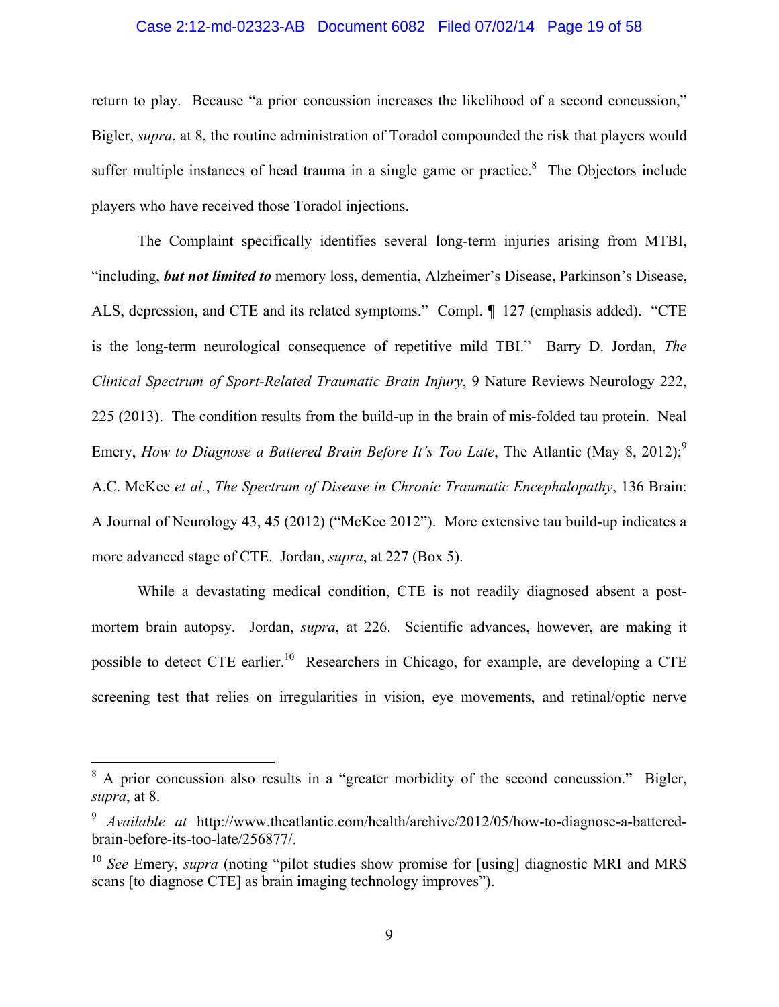#### Case 2:12-md-02323-AB Document 6082 Filed 07/02/14 Page 19 of 58

return to play. Because "a prior concussion increases the likelihood of a second concussion," Bigler, *supra*, at 8, the routine administration of Toradol compounded the risk that players would suffer multiple instances of head trauma in a single game or practice. $\delta$  The Objectors include players who have received those Toradol injections.

The Complaint specifically identifies several long-term injuries arising from MTBI, "including, *but not limited to* memory loss, dementia, Alzheimer's Disease, Parkinson's Disease, ALS, depression, and CTE and its related symptoms." Compl. ¶ 127 (emphasis added). "CTE is the long-term neurological consequence of repetitive mild TBI." Barry D. Jordan, *The Clinical Spectrum of Sport-Related Traumatic Brain Injury*, 9 Nature Reviews Neurology 222, 225 (2013). The condition results from the build-up in the brain of mis-folded tau protein. Neal Emery, *How to Diagnose a Battered Brain Before It's Too Late*, The Atlantic (May 8, 2012);<sup>9</sup> A.C. McKee *et al.*, *The Spectrum of Disease in Chronic Traumatic Encephalopathy*, 136 Brain: A Journal of Neurology 43, 45 (2012) ("McKee 2012"). More extensive tau build-up indicates a more advanced stage of CTE. Jordan, *supra*, at 227 (Box 5).

While a devastating medical condition, CTE is not readily diagnosed absent a postmortem brain autopsy. Jordan, *supra*, at 226. Scientific advances, however, are making it possible to detect CTE earlier.<sup>10</sup> Researchers in Chicago, for example, are developing a CTE screening test that relies on irregularities in vision, eye movements, and retinal/optic nerve

<sup>&</sup>lt;sup>8</sup> A prior concussion also results in a "greater morbidity of the second concussion." Bigler, *supra*, at 8.

<sup>9</sup> *Available at* http://www.theatlantic.com/health/archive/2012/05/how-to-diagnose-a-batteredbrain-before-its-too-late/256877/.

<sup>&</sup>lt;sup>10</sup> *See* Emery, *supra* (noting "pilot studies show promise for [using] diagnostic MRI and MRS scans [to diagnose CTE] as brain imaging technology improves").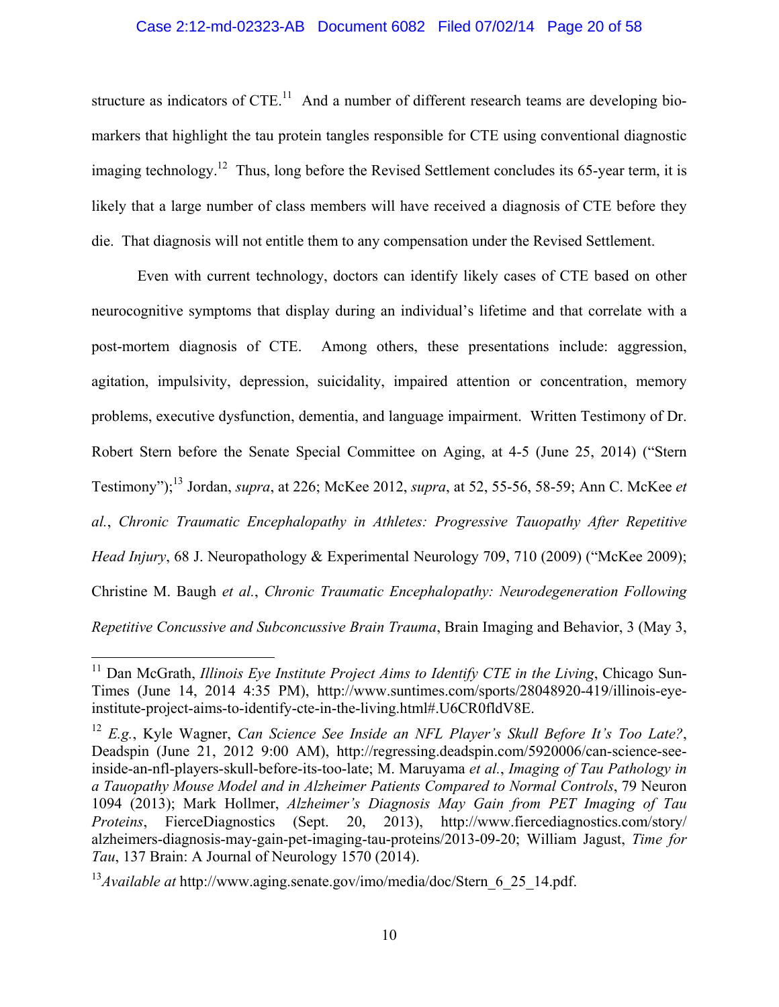### Case 2:12-md-02323-AB Document 6082 Filed 07/02/14 Page 20 of 58

structure as indicators of  $CTE<sup>11</sup>$  And a number of different research teams are developing biomarkers that highlight the tau protein tangles responsible for CTE using conventional diagnostic imaging technology.<sup>12</sup> Thus, long before the Revised Settlement concludes its 65-year term, it is likely that a large number of class members will have received a diagnosis of CTE before they die. That diagnosis will not entitle them to any compensation under the Revised Settlement.

Even with current technology, doctors can identify likely cases of CTE based on other neurocognitive symptoms that display during an individual's lifetime and that correlate with a post-mortem diagnosis of CTE. Among others, these presentations include: aggression, agitation, impulsivity, depression, suicidality, impaired attention or concentration, memory problems, executive dysfunction, dementia, and language impairment. Written Testimony of Dr. Robert Stern before the Senate Special Committee on Aging, at 4-5 (June 25, 2014) ("Stern Testimony");13 Jordan, *supra*, at 226; McKee 2012, *supra*, at 52, 55-56, 58-59; Ann C. McKee *et al.*, *Chronic Traumatic Encephalopathy in Athletes: Progressive Tauopathy After Repetitive Head Injury*, 68 J. Neuropathology & Experimental Neurology 709, 710 (2009) ("McKee 2009); Christine M. Baugh *et al.*, *Chronic Traumatic Encephalopathy: Neurodegeneration Following Repetitive Concussive and Subconcussive Brain Trauma*, Brain Imaging and Behavior, 3 (May 3,

1

<sup>&</sup>lt;sup>11</sup> Dan McGrath, *Illinois Eye Institute Project Aims to Identify CTE in the Living*, Chicago Sun-Times (June 14, 2014 4:35 PM), http://www.suntimes.com/sports/28048920-419/illinois-eyeinstitute-project-aims-to-identify-cte-in-the-living.html#.U6CR0fldV8E.

<sup>12</sup> *E.g.*, Kyle Wagner, *Can Science See Inside an NFL Player's Skull Before It's Too Late?*, Deadspin (June 21, 2012 9:00 AM), http://regressing.deadspin.com/5920006/can-science-seeinside-an-nfl-players-skull-before-its-too-late; M. Maruyama *et al.*, *Imaging of Tau Pathology in a Tauopathy Mouse Model and in Alzheimer Patients Compared to Normal Controls*, 79 Neuron 1094 (2013); Mark Hollmer, *Alzheimer's Diagnosis May Gain from PET Imaging of Tau Proteins*, FierceDiagnostics (Sept. 20, 2013), http://www.fiercediagnostics.com/story/ alzheimers-diagnosis-may-gain-pet-imaging-tau-proteins/2013-09-20; William Jagust, *Time for Tau*, 137 Brain: A Journal of Neurology 1570 (2014).

<sup>&</sup>lt;sup>13</sup>*Available at* http://www.aging.senate.gov/imo/media/doc/Stern 6 25 14.pdf.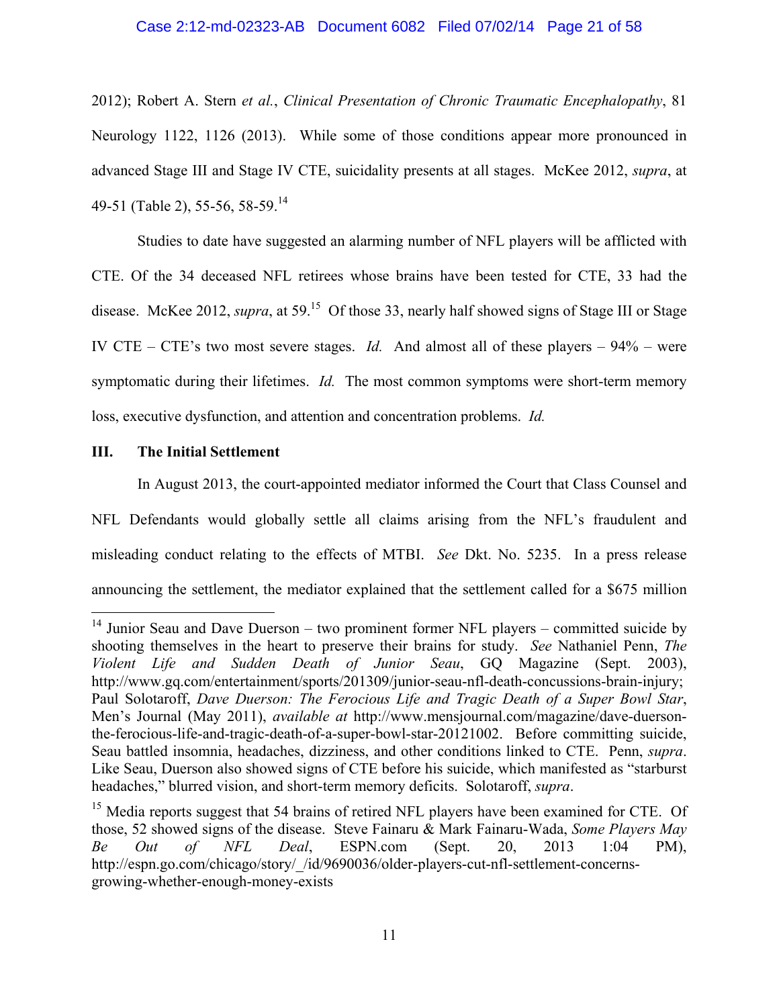### Case 2:12-md-02323-AB Document 6082 Filed 07/02/14 Page 21 of 58

2012); Robert A. Stern *et al.*, *Clinical Presentation of Chronic Traumatic Encephalopathy*, 81 Neurology 1122, 1126 (2013). While some of those conditions appear more pronounced in advanced Stage III and Stage IV CTE, suicidality presents at all stages. McKee 2012, *supra*, at 49-51 (Table 2), 55-56, 58-59.<sup>14</sup>

Studies to date have suggested an alarming number of NFL players will be afflicted with CTE. Of the 34 deceased NFL retirees whose brains have been tested for CTE, 33 had the disease. McKee 2012, *supra*, at 59.<sup>15</sup> Of those 33, nearly half showed signs of Stage III or Stage IV CTE – CTE's two most severe stages. *Id.* And almost all of these players – 94% – were symptomatic during their lifetimes. *Id.* The most common symptoms were short-term memory loss, executive dysfunction, and attention and concentration problems. *Id.*

### **III. The Initial Settlement**

 $\overline{a}$ 

In August 2013, the court-appointed mediator informed the Court that Class Counsel and NFL Defendants would globally settle all claims arising from the NFL's fraudulent and misleading conduct relating to the effects of MTBI. *See* Dkt. No. 5235. In a press release announcing the settlement, the mediator explained that the settlement called for a \$675 million

<sup>&</sup>lt;sup>14</sup> Junior Seau and Dave Duerson – two prominent former NFL players – committed suicide by shooting themselves in the heart to preserve their brains for study. *See* Nathaniel Penn, *The Violent Life and Sudden Death of Junior Seau*, GQ Magazine (Sept. 2003), http://www.gq.com/entertainment/sports/201309/junior-seau-nfl-death-concussions-brain-injury; Paul Solotaroff, *Dave Duerson: The Ferocious Life and Tragic Death of a Super Bowl Star*, Men's Journal (May 2011), *available at* http://www.mensjournal.com/magazine/dave-duersonthe-ferocious-life-and-tragic-death-of-a-super-bowl-star-20121002. Before committing suicide, Seau battled insomnia, headaches, dizziness, and other conditions linked to CTE. Penn, *supra*. Like Seau, Duerson also showed signs of CTE before his suicide, which manifested as "starburst headaches," blurred vision, and short-term memory deficits. Solotaroff, *supra*.

<sup>&</sup>lt;sup>15</sup> Media reports suggest that 54 brains of retired NFL players have been examined for CTE. Of those, 52 showed signs of the disease. Steve Fainaru & Mark Fainaru-Wada, *Some Players May Be Out of NFL Deal*, ESPN.com (Sept. 20, 2013 1:04 PM), http://espn.go.com/chicago/story/\_/id/9690036/older-players-cut-nfl-settlement-concernsgrowing-whether-enough-money-exists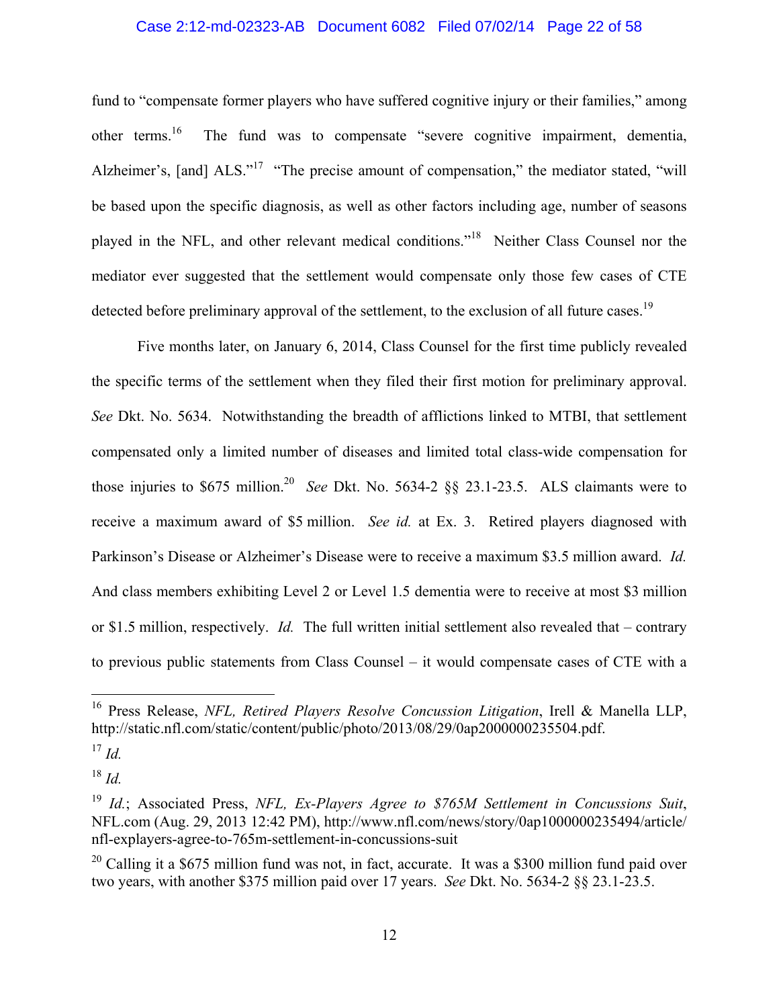### Case 2:12-md-02323-AB Document 6082 Filed 07/02/14 Page 22 of 58

fund to "compensate former players who have suffered cognitive injury or their families," among other terms.<sup>16</sup> The fund was to compensate "severe cognitive impairment, dementia, Alzheimer's, [and]  $ALS.^{17}$  "The precise amount of compensation," the mediator stated, "will be based upon the specific diagnosis, as well as other factors including age, number of seasons played in the NFL, and other relevant medical conditions."18 Neither Class Counsel nor the mediator ever suggested that the settlement would compensate only those few cases of CTE detected before preliminary approval of the settlement, to the exclusion of all future cases.<sup>19</sup>

Five months later, on January 6, 2014, Class Counsel for the first time publicly revealed the specific terms of the settlement when they filed their first motion for preliminary approval. *See* Dkt. No. 5634. Notwithstanding the breadth of afflictions linked to MTBI, that settlement compensated only a limited number of diseases and limited total class-wide compensation for those injuries to  $$675$  million.<sup>20</sup> *See Dkt. No.* 5634-2  $§$ § 23.1-23.5. ALS claimants were to receive a maximum award of \$5 million. *See id.* at Ex. 3. Retired players diagnosed with Parkinson's Disease or Alzheimer's Disease were to receive a maximum \$3.5 million award. *Id.* And class members exhibiting Level 2 or Level 1.5 dementia were to receive at most \$3 million or \$1.5 million, respectively. *Id.* The full written initial settlement also revealed that – contrary to previous public statements from Class Counsel – it would compensate cases of CTE with a

1

 $^{18}$  *Id.* 

<sup>16</sup> Press Release, *NFL, Retired Players Resolve Concussion Litigation*, Irell & Manella LLP, http://static.nfl.com/static/content/public/photo/2013/08/29/0ap2000000235504.pdf.

 $^{17}$  *Id.* 

<sup>19</sup> *Id.*; Associated Press, *NFL, Ex-Players Agree to \$765M Settlement in Concussions Suit*, NFL.com (Aug. 29, 2013 12:42 PM), http://www.nfl.com/news/story/0ap1000000235494/article/ nfl-explayers-agree-to-765m-settlement-in-concussions-suit

 $20$  Calling it a \$675 million fund was not, in fact, accurate. It was a \$300 million fund paid over two years, with another \$375 million paid over 17 years. *See* Dkt. No. 5634-2 §§ 23.1-23.5.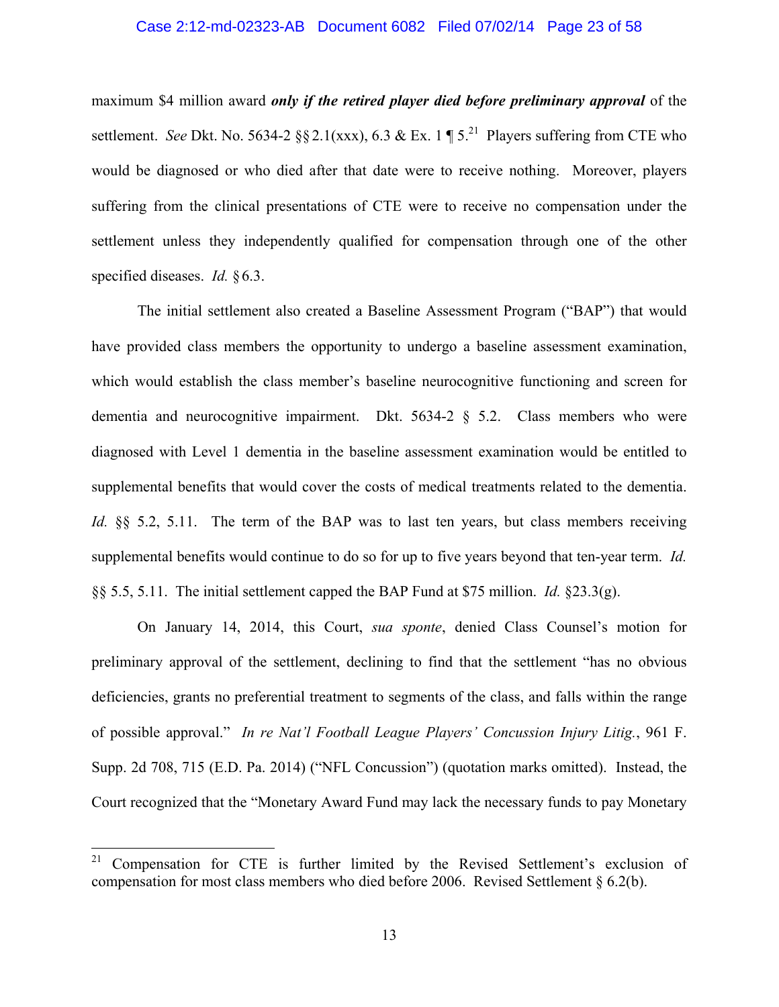#### Case 2:12-md-02323-AB Document 6082 Filed 07/02/14 Page 23 of 58

maximum \$4 million award *only if the retired player died before preliminary approval* of the settlement. *See* Dkt. No. 5634-2  $\S 2.1(xxx)$ , 6.3 & Ex. 1 ¶ 5.<sup>21</sup> Players suffering from CTE who would be diagnosed or who died after that date were to receive nothing. Moreover, players suffering from the clinical presentations of CTE were to receive no compensation under the settlement unless they independently qualified for compensation through one of the other specified diseases. *Id.* §6.3.

The initial settlement also created a Baseline Assessment Program ("BAP") that would have provided class members the opportunity to undergo a baseline assessment examination, which would establish the class member's baseline neurocognitive functioning and screen for dementia and neurocognitive impairment. Dkt.  $5634-2 \tS 5.2$ . Class members who were diagnosed with Level 1 dementia in the baseline assessment examination would be entitled to supplemental benefits that would cover the costs of medical treatments related to the dementia. *Id.* §§ 5.2, 5.11. The term of the BAP was to last ten years, but class members receiving supplemental benefits would continue to do so for up to five years beyond that ten-year term. *Id.* §§ 5.5, 5.11. The initial settlement capped the BAP Fund at \$75 million. *Id.* §23.3(g).

On January 14, 2014, this Court, *sua sponte*, denied Class Counsel's motion for preliminary approval of the settlement, declining to find that the settlement "has no obvious deficiencies, grants no preferential treatment to segments of the class, and falls within the range of possible approval." *In re Nat'l Football League Players' Concussion Injury Litig.*, 961 F. Supp. 2d 708, 715 (E.D. Pa. 2014) ("NFL Concussion") (quotation marks omitted). Instead, the Court recognized that the "Monetary Award Fund may lack the necessary funds to pay Monetary

<sup>21</sup> 21 Compensation for CTE is further limited by the Revised Settlement's exclusion of compensation for most class members who died before 2006. Revised Settlement § 6.2(b).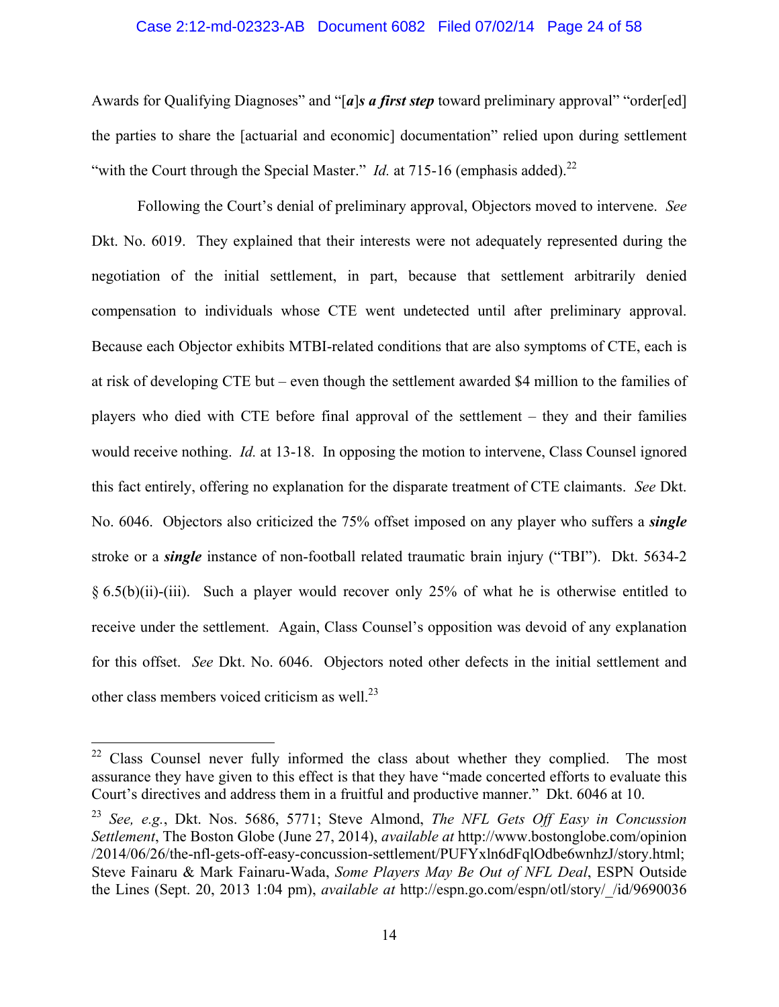#### Case 2:12-md-02323-AB Document 6082 Filed 07/02/14 Page 24 of 58

Awards for Qualifying Diagnoses" and "[a]s a first step toward preliminary approval" "order[ed] the parties to share the [actuarial and economic] documentation" relied upon during settlement "with the Court through the Special Master." *Id.* at 715-16 (emphasis added).<sup>22</sup>

Following the Court's denial of preliminary approval, Objectors moved to intervene. *See*  Dkt. No. 6019. They explained that their interests were not adequately represented during the negotiation of the initial settlement, in part, because that settlement arbitrarily denied compensation to individuals whose CTE went undetected until after preliminary approval. Because each Objector exhibits MTBI-related conditions that are also symptoms of CTE, each is at risk of developing CTE but – even though the settlement awarded \$4 million to the families of players who died with CTE before final approval of the settlement – they and their families would receive nothing. *Id.* at 13-18. In opposing the motion to intervene, Class Counsel ignored this fact entirely, offering no explanation for the disparate treatment of CTE claimants. *See* Dkt. No. 6046. Objectors also criticized the 75% offset imposed on any player who suffers a *single* stroke or a *single* instance of non-football related traumatic brain injury ("TBI"). Dkt. 5634-2 § 6.5(b)(ii)-(iii). Such a player would recover only 25% of what he is otherwise entitled to receive under the settlement. Again, Class Counsel's opposition was devoid of any explanation for this offset. *See* Dkt. No. 6046. Objectors noted other defects in the initial settlement and other class members voiced criticism as well.<sup>23</sup>

 $22$  Class Counsel never fully informed the class about whether they complied. The most assurance they have given to this effect is that they have "made concerted efforts to evaluate this Court's directives and address them in a fruitful and productive manner." Dkt. 6046 at 10.

<sup>23</sup> *See, e.g.*, Dkt. Nos. 5686, 5771; Steve Almond, *The NFL Gets Off Easy in Concussion Settlement*, The Boston Globe (June 27, 2014), *available at* http://www.bostonglobe.com/opinion /2014/06/26/the-nfl-gets-off-easy-concussion-settlement/PUFYxln6dFqlOdbe6wnhzJ/story.html; Steve Fainaru & Mark Fainaru-Wada, *Some Players May Be Out of NFL Deal*, ESPN Outside the Lines (Sept. 20, 2013 1:04 pm), *available at* http://espn.go.com/espn/otl/story/\_/id/9690036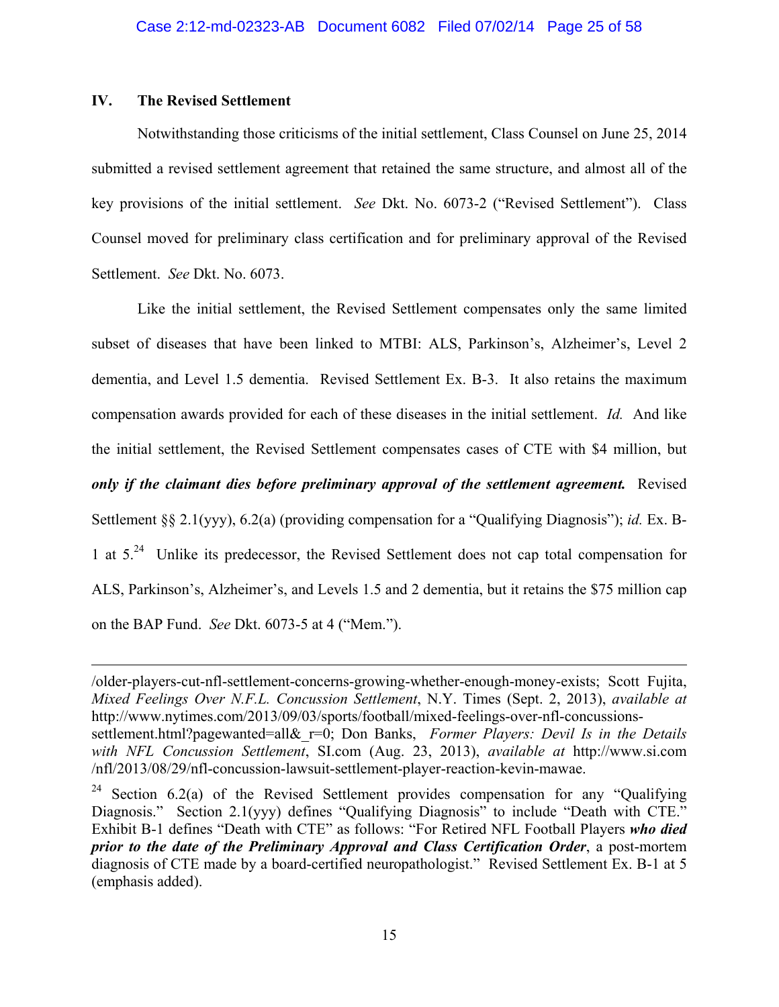## **IV. The Revised Settlement**

 $\overline{a}$ 

Notwithstanding those criticisms of the initial settlement, Class Counsel on June 25, 2014 submitted a revised settlement agreement that retained the same structure, and almost all of the key provisions of the initial settlement. *See* Dkt. No. 6073-2 ("Revised Settlement"). Class Counsel moved for preliminary class certification and for preliminary approval of the Revised Settlement. *See* Dkt. No. 6073.

Like the initial settlement, the Revised Settlement compensates only the same limited subset of diseases that have been linked to MTBI: ALS, Parkinson's, Alzheimer's, Level 2 dementia, and Level 1.5 dementia. Revised Settlement Ex. B-3. It also retains the maximum compensation awards provided for each of these diseases in the initial settlement. *Id.* And like the initial settlement, the Revised Settlement compensates cases of CTE with \$4 million, but *only if the claimant dies before preliminary approval of the settlement agreement.* Revised Settlement §§ 2.1(yyy), 6.2(a) (providing compensation for a "Qualifying Diagnosis"); *id.* Ex. B-1 at 5.24 Unlike its predecessor, the Revised Settlement does not cap total compensation for ALS, Parkinson's, Alzheimer's, and Levels 1.5 and 2 dementia, but it retains the \$75 million cap on the BAP Fund. *See* Dkt. 6073-5 at 4 ("Mem.").

<sup>/</sup>older-players-cut-nfl-settlement-concerns-growing-whether-enough-money-exists; Scott Fujita, *Mixed Feelings Over N.F.L. Concussion Settlement*, N.Y. Times (Sept. 2, 2013), *available at*  http://www.nytimes.com/2013/09/03/sports/football/mixed-feelings-over-nfl-concussionssettlement.html?pagewanted=all& r=0; Don Banks, *Former Players: Devil Is in the Details with NFL Concussion Settlement*, SI.com (Aug. 23, 2013), *available at* http://www.si.com /nfl/2013/08/29/nfl-concussion-lawsuit-settlement-player-reaction-kevin-mawae.

<sup>&</sup>lt;sup>24</sup> Section 6.2(a) of the Revised Settlement provides compensation for any "Qualifying Diagnosis." Section 2.1(yyy) defines "Qualifying Diagnosis" to include "Death with CTE." Exhibit B-1 defines "Death with CTE" as follows: "For Retired NFL Football Players *who died prior to the date of the Preliminary Approval and Class Certification Order*, a post-mortem diagnosis of CTE made by a board-certified neuropathologist." Revised Settlement Ex. B-1 at 5 (emphasis added).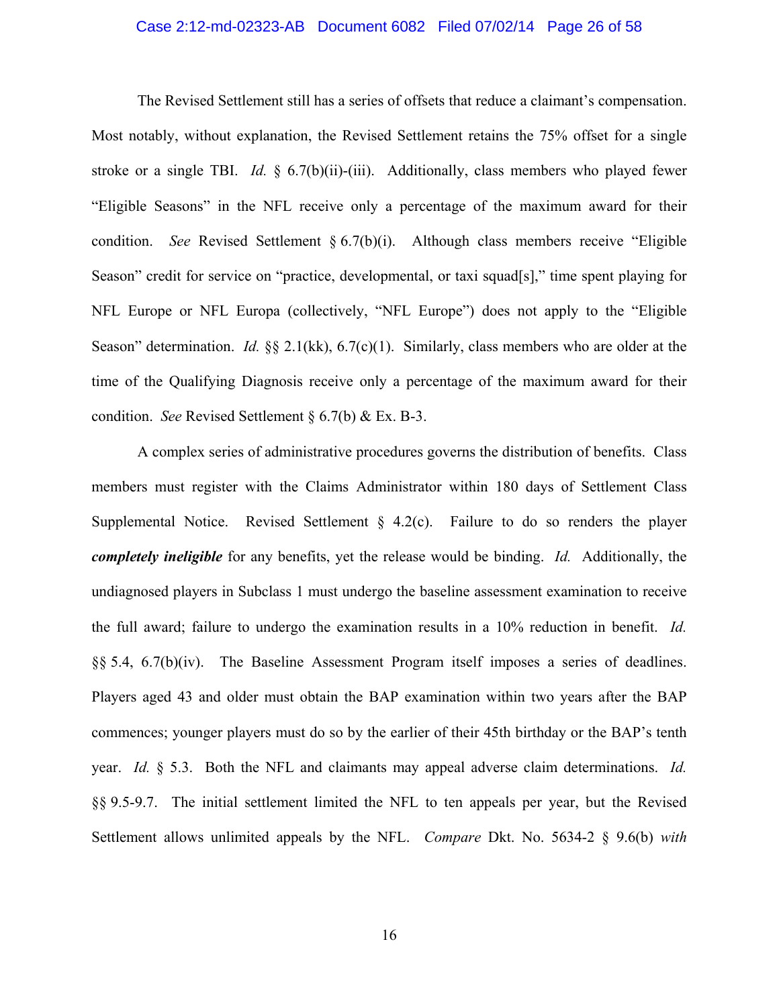#### Case 2:12-md-02323-AB Document 6082 Filed 07/02/14 Page 26 of 58

The Revised Settlement still has a series of offsets that reduce a claimant's compensation. Most notably, without explanation, the Revised Settlement retains the 75% offset for a single stroke or a single TBI. *Id.* § 6.7(b)(ii)-(iii). Additionally, class members who played fewer "Eligible Seasons" in the NFL receive only a percentage of the maximum award for their condition. *See* Revised Settlement § 6.7(b)(i). Although class members receive "Eligible Season" credit for service on "practice, developmental, or taxi squad[s]," time spent playing for NFL Europe or NFL Europa (collectively, "NFL Europe") does not apply to the "Eligible Season" determination. *Id.* §§ 2.1(kk), 6.7(c)(1). Similarly, class members who are older at the time of the Qualifying Diagnosis receive only a percentage of the maximum award for their condition. *See* Revised Settlement § 6.7(b) & Ex. B-3.

A complex series of administrative procedures governs the distribution of benefits. Class members must register with the Claims Administrator within 180 days of Settlement Class Supplemental Notice. Revised Settlement  $\S$  4.2(c). Failure to do so renders the player *completely ineligible* for any benefits, yet the release would be binding. *Id.* Additionally, the undiagnosed players in Subclass 1 must undergo the baseline assessment examination to receive the full award; failure to undergo the examination results in a 10% reduction in benefit. *Id.* §§ 5.4, 6.7(b)(iv). The Baseline Assessment Program itself imposes a series of deadlines. Players aged 43 and older must obtain the BAP examination within two years after the BAP commences; younger players must do so by the earlier of their 45th birthday or the BAP's tenth year. *Id.* § 5.3. Both the NFL and claimants may appeal adverse claim determinations. *Id.* §§ 9.5-9.7. The initial settlement limited the NFL to ten appeals per year, but the Revised Settlement allows unlimited appeals by the NFL. *Compare* Dkt. No. 5634-2 § 9.6(b) *with*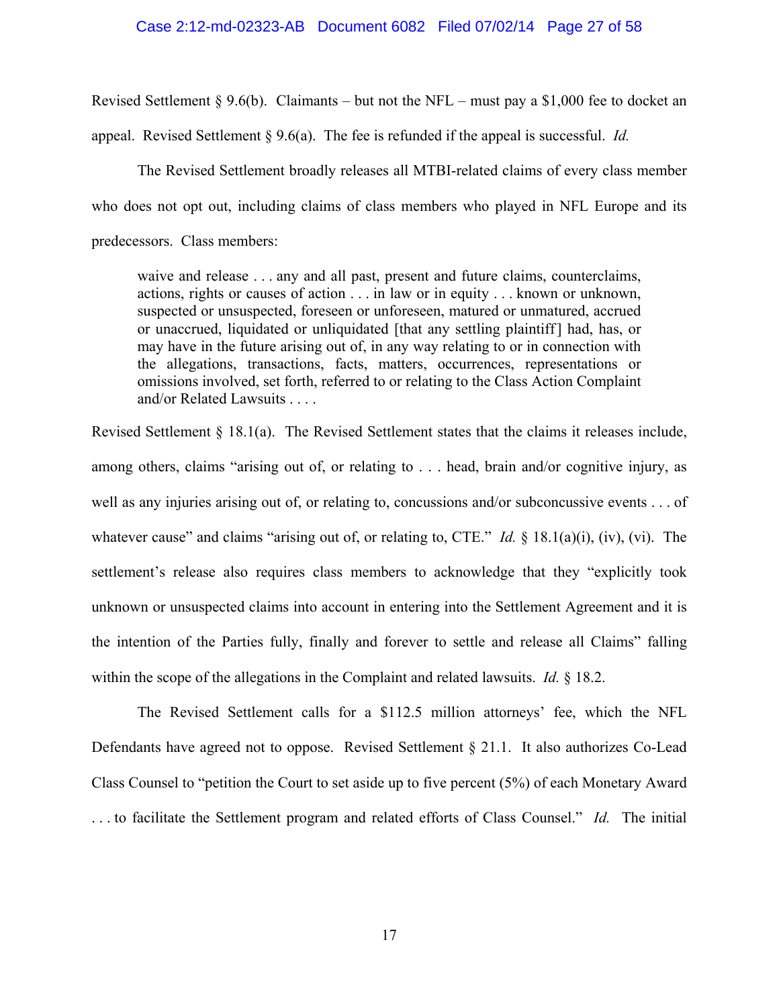#### Case 2:12-md-02323-AB Document 6082 Filed 07/02/14 Page 27 of 58

Revised Settlement § 9.6(b). Claimants – but not the NFL – must pay a \$1,000 fee to docket an

appeal. Revised Settlement § 9.6(a). The fee is refunded if the appeal is successful. *Id.*

The Revised Settlement broadly releases all MTBI-related claims of every class member who does not opt out, including claims of class members who played in NFL Europe and its predecessors. Class members:

waive and release . . . any and all past, present and future claims, counterclaims, actions, rights or causes of action . . . in law or in equity . . . known or unknown, suspected or unsuspected, foreseen or unforeseen, matured or unmatured, accrued or unaccrued, liquidated or unliquidated [that any settling plaintiff] had, has, or may have in the future arising out of, in any way relating to or in connection with the allegations, transactions, facts, matters, occurrences, representations or omissions involved, set forth, referred to or relating to the Class Action Complaint and/or Related Lawsuits . . . .

Revised Settlement § 18.1(a). The Revised Settlement states that the claims it releases include, among others, claims "arising out of, or relating to . . . head, brain and/or cognitive injury, as well as any injuries arising out of, or relating to, concussions and/or subconcussive events . . . of whatever cause" and claims "arising out of, or relating to, CTE." *Id.* § 18.1(a)(i), (iv), (vi). The settlement's release also requires class members to acknowledge that they "explicitly took unknown or unsuspected claims into account in entering into the Settlement Agreement and it is the intention of the Parties fully, finally and forever to settle and release all Claims" falling within the scope of the allegations in the Complaint and related lawsuits. *Id.* § 18.2.

The Revised Settlement calls for a \$112.5 million attorneys' fee, which the NFL Defendants have agreed not to oppose. Revised Settlement § 21.1. It also authorizes Co-Lead Class Counsel to "petition the Court to set aside up to five percent (5%) of each Monetary Award . . . to facilitate the Settlement program and related efforts of Class Counsel." *Id.* The initial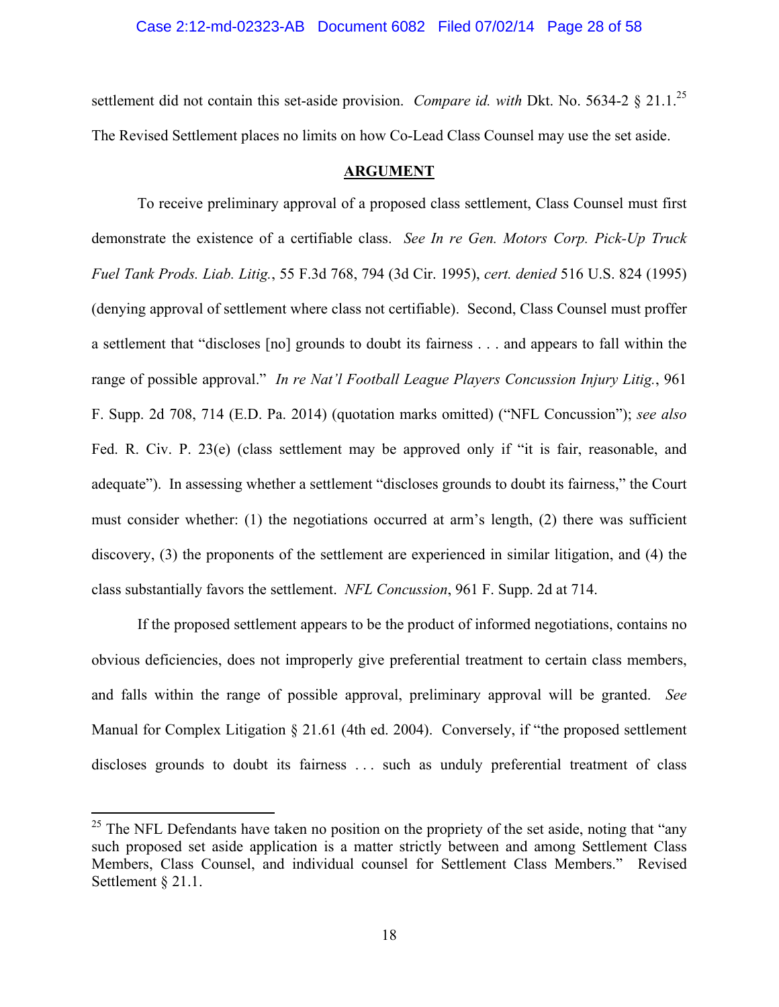#### Case 2:12-md-02323-AB Document 6082 Filed 07/02/14 Page 28 of 58

settlement did not contain this set-aside provision. *Compare id. with* Dkt. No. 5634-2 § 21.1.<sup>25</sup> The Revised Settlement places no limits on how Co-Lead Class Counsel may use the set aside.

### **ARGUMENT**

To receive preliminary approval of a proposed class settlement, Class Counsel must first demonstrate the existence of a certifiable class. *See In re Gen. Motors Corp. Pick-Up Truck Fuel Tank Prods. Liab. Litig.*, 55 F.3d 768, 794 (3d Cir. 1995), *cert. denied* 516 U.S. 824 (1995) (denying approval of settlement where class not certifiable). Second, Class Counsel must proffer a settlement that "discloses [no] grounds to doubt its fairness . . . and appears to fall within the range of possible approval." *In re Nat'l Football League Players Concussion Injury Litig.*, 961 F. Supp. 2d 708, 714 (E.D. Pa. 2014) (quotation marks omitted) ("NFL Concussion"); *see also*  Fed. R. Civ. P. 23(e) (class settlement may be approved only if "it is fair, reasonable, and adequate"). In assessing whether a settlement "discloses grounds to doubt its fairness," the Court must consider whether: (1) the negotiations occurred at arm's length, (2) there was sufficient discovery, (3) the proponents of the settlement are experienced in similar litigation, and (4) the class substantially favors the settlement. *NFL Concussion*, 961 F. Supp. 2d at 714.

If the proposed settlement appears to be the product of informed negotiations, contains no obvious deficiencies, does not improperly give preferential treatment to certain class members, and falls within the range of possible approval, preliminary approval will be granted. *See* Manual for Complex Litigation § 21.61 (4th ed. 2004). Conversely, if "the proposed settlement discloses grounds to doubt its fairness ... such as unduly preferential treatment of class

1

 $^{25}$  The NFL Defendants have taken no position on the propriety of the set aside, noting that "any such proposed set aside application is a matter strictly between and among Settlement Class Members, Class Counsel, and individual counsel for Settlement Class Members." Revised Settlement § 21.1.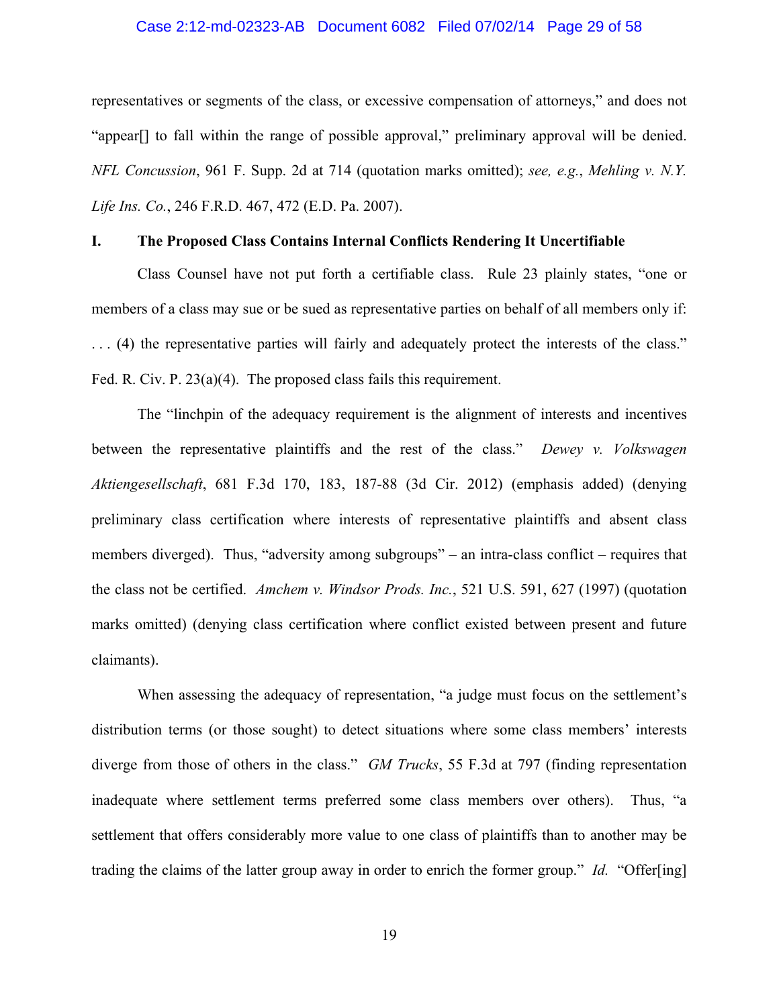#### Case 2:12-md-02323-AB Document 6082 Filed 07/02/14 Page 29 of 58

representatives or segments of the class, or excessive compensation of attorneys," and does not "appear[] to fall within the range of possible approval," preliminary approval will be denied. *NFL Concussion*, 961 F. Supp. 2d at 714 (quotation marks omitted); *see, e.g.*, *Mehling v. N.Y. Life Ins. Co.*, 246 F.R.D. 467, 472 (E.D. Pa. 2007).

### **I. The Proposed Class Contains Internal Conflicts Rendering It Uncertifiable**

Class Counsel have not put forth a certifiable class. Rule 23 plainly states, "one or members of a class may sue or be sued as representative parties on behalf of all members only if: . . . (4) the representative parties will fairly and adequately protect the interests of the class." Fed. R. Civ. P. 23(a)(4). The proposed class fails this requirement.

The "linchpin of the adequacy requirement is the alignment of interests and incentives between the representative plaintiffs and the rest of the class." *Dewey v. Volkswagen Aktiengesellschaft*, 681 F.3d 170, 183, 187-88 (3d Cir. 2012) (emphasis added) (denying preliminary class certification where interests of representative plaintiffs and absent class members diverged). Thus, "adversity among subgroups" – an intra-class conflict – requires that the class not be certified. *Amchem v. Windsor Prods. Inc.*, 521 U.S. 591, 627 (1997) (quotation marks omitted) (denying class certification where conflict existed between present and future claimants).

When assessing the adequacy of representation, "a judge must focus on the settlement's distribution terms (or those sought) to detect situations where some class members' interests diverge from those of others in the class." *GM Trucks*, 55 F.3d at 797 (finding representation inadequate where settlement terms preferred some class members over others). Thus, "a settlement that offers considerably more value to one class of plaintiffs than to another may be trading the claims of the latter group away in order to enrich the former group." *Id.* "Offer[ing]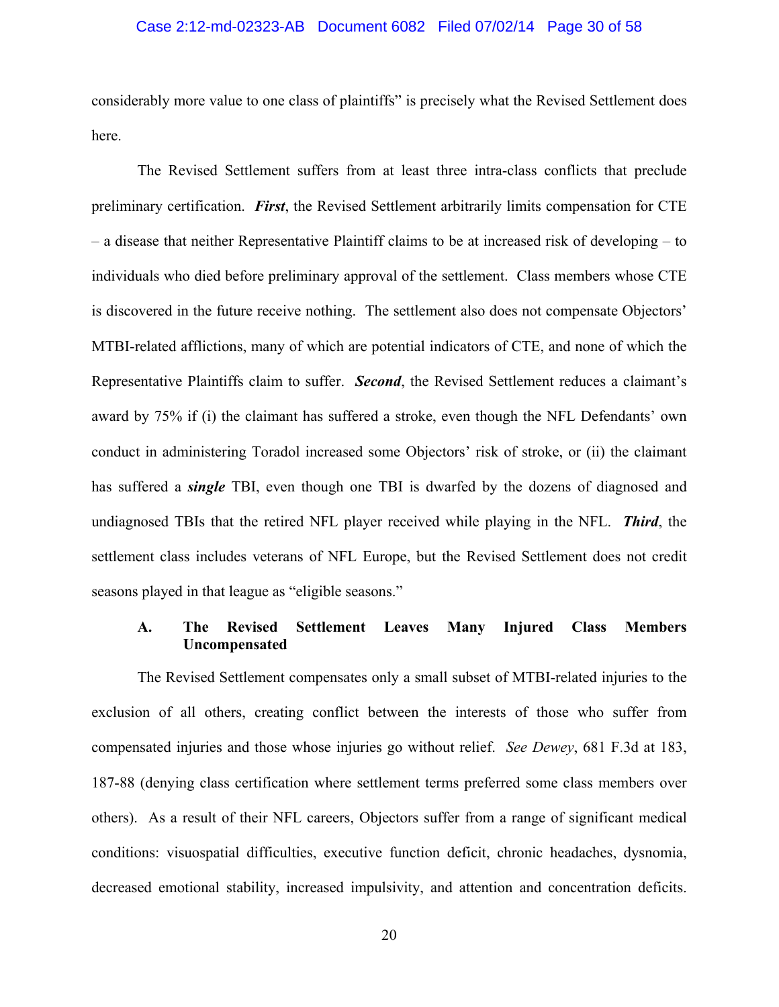#### Case 2:12-md-02323-AB Document 6082 Filed 07/02/14 Page 30 of 58

considerably more value to one class of plaintiffs" is precisely what the Revised Settlement does here.

The Revised Settlement suffers from at least three intra-class conflicts that preclude preliminary certification. *First*, the Revised Settlement arbitrarily limits compensation for CTE – a disease that neither Representative Plaintiff claims to be at increased risk of developing – to individuals who died before preliminary approval of the settlement. Class members whose CTE is discovered in the future receive nothing. The settlement also does not compensate Objectors' MTBI-related afflictions, many of which are potential indicators of CTE, and none of which the Representative Plaintiffs claim to suffer. *Second*, the Revised Settlement reduces a claimant's award by 75% if (i) the claimant has suffered a stroke, even though the NFL Defendants' own conduct in administering Toradol increased some Objectors' risk of stroke, or (ii) the claimant has suffered a *single* TBI, even though one TBI is dwarfed by the dozens of diagnosed and undiagnosed TBIs that the retired NFL player received while playing in the NFL. *Third*, the settlement class includes veterans of NFL Europe, but the Revised Settlement does not credit seasons played in that league as "eligible seasons."

### **A. The Revised Settlement Leaves Many Injured Class Members Uncompensated**

The Revised Settlement compensates only a small subset of MTBI-related injuries to the exclusion of all others, creating conflict between the interests of those who suffer from compensated injuries and those whose injuries go without relief. *See Dewey*, 681 F.3d at 183, 187-88 (denying class certification where settlement terms preferred some class members over others). As a result of their NFL careers, Objectors suffer from a range of significant medical conditions: visuospatial difficulties, executive function deficit, chronic headaches, dysnomia, decreased emotional stability, increased impulsivity, and attention and concentration deficits.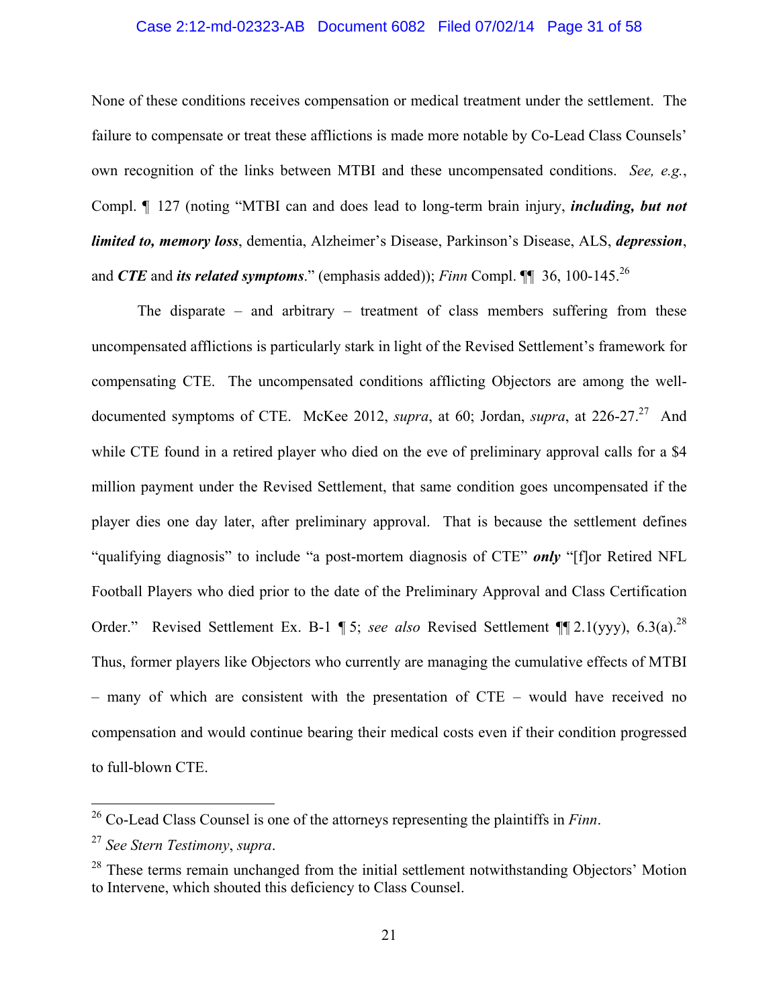#### Case 2:12-md-02323-AB Document 6082 Filed 07/02/14 Page 31 of 58

None of these conditions receives compensation or medical treatment under the settlement. The failure to compensate or treat these afflictions is made more notable by Co-Lead Class Counsels' own recognition of the links between MTBI and these uncompensated conditions. *See, e.g.*, Compl. ¶ 127 (noting "MTBI can and does lead to long-term brain injury, *including, but not limited to, memory loss*, dementia, Alzheimer's Disease, Parkinson's Disease, ALS, *depression*, and *CTE* and *its related symptoms*." (emphasis added)); *Finn* Compl. ¶ 36, 100-145.<sup>26</sup>

The disparate – and arbitrary – treatment of class members suffering from these uncompensated afflictions is particularly stark in light of the Revised Settlement's framework for compensating CTE. The uncompensated conditions afflicting Objectors are among the welldocumented symptoms of CTE. McKee 2012, *supra*, at 60; Jordan, *supra*, at 226-27.<sup>27</sup> And while CTE found in a retired player who died on the eve of preliminary approval calls for a \$4 million payment under the Revised Settlement, that same condition goes uncompensated if the player dies one day later, after preliminary approval. That is because the settlement defines "qualifying diagnosis" to include "a post-mortem diagnosis of CTE" *only* "[f]or Retired NFL Football Players who died prior to the date of the Preliminary Approval and Class Certification Order." Revised Settlement Ex. B-1 ¶ 5; *see also* Revised Settlement ¶¶ 2.1(yyy), 6.3(a).28 Thus, former players like Objectors who currently are managing the cumulative effects of MTBI – many of which are consistent with the presentation of CTE – would have received no compensation and would continue bearing their medical costs even if their condition progressed to full-blown CTE.

1

<sup>26</sup> Co-Lead Class Counsel is one of the attorneys representing the plaintiffs in *Finn*.

<sup>27</sup> *See Stern Testimony*, *supra*.

 $28$  These terms remain unchanged from the initial settlement notwithstanding Objectors' Motion to Intervene, which shouted this deficiency to Class Counsel.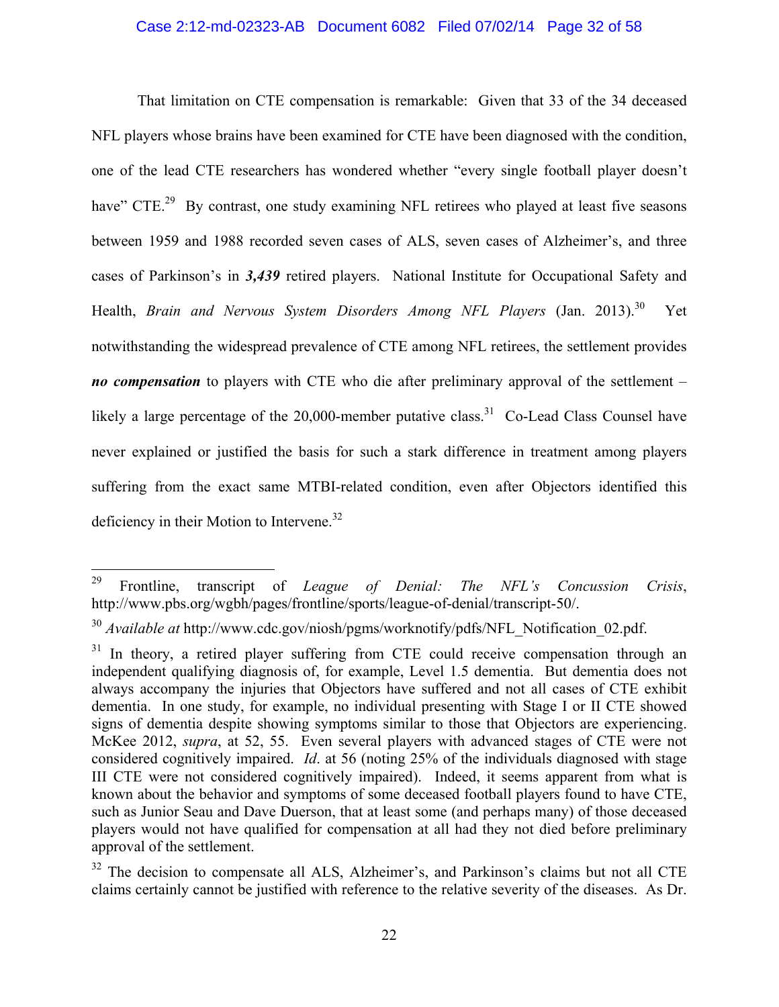### Case 2:12-md-02323-AB Document 6082 Filed 07/02/14 Page 32 of 58

That limitation on CTE compensation is remarkable: Given that 33 of the 34 deceased NFL players whose brains have been examined for CTE have been diagnosed with the condition, one of the lead CTE researchers has wondered whether "every single football player doesn't have" CTE.<sup>29</sup> By contrast, one study examining NFL retirees who played at least five seasons between 1959 and 1988 recorded seven cases of ALS, seven cases of Alzheimer's, and three cases of Parkinson's in *3,439* retired players. National Institute for Occupational Safety and Health, *Brain and Nervous System Disorders Among NFL Players* (Jan. 2013).<sup>30</sup> Yet notwithstanding the widespread prevalence of CTE among NFL retirees, the settlement provides *no compensation* to players with CTE who die after preliminary approval of the settlement – likely a large percentage of the  $20,000$ -member putative class.<sup>31</sup> Co-Lead Class Counsel have never explained or justified the basis for such a stark difference in treatment among players suffering from the exact same MTBI-related condition, even after Objectors identified this deficiency in their Motion to Intervene.<sup>32</sup>

 $29\,$ 29 Frontline, transcript of *League of Denial: The NFL's Concussion Crisis*, http://www.pbs.org/wgbh/pages/frontline/sports/league-of-denial/transcript-50/.

<sup>&</sup>lt;sup>30</sup> *Available at* http://www.cdc.gov/niosh/pgms/worknotify/pdfs/NFL\_Notification\_02.pdf.

In theory, a retired player suffering from CTE could receive compensation through an independent qualifying diagnosis of, for example, Level 1.5 dementia. But dementia does not always accompany the injuries that Objectors have suffered and not all cases of CTE exhibit dementia. In one study, for example, no individual presenting with Stage I or II CTE showed signs of dementia despite showing symptoms similar to those that Objectors are experiencing. McKee 2012, *supra*, at 52, 55. Even several players with advanced stages of CTE were not considered cognitively impaired. *Id*. at 56 (noting 25% of the individuals diagnosed with stage III CTE were not considered cognitively impaired). Indeed, it seems apparent from what is known about the behavior and symptoms of some deceased football players found to have CTE, such as Junior Seau and Dave Duerson, that at least some (and perhaps many) of those deceased players would not have qualified for compensation at all had they not died before preliminary approval of the settlement.

 $32$  The decision to compensate all ALS, Alzheimer's, and Parkinson's claims but not all CTE claims certainly cannot be justified with reference to the relative severity of the diseases. As Dr.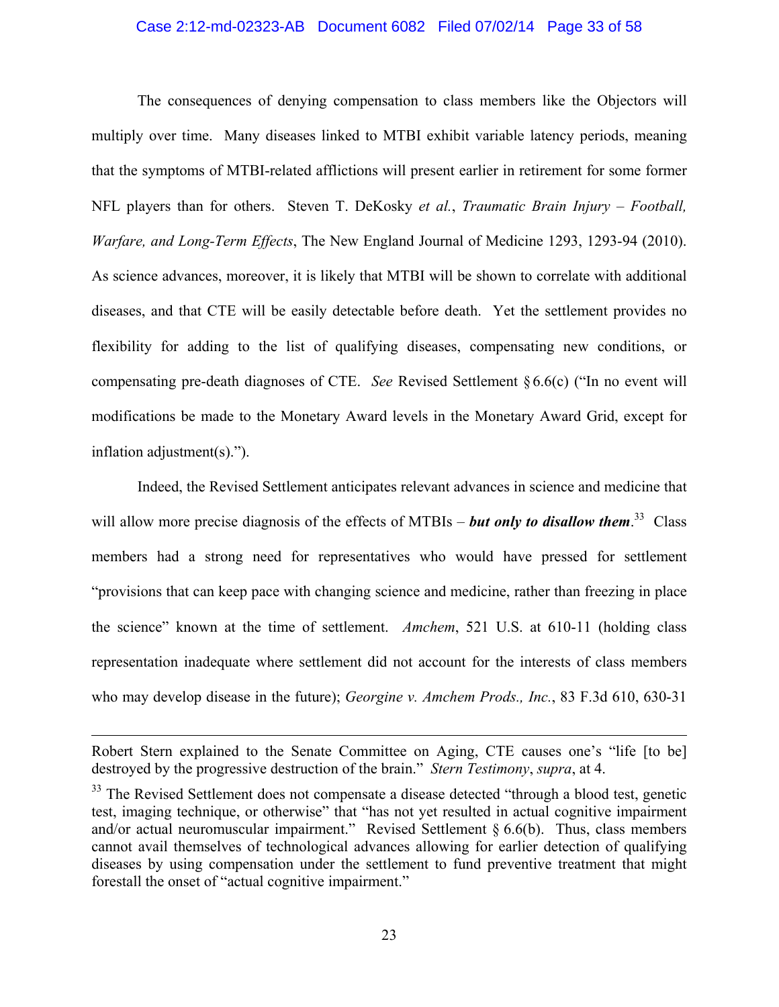#### Case 2:12-md-02323-AB Document 6082 Filed 07/02/14 Page 33 of 58

The consequences of denying compensation to class members like the Objectors will multiply over time. Many diseases linked to MTBI exhibit variable latency periods, meaning that the symptoms of MTBI-related afflictions will present earlier in retirement for some former NFL players than for others. Steven T. DeKosky *et al.*, *Traumatic Brain Injury – Football, Warfare, and Long-Term Effects*, The New England Journal of Medicine 1293, 1293-94 (2010). As science advances, moreover, it is likely that MTBI will be shown to correlate with additional diseases, and that CTE will be easily detectable before death. Yet the settlement provides no flexibility for adding to the list of qualifying diseases, compensating new conditions, or compensating pre-death diagnoses of CTE. *See* Revised Settlement §6.6(c) ("In no event will modifications be made to the Monetary Award levels in the Monetary Award Grid, except for inflation adjustment(s).").

Indeed, the Revised Settlement anticipates relevant advances in science and medicine that will allow more precise diagnosis of the effects of MTBIs – *but only to disallow them*.<sup>33</sup> Class members had a strong need for representatives who would have pressed for settlement "provisions that can keep pace with changing science and medicine, rather than freezing in place the science" known at the time of settlement. *Amchem*, 521 U.S. at 610-11 (holding class representation inadequate where settlement did not account for the interests of class members who may develop disease in the future); *Georgine v. Amchem Prods., Inc.*, 83 F.3d 610, 630-31

1

Robert Stern explained to the Senate Committee on Aging, CTE causes one's "life [to be] destroyed by the progressive destruction of the brain." *Stern Testimony*, *supra*, at 4.

<sup>&</sup>lt;sup>33</sup> The Revised Settlement does not compensate a disease detected "through a blood test, genetic test, imaging technique, or otherwise" that "has not yet resulted in actual cognitive impairment and/or actual neuromuscular impairment." Revised Settlement  $\S 6.6(b)$ . Thus, class members cannot avail themselves of technological advances allowing for earlier detection of qualifying diseases by using compensation under the settlement to fund preventive treatment that might forestall the onset of "actual cognitive impairment."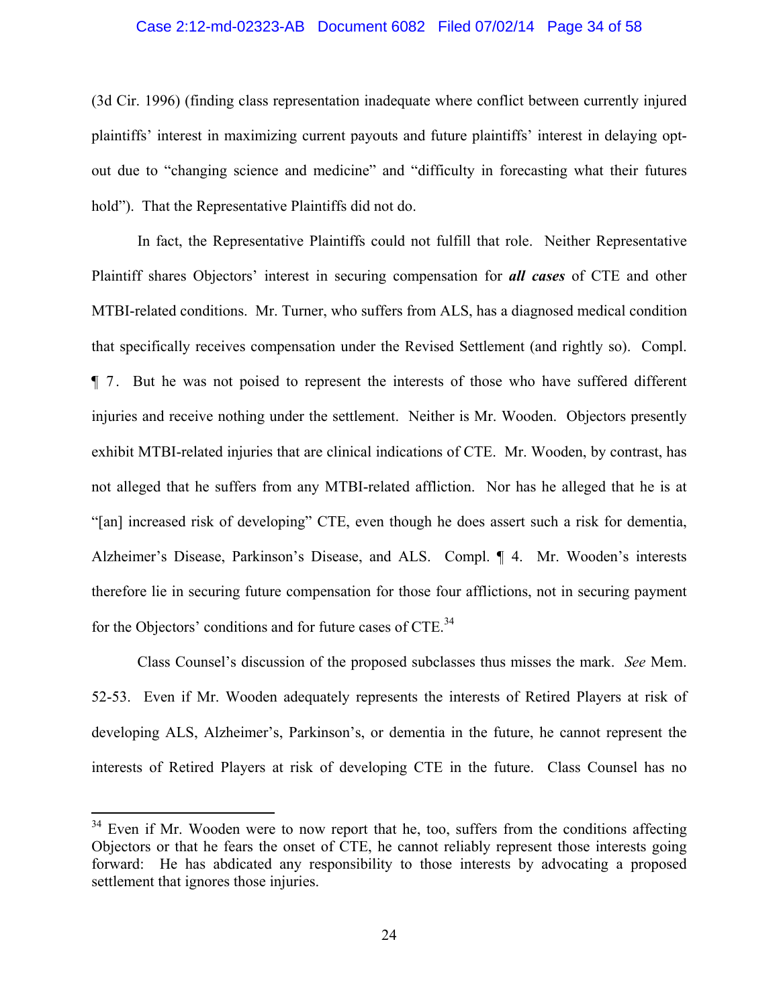#### Case 2:12-md-02323-AB Document 6082 Filed 07/02/14 Page 34 of 58

(3d Cir. 1996) (finding class representation inadequate where conflict between currently injured plaintiffs' interest in maximizing current payouts and future plaintiffs' interest in delaying optout due to "changing science and medicine" and "difficulty in forecasting what their futures hold"). That the Representative Plaintiffs did not do.

In fact, the Representative Plaintiffs could not fulfill that role. Neither Representative Plaintiff shares Objectors' interest in securing compensation for *all cases* of CTE and other MTBI-related conditions. Mr. Turner, who suffers from ALS, has a diagnosed medical condition that specifically receives compensation under the Revised Settlement (and rightly so). Compl. ¶ 7. But he was not poised to represent the interests of those who have suffered different injuries and receive nothing under the settlement. Neither is Mr. Wooden. Objectors presently exhibit MTBI-related injuries that are clinical indications of CTE. Mr. Wooden, by contrast, has not alleged that he suffers from any MTBI-related affliction. Nor has he alleged that he is at "[an] increased risk of developing" CTE, even though he does assert such a risk for dementia, Alzheimer's Disease, Parkinson's Disease, and ALS. Compl. ¶ 4. Mr. Wooden's interests therefore lie in securing future compensation for those four afflictions, not in securing payment for the Objectors' conditions and for future cases of CTE.<sup>34</sup>

Class Counsel's discussion of the proposed subclasses thus misses the mark. *See* Mem. 52-53. Even if Mr. Wooden adequately represents the interests of Retired Players at risk of developing ALS, Alzheimer's, Parkinson's, or dementia in the future, he cannot represent the interests of Retired Players at risk of developing CTE in the future. Class Counsel has no

 $34$  Even if Mr. Wooden were to now report that he, too, suffers from the conditions affecting Objectors or that he fears the onset of CTE, he cannot reliably represent those interests going forward: He has abdicated any responsibility to those interests by advocating a proposed settlement that ignores those injuries.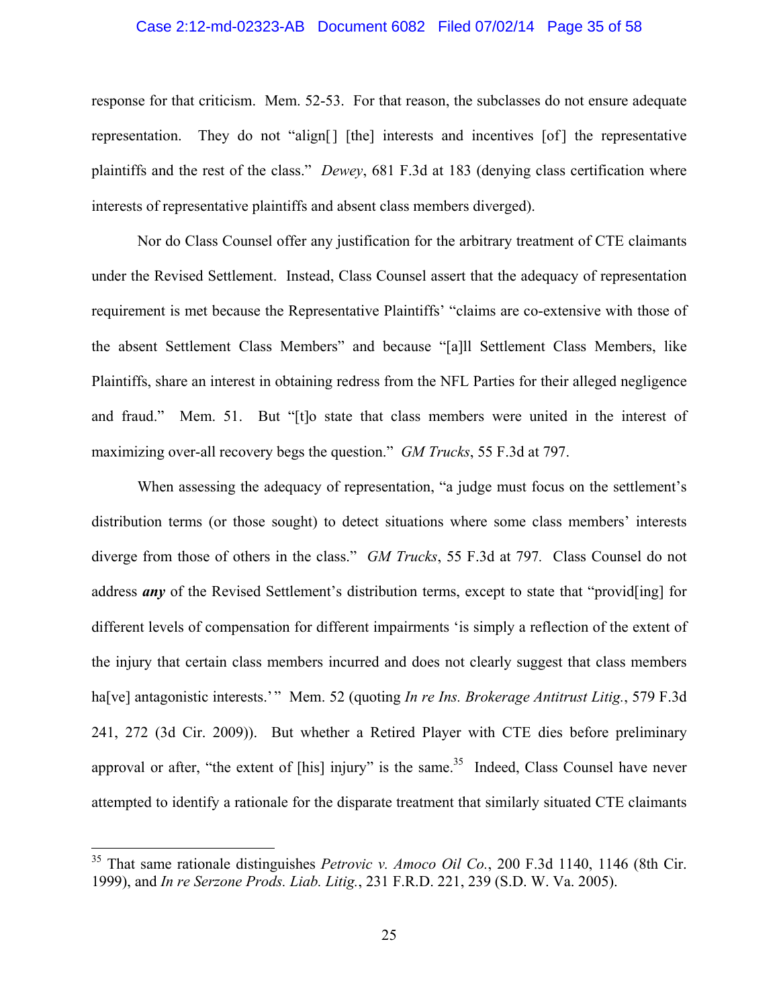#### Case 2:12-md-02323-AB Document 6082 Filed 07/02/14 Page 35 of 58

response for that criticism. Mem. 52-53. For that reason, the subclasses do not ensure adequate representation. They do not "align[] [the] interests and incentives [of ] the representative plaintiffs and the rest of the class." *Dewey*, 681 F.3d at 183 (denying class certification where interests of representative plaintiffs and absent class members diverged).

Nor do Class Counsel offer any justification for the arbitrary treatment of CTE claimants under the Revised Settlement. Instead, Class Counsel assert that the adequacy of representation requirement is met because the Representative Plaintiffs' "claims are co-extensive with those of the absent Settlement Class Members" and because "[a]ll Settlement Class Members, like Plaintiffs, share an interest in obtaining redress from the NFL Parties for their alleged negligence and fraud." Mem. 51. But "[t]o state that class members were united in the interest of maximizing over-all recovery begs the question." *GM Trucks*, 55 F.3d at 797.

When assessing the adequacy of representation, "a judge must focus on the settlement's distribution terms (or those sought) to detect situations where some class members' interests diverge from those of others in the class." *GM Trucks*, 55 F.3d at 797*.* Class Counsel do not address *any* of the Revised Settlement's distribution terms, except to state that "provid[ing] for different levels of compensation for different impairments 'is simply a reflection of the extent of the injury that certain class members incurred and does not clearly suggest that class members ha[ve] antagonistic interests.'" Mem. 52 (quoting *In re Ins. Brokerage Antitrust Litig.*, 579 F.3d 241, 272 (3d Cir. 2009)). But whether a Retired Player with CTE dies before preliminary approval or after, "the extent of [his] injury" is the same.<sup>35</sup> Indeed, Class Counsel have never attempted to identify a rationale for the disparate treatment that similarly situated CTE claimants

<sup>35</sup> That same rationale distinguishes *Petrovic v. Amoco Oil Co.*, 200 F.3d 1140, 1146 (8th Cir. 1999), and *In re Serzone Prods. Liab. Litig.*, 231 F.R.D. 221, 239 (S.D. W. Va. 2005).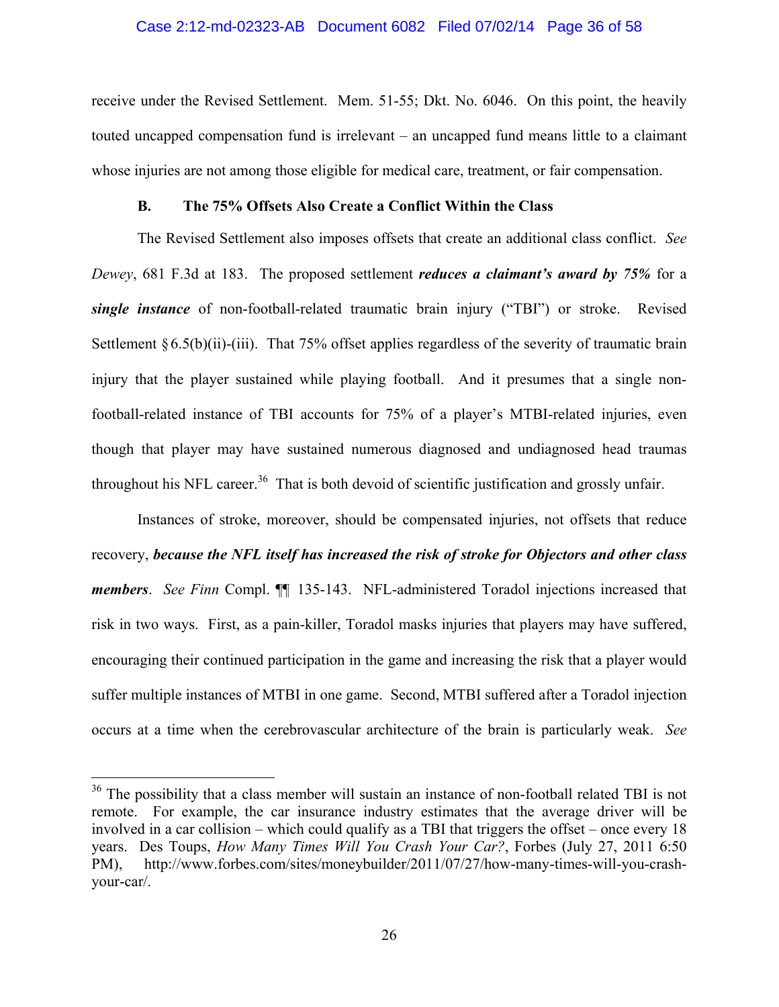#### Case 2:12-md-02323-AB Document 6082 Filed 07/02/14 Page 36 of 58

receive under the Revised Settlement. Mem. 51-55; Dkt. No. 6046. On this point, the heavily touted uncapped compensation fund is irrelevant – an uncapped fund means little to a claimant whose injuries are not among those eligible for medical care, treatment, or fair compensation.

### **B. The 75% Offsets Also Create a Conflict Within the Class**

The Revised Settlement also imposes offsets that create an additional class conflict. *See Dewey*, 681 F.3d at 183. The proposed settlement *reduces a claimant's award by 75%* for a *single instance* of non-football-related traumatic brain injury ("TBI") or stroke. Revised Settlement  $\S 6.5(b)(ii)$ -(iii). That 75% offset applies regardless of the severity of traumatic brain injury that the player sustained while playing football. And it presumes that a single nonfootball-related instance of TBI accounts for 75% of a player's MTBI-related injuries, even though that player may have sustained numerous diagnosed and undiagnosed head traumas throughout his NFL career.<sup>36</sup> That is both devoid of scientific justification and grossly unfair.

Instances of stroke, moreover, should be compensated injuries, not offsets that reduce recovery, *because the NFL itself has increased the risk of stroke for Objectors and other class members*. *See Finn* Compl. ¶¶ 135-143. NFL-administered Toradol injections increased that risk in two ways. First, as a pain-killer, Toradol masks injuries that players may have suffered, encouraging their continued participation in the game and increasing the risk that a player would suffer multiple instances of MTBI in one game. Second, MTBI suffered after a Toradol injection occurs at a time when the cerebrovascular architecture of the brain is particularly weak. *See* 

<sup>&</sup>lt;sup>36</sup> The possibility that a class member will sustain an instance of non-football related TBI is not remote. For example, the car insurance industry estimates that the average driver will be involved in a car collision – which could qualify as a TBI that triggers the offset – once every 18 years. Des Toups, *How Many Times Will You Crash Your Car?*, Forbes (July 27, 2011 6:50 PM), http://www.forbes.com/sites/moneybuilder/2011/07/27/how-many-times-will-you-crashyour-car/.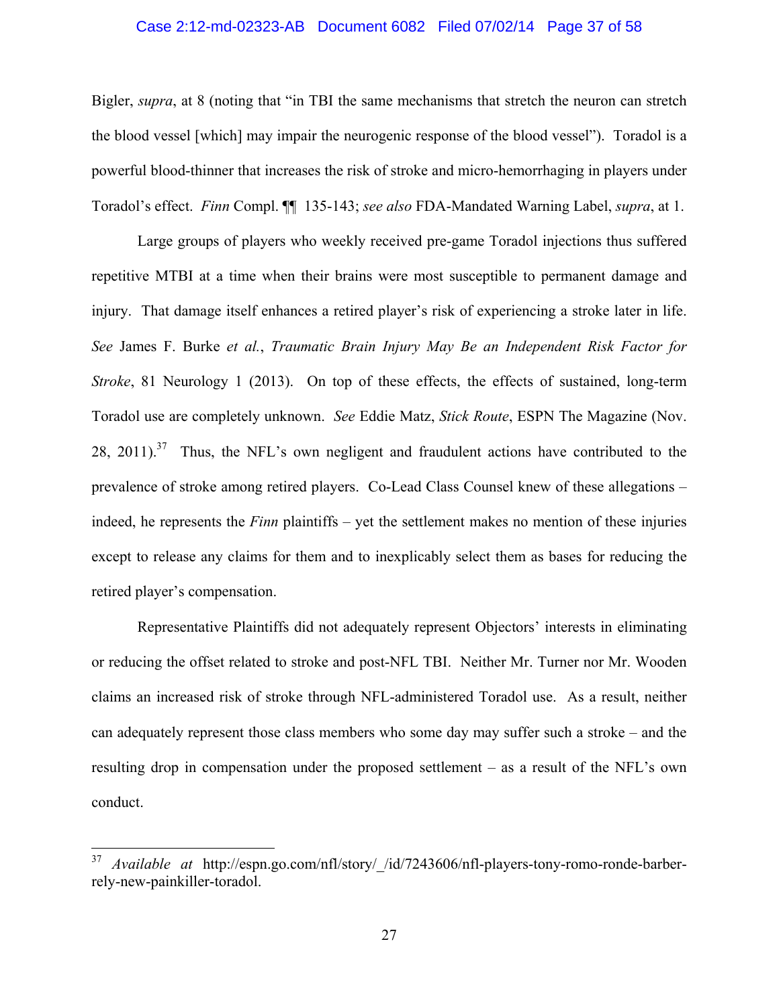#### Case 2:12-md-02323-AB Document 6082 Filed 07/02/14 Page 37 of 58

Bigler, *supra*, at 8 (noting that "in TBI the same mechanisms that stretch the neuron can stretch the blood vessel [which] may impair the neurogenic response of the blood vessel"). Toradol is a powerful blood-thinner that increases the risk of stroke and micro-hemorrhaging in players under Toradol's effect. *Finn* Compl. ¶¶ 135-143; *see also* FDA-Mandated Warning Label, *supra*, at 1.

Large groups of players who weekly received pre-game Toradol injections thus suffered repetitive MTBI at a time when their brains were most susceptible to permanent damage and injury. That damage itself enhances a retired player's risk of experiencing a stroke later in life. *See* James F. Burke *et al.*, *Traumatic Brain Injury May Be an Independent Risk Factor for Stroke*, 81 Neurology 1 (2013). On top of these effects, the effects of sustained, long-term Toradol use are completely unknown. *See* Eddie Matz, *Stick Route*, ESPN The Magazine (Nov. 28, 2011).<sup>37</sup> Thus, the NFL's own negligent and fraudulent actions have contributed to the prevalence of stroke among retired players. Co-Lead Class Counsel knew of these allegations – indeed, he represents the *Finn* plaintiffs – yet the settlement makes no mention of these injuries except to release any claims for them and to inexplicably select them as bases for reducing the retired player's compensation.

Representative Plaintiffs did not adequately represent Objectors' interests in eliminating or reducing the offset related to stroke and post-NFL TBI. Neither Mr. Turner nor Mr. Wooden claims an increased risk of stroke through NFL-administered Toradol use. As a result, neither can adequately represent those class members who some day may suffer such a stroke – and the resulting drop in compensation under the proposed settlement – as a result of the NFL's own conduct.

<sup>37</sup> *Available at* http://espn.go.com/nfl/story/\_/id/7243606/nfl-players-tony-romo-ronde-barberrely-new-painkiller-toradol.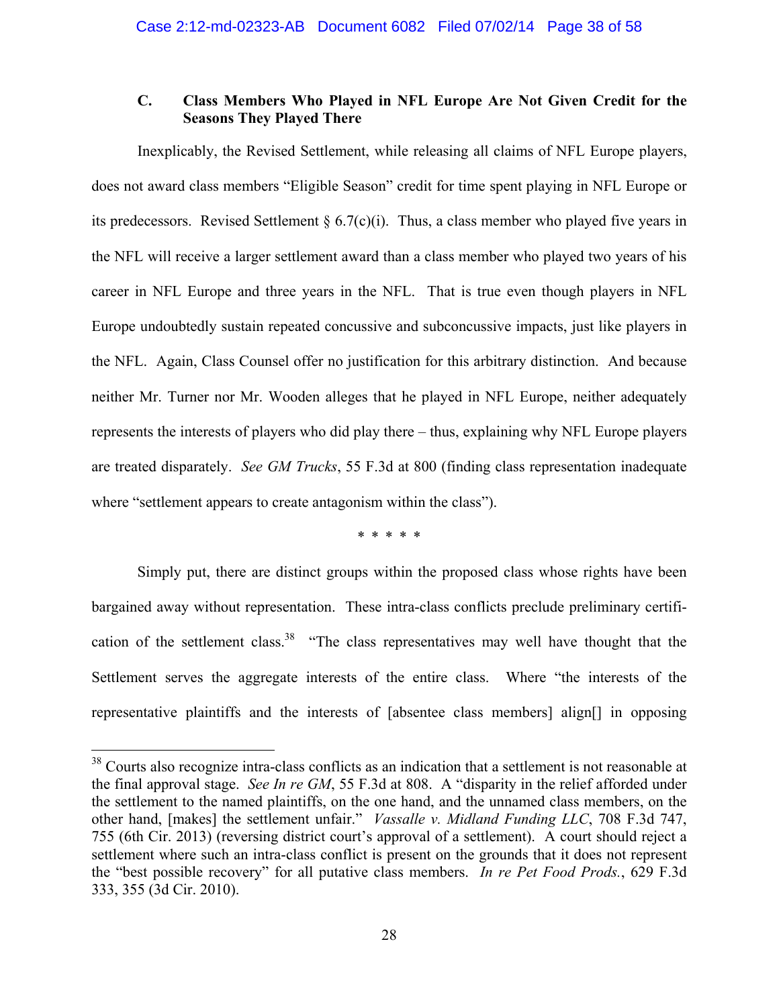# **C. Class Members Who Played in NFL Europe Are Not Given Credit for the Seasons They Played There**

Inexplicably, the Revised Settlement, while releasing all claims of NFL Europe players, does not award class members "Eligible Season" credit for time spent playing in NFL Europe or its predecessors. Revised Settlement  $\S 6.7(c)(i)$ . Thus, a class member who played five years in the NFL will receive a larger settlement award than a class member who played two years of his career in NFL Europe and three years in the NFL. That is true even though players in NFL Europe undoubtedly sustain repeated concussive and subconcussive impacts, just like players in the NFL. Again, Class Counsel offer no justification for this arbitrary distinction. And because neither Mr. Turner nor Mr. Wooden alleges that he played in NFL Europe, neither adequately represents the interests of players who did play there – thus, explaining why NFL Europe players are treated disparately. *See GM Trucks*, 55 F.3d at 800 (finding class representation inadequate where "settlement appears to create antagonism within the class").

\* \* \* \* \*

Simply put, there are distinct groups within the proposed class whose rights have been bargained away without representation. These intra-class conflicts preclude preliminary certification of the settlement class.<sup>38</sup> "The class representatives may well have thought that the Settlement serves the aggregate interests of the entire class. Where "the interests of the representative plaintiffs and the interests of [absentee class members] align[] in opposing

<sup>&</sup>lt;sup>38</sup> Courts also recognize intra-class conflicts as an indication that a settlement is not reasonable at the final approval stage. *See In re GM*, 55 F.3d at 808. A "disparity in the relief afforded under the settlement to the named plaintiffs, on the one hand, and the unnamed class members, on the other hand, [makes] the settlement unfair." *Vassalle v. Midland Funding LLC*, 708 F.3d 747, 755 (6th Cir. 2013) (reversing district court's approval of a settlement). A court should reject a settlement where such an intra-class conflict is present on the grounds that it does not represent the "best possible recovery" for all putative class members. *In re Pet Food Prods.*, 629 F.3d 333, 355 (3d Cir. 2010).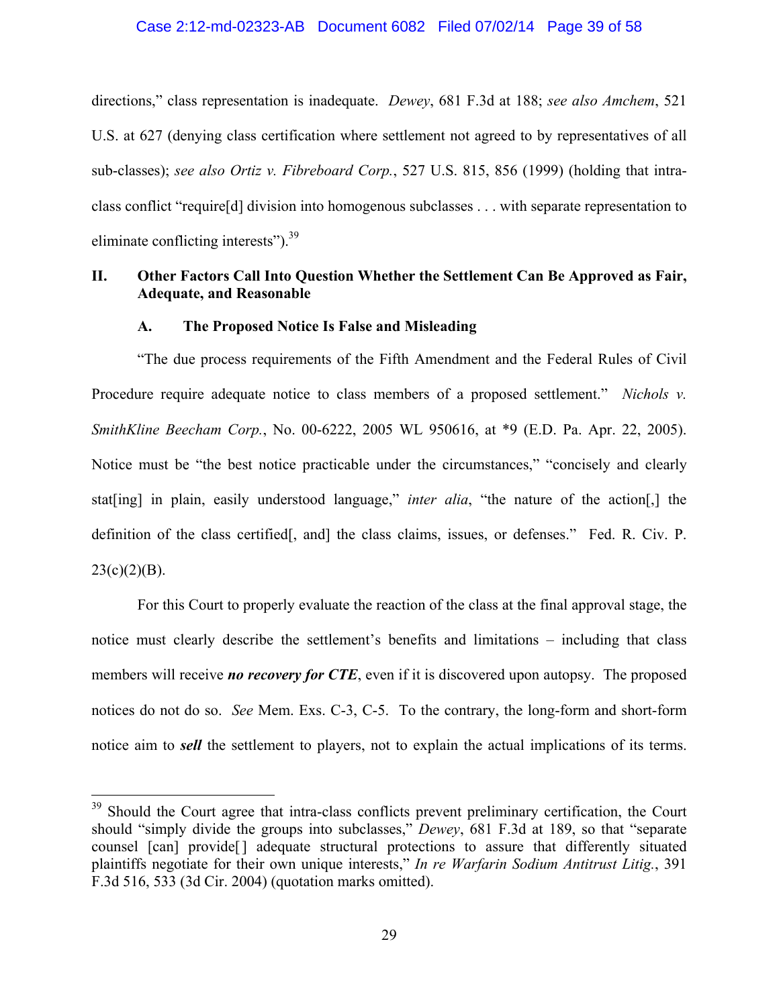directions," class representation is inadequate. *Dewey*, 681 F.3d at 188; *see also Amchem*, 521 U.S. at 627 (denying class certification where settlement not agreed to by representatives of all sub-classes); *see also Ortiz v. Fibreboard Corp.*, 527 U.S. 815, 856 (1999) (holding that intraclass conflict "require[d] division into homogenous subclasses . . . with separate representation to eliminate conflicting interests").  $39<sup>39</sup>$ 

# **II. Other Factors Call Into Question Whether the Settlement Can Be Approved as Fair, Adequate, and Reasonable**

## **A. The Proposed Notice Is False and Misleading**

"The due process requirements of the Fifth Amendment and the Federal Rules of Civil Procedure require adequate notice to class members of a proposed settlement." *Nichols v. SmithKline Beecham Corp.*, No. 00-6222, 2005 WL 950616, at \*9 (E.D. Pa. Apr. 22, 2005). Notice must be "the best notice practicable under the circumstances," "concisely and clearly stat[ing] in plain, easily understood language," *inter alia*, "the nature of the action[,] the definition of the class certified[, and] the class claims, issues, or defenses." Fed. R. Civ. P.  $23(c)(2)(B)$ .

For this Court to properly evaluate the reaction of the class at the final approval stage, the notice must clearly describe the settlement's benefits and limitations – including that class members will receive *no* recovery for CTE, even if it is discovered upon autopsy. The proposed notices do not do so. *See* Mem. Exs. C-3, C-5. To the contrary, the long-form and short-form notice aim to *sell* the settlement to players, not to explain the actual implications of its terms.

<u>.</u>

<sup>&</sup>lt;sup>39</sup> Should the Court agree that intra-class conflicts prevent preliminary certification, the Court should "simply divide the groups into subclasses," *Dewey*, 681 F.3d at 189, so that "separate counsel [can] provide[] adequate structural protections to assure that differently situated plaintiffs negotiate for their own unique interests," *In re Warfarin Sodium Antitrust Litig.*, 391 F.3d 516, 533 (3d Cir. 2004) (quotation marks omitted).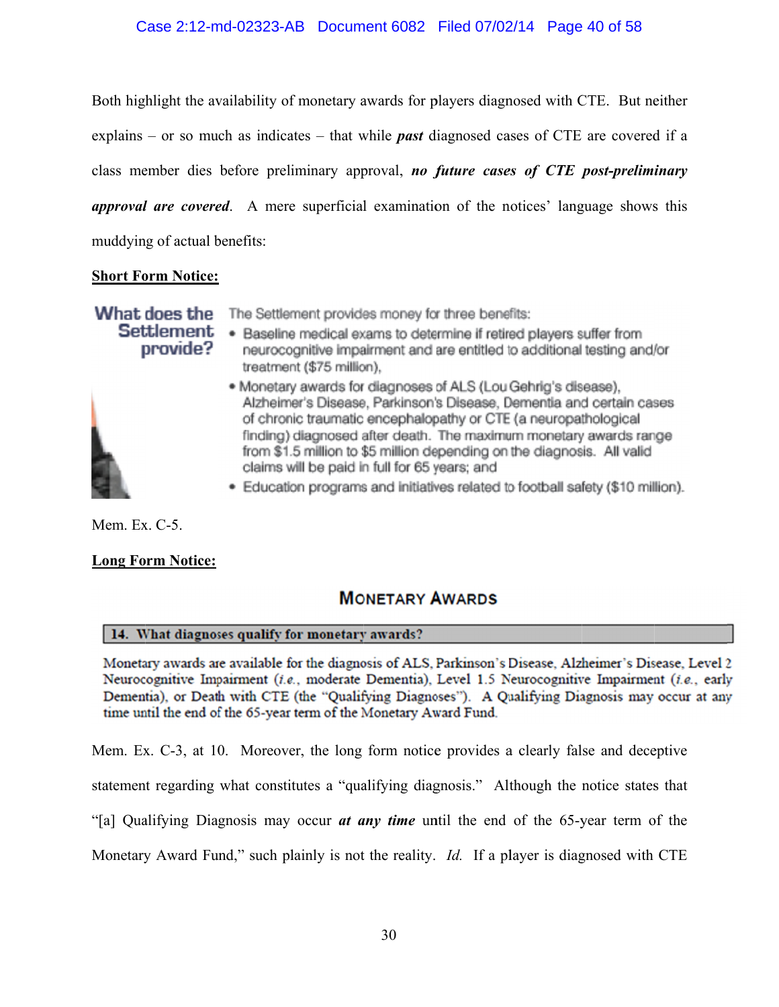# Case 2:12-md-02323-AB Document 6082 Filed 07/02/14 Page 40 of 58

Both highlight the availability of monetary awards for players diagnosed with CTE. But neither explains – or so much as indicates – that while *past* diagnosed cases of CTE are covered if a class member dies before preliminary approval, *no future cases of CTE post-preliminary* approval are covered. A mere superficial examination of the notices' language shows this muddying of actual benefits:

## **<u>Short Form Notice:</u>**

provide?

What does the The Settlement provides money for three benefits:

**Settlement** . Baseline medical exams to determine if retired players suffer from neurocognitive impairment and are entitled to additional testing and/or treatment (\$75 million),



- · Monetary awards for diagnoses of ALS (Lou Gehrig's disease). Alzheimer's Disease, Parkinson's Disease, Dementia and certain cases of chronic traumatic encephalopathy or CTE (a neuropathological finding) diagnosed after death. The maximum monetary awards range from \$1.5 million to \$5 million depending on the diagnosis. All valid claims will be paid in full for 65 years; and
- · Education programs and initiatives related to football safety (\$10 million).

Mem. Ex. C-5.

## **Long Form Notice:**

# **MONETARY AWARDS**

## 14. What diagnoses qualify for monetary awards?

Monetary awards are available for the diagnosis of ALS, Parkinson's Disease, Alzheimer's Disease, Level 2 Neurocognitive Impairment (i.e., moderate Dementia), Level 1.5 Neurocognitive Impairment (i.e., early Dementia), or Death with CTE (the "Qualifying Diagnoses"). A Qualifying Diagnosis may occur at any time until the end of the 65-year term of the Monetary Award Fund.

Mem. Ex. C-3, at 10. Moreover, the long form notice provides a clearly false and deceptive

statement regarding what constitutes a "qualifying diagnosis." Although the notice states that

"[a] Qualifying Diagnosis may occur *at any time* until the end of the 65-year term of the

Monetary Award Fund," such plainly is not the reality. *Id.* If a player is diagnosed with CTE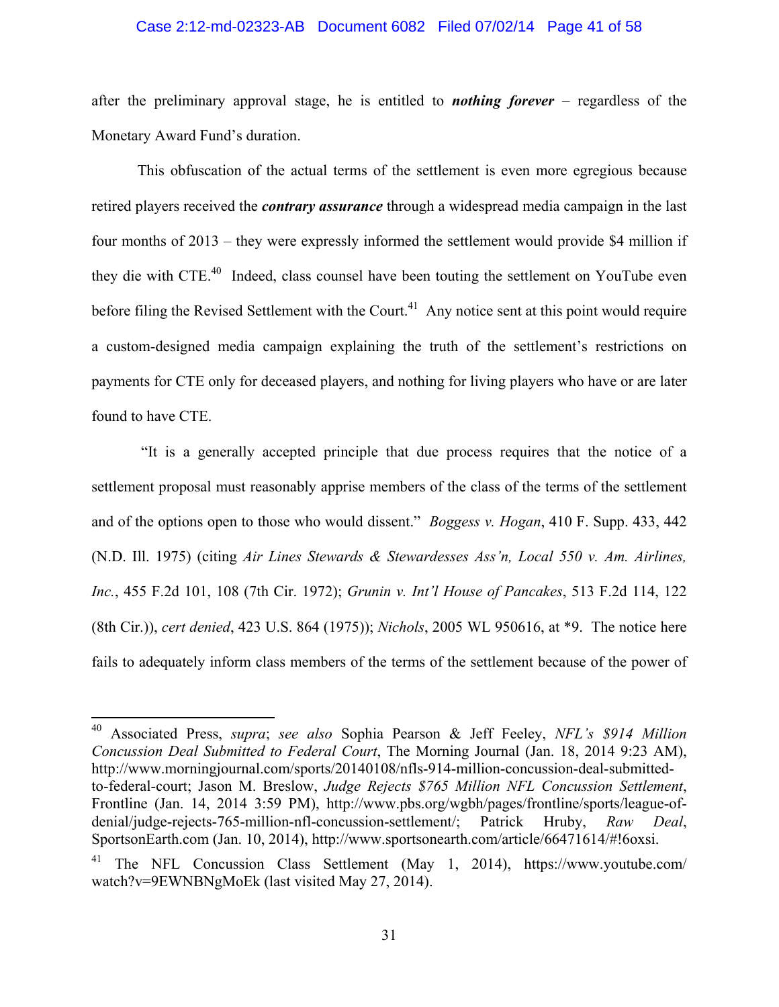#### Case 2:12-md-02323-AB Document 6082 Filed 07/02/14 Page 41 of 58

after the preliminary approval stage, he is entitled to *nothing forever* – regardless of the Monetary Award Fund's duration.

This obfuscation of the actual terms of the settlement is even more egregious because retired players received the *contrary assurance* through a widespread media campaign in the last four months of 2013 – they were expressly informed the settlement would provide \$4 million if they die with CTE.40 Indeed, class counsel have been touting the settlement on YouTube even before filing the Revised Settlement with the Court.<sup>41</sup> Any notice sent at this point would require a custom-designed media campaign explaining the truth of the settlement's restrictions on payments for CTE only for deceased players, and nothing for living players who have or are later found to have CTE.

 "It is a generally accepted principle that due process requires that the notice of a settlement proposal must reasonably apprise members of the class of the terms of the settlement and of the options open to those who would dissent." *Boggess v. Hogan*, 410 F. Supp. 433, 442 (N.D. Ill. 1975) (citing *Air Lines Stewards & Stewardesses Ass'n, Local 550 v. Am. Airlines, Inc.*, 455 F.2d 101, 108 (7th Cir. 1972); *Grunin v. Int'l House of Pancakes*, 513 F.2d 114, 122 (8th Cir.)), *cert denied*, 423 U.S. 864 (1975)); *Nichols*, 2005 WL 950616, at \*9. The notice here fails to adequately inform class members of the terms of the settlement because of the power of

<sup>40</sup> Associated Press, *supra*; *see also* Sophia Pearson & Jeff Feeley, *NFL's \$914 Million Concussion Deal Submitted to Federal Court*, The Morning Journal (Jan. 18, 2014 9:23 AM), http://www.morningjournal.com/sports/20140108/nfls-914-million-concussion-deal-submittedto-federal-court; Jason M. Breslow, *Judge Rejects \$765 Million NFL Concussion Settlement*, Frontline (Jan. 14, 2014 3:59 PM), http://www.pbs.org/wgbh/pages/frontline/sports/league-ofdenial/judge-rejects-765-million-nfl-concussion-settlement/; Patrick Hruby, *Raw Deal*, SportsonEarth.com (Jan. 10, 2014), http://www.sportsonearth.com/article/66471614/#!6oxsi.

The NFL Concussion Class Settlement (May 1, 2014), https://www.youtube.com/ watch?v=9EWNBNgMoEk (last visited May 27, 2014).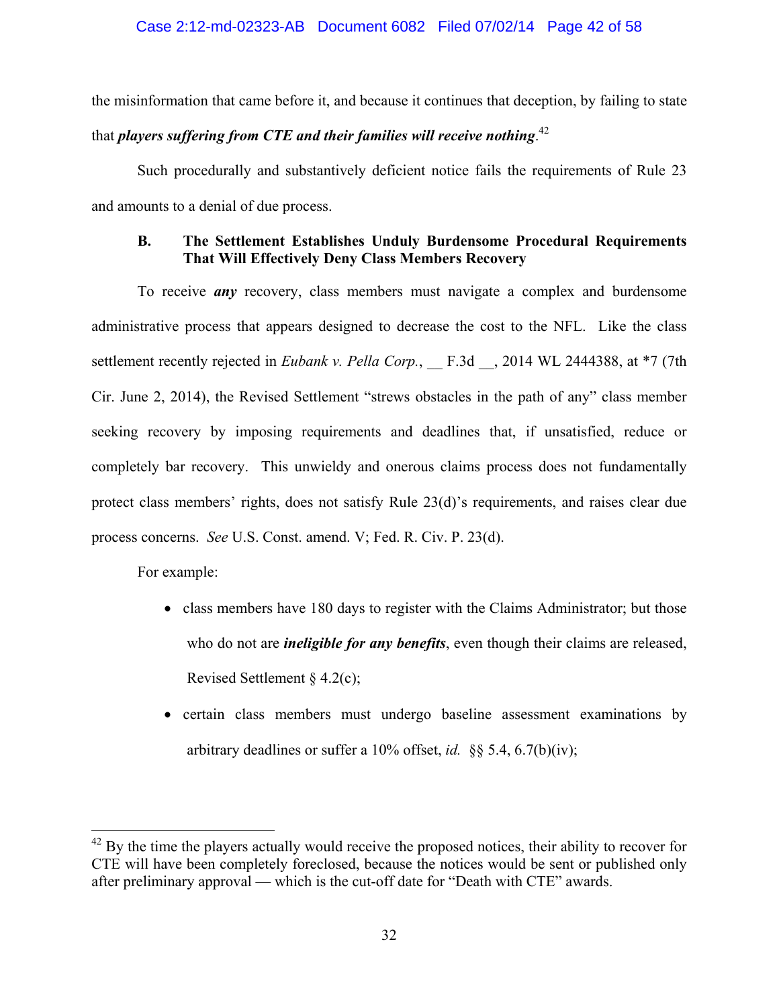the misinformation that came before it, and because it continues that deception, by failing to state that *players suffering from CTE and their families will receive nothing.* $^{42}$ 

Such procedurally and substantively deficient notice fails the requirements of Rule 23 and amounts to a denial of due process.

# **B. The Settlement Establishes Unduly Burdensome Procedural Requirements That Will Effectively Deny Class Members Recovery**

To receive *any* recovery, class members must navigate a complex and burdensome administrative process that appears designed to decrease the cost to the NFL. Like the class settlement recently rejected in *Eubank v. Pella Corp.*, F.3d , 2014 WL 2444388, at \*7 (7th Cir. June 2, 2014), the Revised Settlement "strews obstacles in the path of any" class member seeking recovery by imposing requirements and deadlines that, if unsatisfied, reduce or completely bar recovery. This unwieldy and onerous claims process does not fundamentally protect class members' rights, does not satisfy Rule 23(d)'s requirements, and raises clear due process concerns. *See* U.S. Const. amend. V; Fed. R. Civ. P. 23(d).

For example:

- class members have 180 days to register with the Claims Administrator; but those who do not are *ineligible for any benefits*, even though their claims are released, Revised Settlement § 4.2(c);
- certain class members must undergo baseline assessment examinations by arbitrary deadlines or suffer a 10% offset, *id.* §§ 5.4, 6.7(b)(iv);

 $42$  By the time the players actually would receive the proposed notices, their ability to recover for CTE will have been completely foreclosed, because the notices would be sent or published only after preliminary approval — which is the cut-off date for "Death with CTE" awards.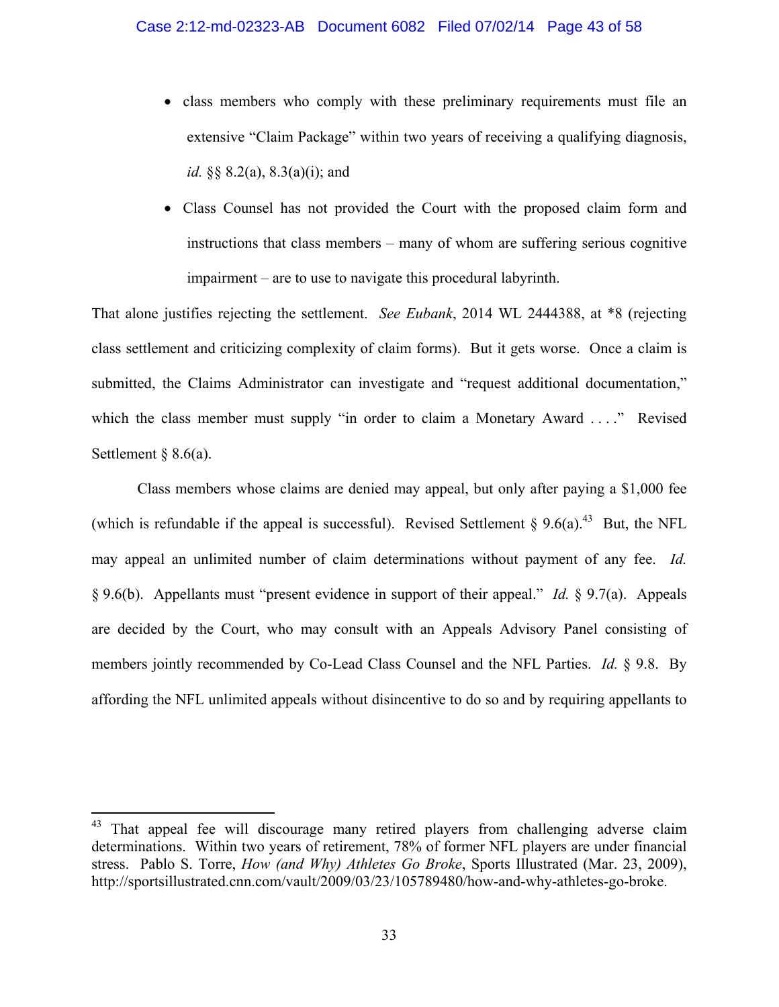- class members who comply with these preliminary requirements must file an extensive "Claim Package" within two years of receiving a qualifying diagnosis, *id.* §§ 8.2(a), 8.3(a)(i); and
- Class Counsel has not provided the Court with the proposed claim form and instructions that class members – many of whom are suffering serious cognitive impairment – are to use to navigate this procedural labyrinth.

That alone justifies rejecting the settlement. *See Eubank*, 2014 WL 2444388, at \*8 (rejecting class settlement and criticizing complexity of claim forms). But it gets worse. Once a claim is submitted, the Claims Administrator can investigate and "request additional documentation," which the class member must supply "in order to claim a Monetary Award ...." Revised Settlement  $\S$  8.6(a).

Class members whose claims are denied may appeal, but only after paying a \$1,000 fee (which is refundable if the appeal is successful). Revised Settlement § 9.6(a).<sup>43</sup> But, the NFL may appeal an unlimited number of claim determinations without payment of any fee. *Id.* § 9.6(b). Appellants must "present evidence in support of their appeal." *Id.* § 9.7(a). Appeals are decided by the Court, who may consult with an Appeals Advisory Panel consisting of members jointly recommended by Co-Lead Class Counsel and the NFL Parties. *Id.* § 9.8. By affording the NFL unlimited appeals without disincentive to do so and by requiring appellants to

<sup>&</sup>lt;sup>43</sup> That appeal fee will discourage many retired players from challenging adverse claim determinations. Within two years of retirement, 78% of former NFL players are under financial stress. Pablo S. Torre, *How (and Why) Athletes Go Broke*, Sports Illustrated (Mar. 23, 2009), http://sportsillustrated.cnn.com/vault/2009/03/23/105789480/how-and-why-athletes-go-broke.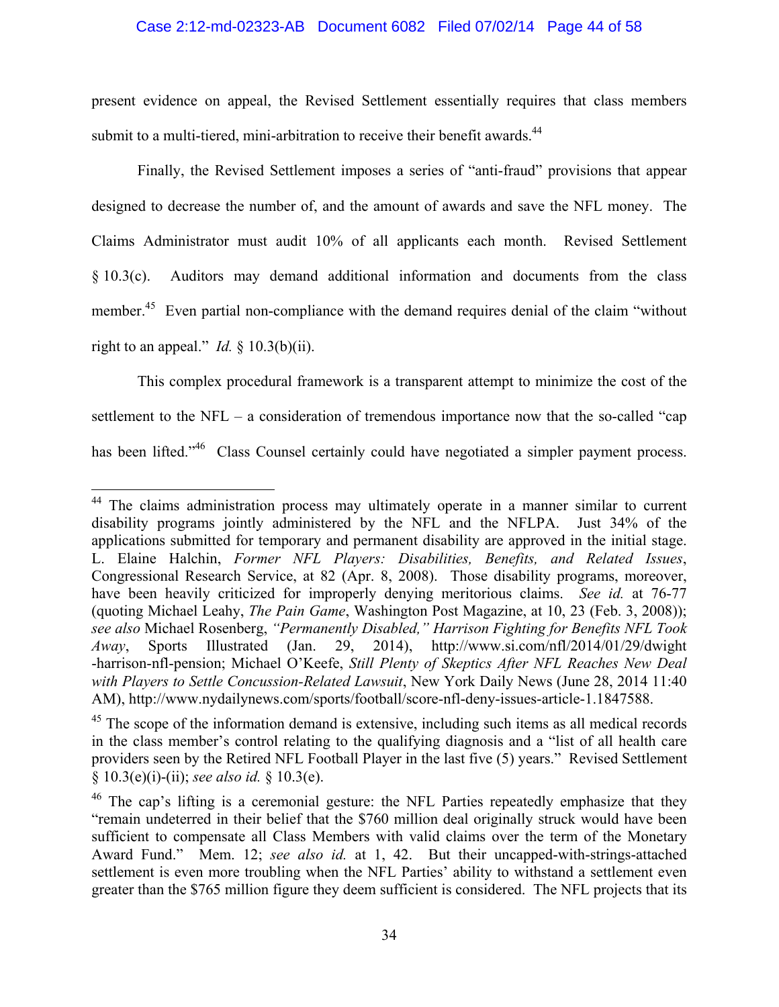### Case 2:12-md-02323-AB Document 6082 Filed 07/02/14 Page 44 of 58

present evidence on appeal, the Revised Settlement essentially requires that class members submit to a multi-tiered, mini-arbitration to receive their benefit awards.<sup>44</sup>

Finally, the Revised Settlement imposes a series of "anti-fraud" provisions that appear designed to decrease the number of, and the amount of awards and save the NFL money. The Claims Administrator must audit 10% of all applicants each month. Revised Settlement § 10.3(c). Auditors may demand additional information and documents from the class member.<sup>45</sup> Even partial non-compliance with the demand requires denial of the claim "without right to an appeal." *Id.*  $\frac{1}{2}$  10.3(b)(ii).

This complex procedural framework is a transparent attempt to minimize the cost of the settlement to the NFL – a consideration of tremendous importance now that the so-called "cap has been lifted."<sup>46</sup> Class Counsel certainly could have negotiated a simpler payment process.

1

<sup>&</sup>lt;sup>44</sup> The claims administration process may ultimately operate in a manner similar to current disability programs jointly administered by the NFL and the NFLPA. Just 34% of the applications submitted for temporary and permanent disability are approved in the initial stage. L. Elaine Halchin, *Former NFL Players: Disabilities, Benefits, and Related Issues*, Congressional Research Service, at 82 (Apr. 8, 2008). Those disability programs, moreover, have been heavily criticized for improperly denying meritorious claims. *See id.* at 76-77 (quoting Michael Leahy, *The Pain Game*, Washington Post Magazine, at 10, 23 (Feb. 3, 2008)); *see also* Michael Rosenberg, *"Permanently Disabled," Harrison Fighting for Benefits NFL Took Away*, Sports Illustrated (Jan. 29, 2014), http://www.si.com/nfl/2014/01/29/dwight -harrison-nfl-pension; Michael O'Keefe, *Still Plenty of Skeptics After NFL Reaches New Deal with Players to Settle Concussion-Related Lawsuit*, New York Daily News (June 28, 2014 11:40 AM), http://www.nydailynews.com/sports/football/score-nfl-deny-issues-article-1.1847588.

 $45$  The scope of the information demand is extensive, including such items as all medical records in the class member's control relating to the qualifying diagnosis and a "list of all health care providers seen by the Retired NFL Football Player in the last five (5) years." Revised Settlement § 10.3(e)(i)-(ii); *see also id.* § 10.3(e).

<sup>&</sup>lt;sup>46</sup> The cap's lifting is a ceremonial gesture: the NFL Parties repeatedly emphasize that they "remain undeterred in their belief that the \$760 million deal originally struck would have been sufficient to compensate all Class Members with valid claims over the term of the Monetary Award Fund." Mem. 12; *see also id.* at 1, 42. But their uncapped-with-strings-attached settlement is even more troubling when the NFL Parties' ability to withstand a settlement even greater than the \$765 million figure they deem sufficient is considered. The NFL projects that its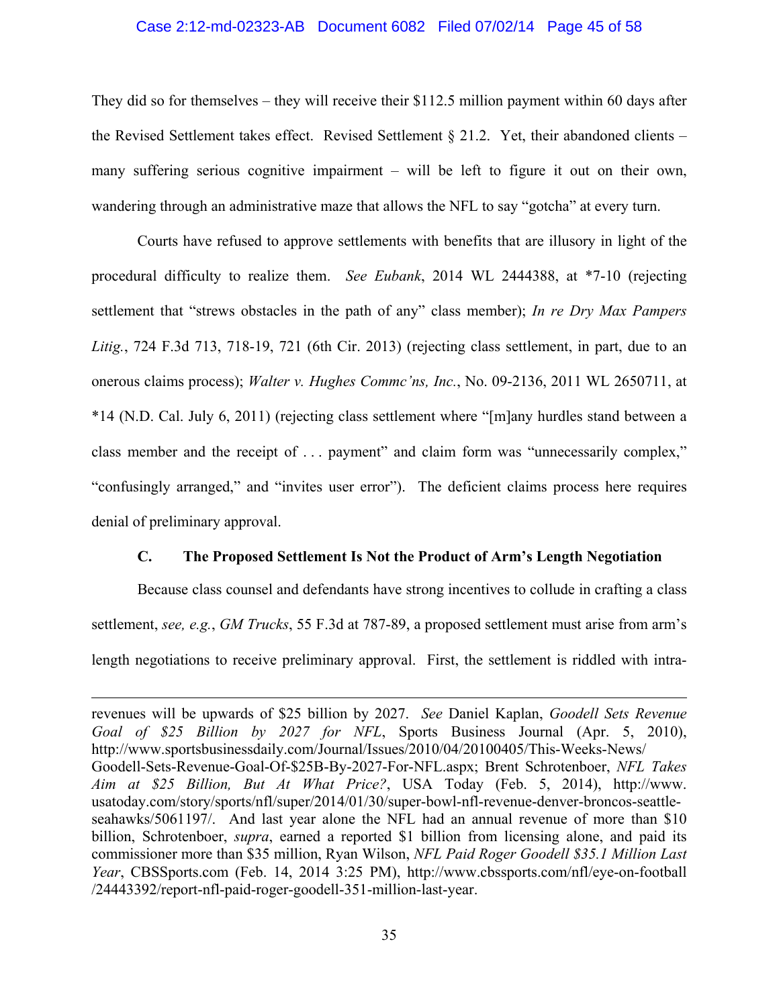#### Case 2:12-md-02323-AB Document 6082 Filed 07/02/14 Page 45 of 58

They did so for themselves – they will receive their \$112.5 million payment within 60 days after the Revised Settlement takes effect. Revised Settlement § 21.2. Yet, their abandoned clients – many suffering serious cognitive impairment – will be left to figure it out on their own, wandering through an administrative maze that allows the NFL to say "gotcha" at every turn.

Courts have refused to approve settlements with benefits that are illusory in light of the procedural difficulty to realize them. *See Eubank*, 2014 WL 2444388, at \*7-10 (rejecting settlement that "strews obstacles in the path of any" class member); *In re Dry Max Pampers Litig.*, 724 F.3d 713, 718-19, 721 (6th Cir. 2013) (rejecting class settlement, in part, due to an onerous claims process); *Walter v. Hughes Commc'ns, Inc.*, No. 09-2136, 2011 WL 2650711, at \*14 (N.D. Cal. July 6, 2011) (rejecting class settlement where "[m]any hurdles stand between a class member and the receipt of . . . payment" and claim form was "unnecessarily complex," "confusingly arranged," and "invites user error"). The deficient claims process here requires denial of preliminary approval.

## **C. The Proposed Settlement Is Not the Product of Arm's Length Negotiation**

Because class counsel and defendants have strong incentives to collude in crafting a class settlement, *see, e.g.*, *GM Trucks*, 55 F.3d at 787-89, a proposed settlement must arise from arm's length negotiations to receive preliminary approval. First, the settlement is riddled with intra-

1

revenues will be upwards of \$25 billion by 2027. *See* Daniel Kaplan, *Goodell Sets Revenue Goal of \$25 Billion by 2027 for NFL*, Sports Business Journal (Apr. 5, 2010), http://www.sportsbusinessdaily.com/Journal/Issues/2010/04/20100405/This-Weeks-News/ Goodell-Sets-Revenue-Goal-Of-\$25B-By-2027-For-NFL.aspx; Brent Schrotenboer, *NFL Takes Aim at \$25 Billion, But At What Price?*, USA Today (Feb. 5, 2014), http://www. usatoday.com/story/sports/nfl/super/2014/01/30/super-bowl-nfl-revenue-denver-broncos-seattleseahawks/5061197/. And last year alone the NFL had an annual revenue of more than \$10 billion, Schrotenboer, *supra*, earned a reported \$1 billion from licensing alone, and paid its commissioner more than \$35 million, Ryan Wilson, *NFL Paid Roger Goodell \$35.1 Million Last Year*, CBSSports.com (Feb. 14, 2014 3:25 PM), http://www.cbssports.com/nfl/eye-on-football /24443392/report-nfl-paid-roger-goodell-351-million-last-year.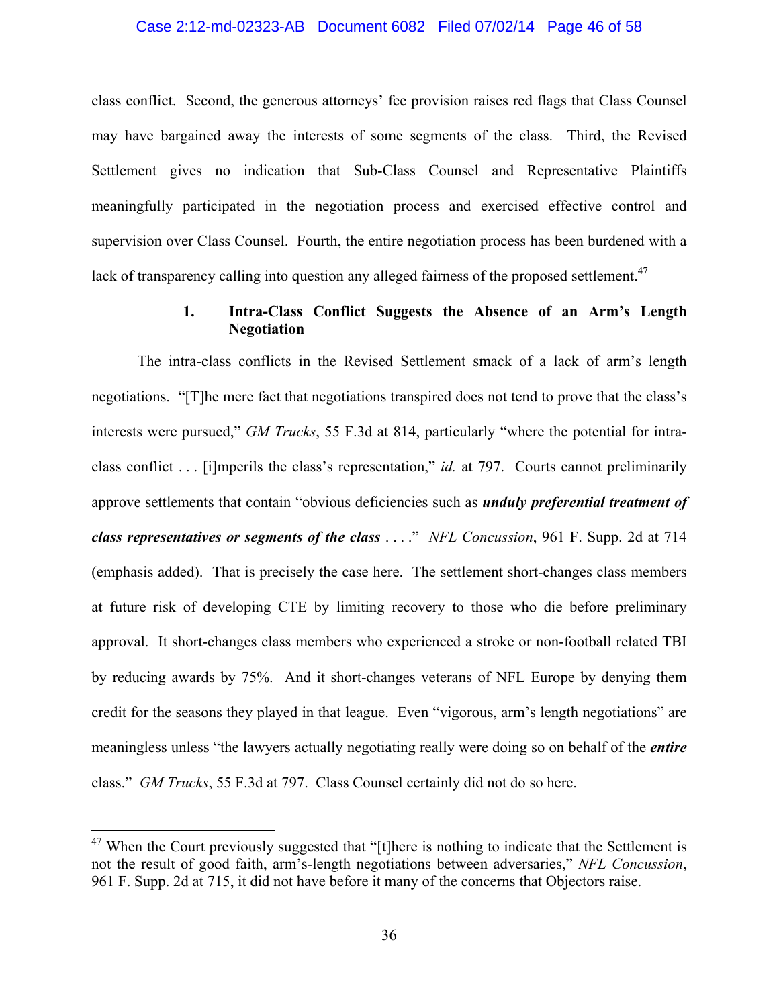#### Case 2:12-md-02323-AB Document 6082 Filed 07/02/14 Page 46 of 58

class conflict. Second, the generous attorneys' fee provision raises red flags that Class Counsel may have bargained away the interests of some segments of the class. Third, the Revised Settlement gives no indication that Sub-Class Counsel and Representative Plaintiffs meaningfully participated in the negotiation process and exercised effective control and supervision over Class Counsel. Fourth, the entire negotiation process has been burdened with a lack of transparency calling into question any alleged fairness of the proposed settlement.<sup>47</sup>

## **1. Intra-Class Conflict Suggests the Absence of an Arm's Length Negotiation**

The intra-class conflicts in the Revised Settlement smack of a lack of arm's length negotiations. "[T]he mere fact that negotiations transpired does not tend to prove that the class's interests were pursued," *GM Trucks*, 55 F.3d at 814, particularly "where the potential for intraclass conflict . . . [i]mperils the class's representation," *id.* at 797. Courts cannot preliminarily approve settlements that contain "obvious deficiencies such as *unduly preferential treatment of class representatives or segments of the class* . . . ." *NFL Concussion*, 961 F. Supp. 2d at 714 (emphasis added). That is precisely the case here. The settlement short-changes class members at future risk of developing CTE by limiting recovery to those who die before preliminary approval. It short-changes class members who experienced a stroke or non-football related TBI by reducing awards by 75%. And it short-changes veterans of NFL Europe by denying them credit for the seasons they played in that league. Even "vigorous, arm's length negotiations" are meaningless unless "the lawyers actually negotiating really were doing so on behalf of the *entire*  class." *GM Trucks*, 55 F.3d at 797. Class Counsel certainly did not do so here.

<sup>&</sup>lt;sup>47</sup> When the Court previously suggested that "[t]here is nothing to indicate that the Settlement is not the result of good faith, arm's-length negotiations between adversaries," *NFL Concussion*, 961 F. Supp. 2d at 715, it did not have before it many of the concerns that Objectors raise.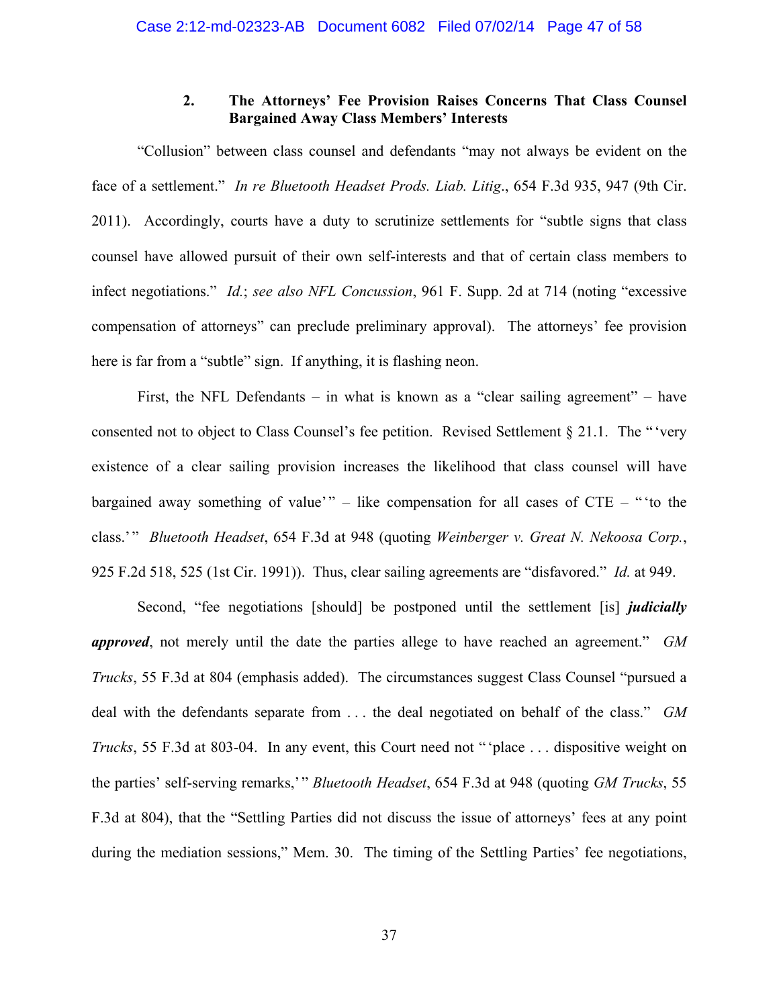## **2. The Attorneys' Fee Provision Raises Concerns That Class Counsel Bargained Away Class Members' Interests**

"Collusion" between class counsel and defendants "may not always be evident on the face of a settlement." *In re Bluetooth Headset Prods. Liab. Litig*., 654 F.3d 935, 947 (9th Cir. 2011). Accordingly, courts have a duty to scrutinize settlements for "subtle signs that class counsel have allowed pursuit of their own self-interests and that of certain class members to infect negotiations." *Id.*; *see also NFL Concussion*, 961 F. Supp. 2d at 714 (noting "excessive compensation of attorneys" can preclude preliminary approval). The attorneys' fee provision here is far from a "subtle" sign. If anything, it is flashing neon.

First, the NFL Defendants – in what is known as a "clear sailing agreement" – have consented not to object to Class Counsel's fee petition. Revised Settlement § 21.1. The " 'very existence of a clear sailing provision increases the likelihood that class counsel will have bargained away something of value'" – like compensation for all cases of  $CTE -$  "to the class.' " *Bluetooth Headset*, 654 F.3d at 948 (quoting *Weinberger v. Great N. Nekoosa Corp.*, 925 F.2d 518, 525 (1st Cir. 1991)). Thus, clear sailing agreements are "disfavored." *Id.* at 949.

Second, "fee negotiations [should] be postponed until the settlement [is] *judicially approved*, not merely until the date the parties allege to have reached an agreement." *GM Trucks*, 55 F.3d at 804 (emphasis added). The circumstances suggest Class Counsel "pursued a deal with the defendants separate from . . . the deal negotiated on behalf of the class." *GM Trucks*, 55 F.3d at 803-04. In any event, this Court need not "place ... dispositive weight on the parties' self-serving remarks,' " *Bluetooth Headset*, 654 F.3d at 948 (quoting *GM Trucks*, 55 F.3d at 804), that the "Settling Parties did not discuss the issue of attorneys' fees at any point during the mediation sessions," Mem. 30. The timing of the Settling Parties' fee negotiations,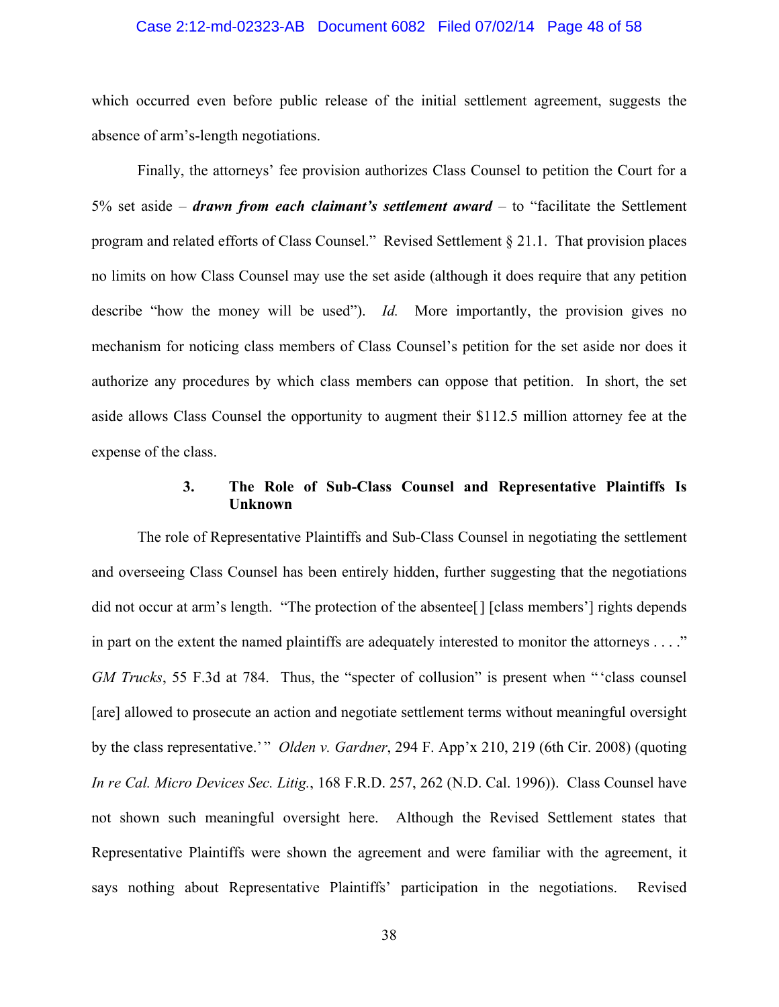#### Case 2:12-md-02323-AB Document 6082 Filed 07/02/14 Page 48 of 58

which occurred even before public release of the initial settlement agreement, suggests the absence of arm's-length negotiations.

Finally, the attorneys' fee provision authorizes Class Counsel to petition the Court for a 5% set aside – *drawn from each claimant's settlement award* – to "facilitate the Settlement program and related efforts of Class Counsel." Revised Settlement § 21.1. That provision places no limits on how Class Counsel may use the set aside (although it does require that any petition describe "how the money will be used"). *Id.* More importantly, the provision gives no mechanism for noticing class members of Class Counsel's petition for the set aside nor does it authorize any procedures by which class members can oppose that petition. In short, the set aside allows Class Counsel the opportunity to augment their \$112.5 million attorney fee at the expense of the class.

### **3. The Role of Sub-Class Counsel and Representative Plaintiffs Is Unknown**

The role of Representative Plaintiffs and Sub-Class Counsel in negotiating the settlement and overseeing Class Counsel has been entirely hidden, further suggesting that the negotiations did not occur at arm's length. "The protection of the absentee[] [class members'] rights depends in part on the extent the named plaintiffs are adequately interested to monitor the attorneys . . . ." *GM Trucks*, 55 F.3d at 784. Thus, the "specter of collusion" is present when "'class counsel [are] allowed to prosecute an action and negotiate settlement terms without meaningful oversight by the class representative.'" *Olden v. Gardner*, 294 F. App'x 210, 219 (6th Cir. 2008) (quoting *In re Cal. Micro Devices Sec. Litig.*, 168 F.R.D. 257, 262 (N.D. Cal. 1996)). Class Counsel have not shown such meaningful oversight here. Although the Revised Settlement states that Representative Plaintiffs were shown the agreement and were familiar with the agreement, it says nothing about Representative Plaintiffs' participation in the negotiations. Revised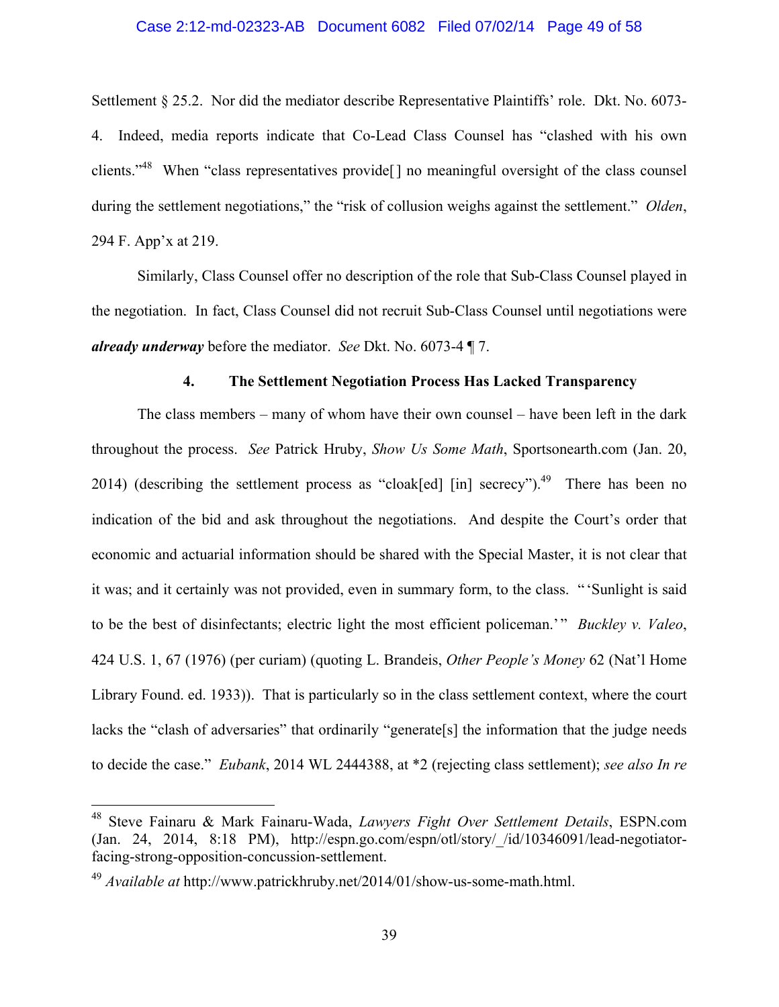#### Case 2:12-md-02323-AB Document 6082 Filed 07/02/14 Page 49 of 58

Settlement § 25.2. Nor did the mediator describe Representative Plaintiffs' role. Dkt. No. 6073- 4. Indeed, media reports indicate that Co-Lead Class Counsel has "clashed with his own clients."48 When "class representatives provide[] no meaningful oversight of the class counsel during the settlement negotiations," the "risk of collusion weighs against the settlement." *Olden*, 294 F. App'x at 219.

Similarly, Class Counsel offer no description of the role that Sub-Class Counsel played in the negotiation. In fact, Class Counsel did not recruit Sub-Class Counsel until negotiations were *already underway* before the mediator. *See* Dkt. No. 6073-4 ¶ 7.

### **4. The Settlement Negotiation Process Has Lacked Transparency**

The class members – many of whom have their own counsel – have been left in the dark throughout the process. *See* Patrick Hruby, *Show Us Some Math*, Sportsonearth.com (Jan. 20, 2014) (describing the settlement process as "cloak[ed] [in] secrecy").<sup>49</sup> There has been no indication of the bid and ask throughout the negotiations. And despite the Court's order that economic and actuarial information should be shared with the Special Master, it is not clear that it was; and it certainly was not provided, even in summary form, to the class. "'Sunlight is said to be the best of disinfectants; electric light the most efficient policeman.'" *Buckley v. Valeo*, 424 U.S. 1, 67 (1976) (per curiam) (quoting L. Brandeis, *Other People's Money* 62 (Nat'l Home Library Found. ed. 1933)). That is particularly so in the class settlement context, where the court lacks the "clash of adversaries" that ordinarily "generate[s] the information that the judge needs to decide the case." *Eubank*, 2014 WL 2444388, at \*2 (rejecting class settlement); *see also In re* 

<sup>48</sup> Steve Fainaru & Mark Fainaru-Wada, *Lawyers Fight Over Settlement Details*, ESPN.com (Jan. 24, 2014, 8:18 PM), http://espn.go.com/espn/otl/story/\_/id/10346091/lead-negotiatorfacing-strong-opposition-concussion-settlement.

<sup>49</sup> *Available at* http://www.patrickhruby.net/2014/01/show-us-some-math.html.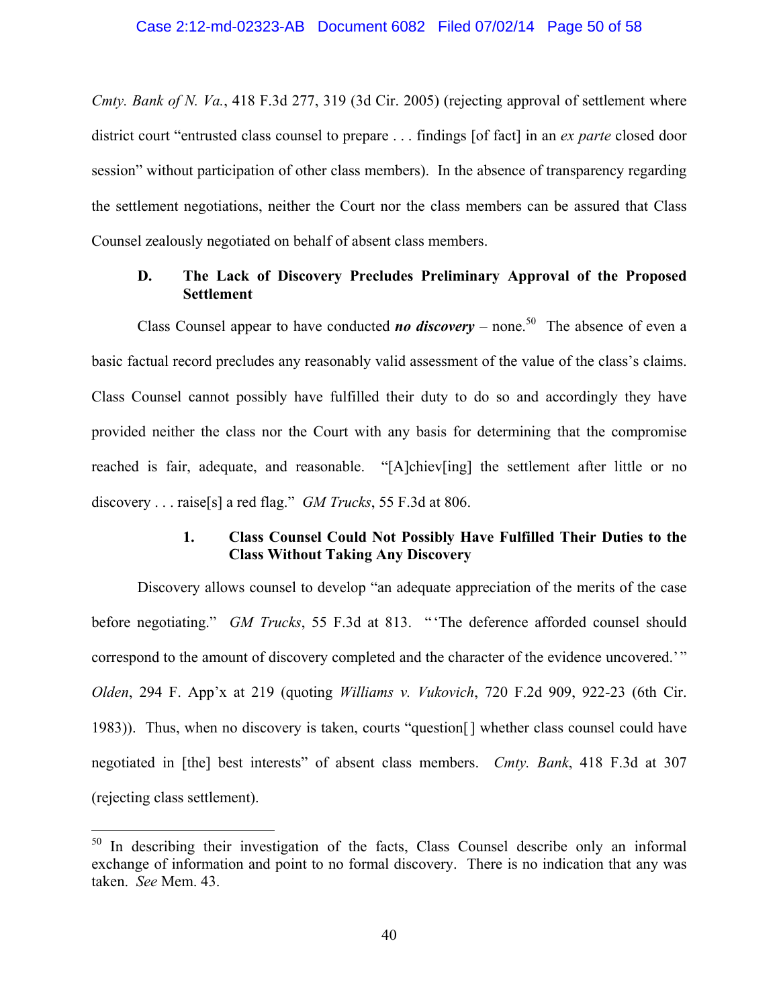*Cmty. Bank of N. Va.*, 418 F.3d 277, 319 (3d Cir. 2005) (rejecting approval of settlement where district court "entrusted class counsel to prepare . . . findings [of fact] in an *ex parte* closed door session" without participation of other class members). In the absence of transparency regarding the settlement negotiations, neither the Court nor the class members can be assured that Class Counsel zealously negotiated on behalf of absent class members.

## **D. The Lack of Discovery Precludes Preliminary Approval of the Proposed Settlement**

Class Counsel appear to have conducted *no discovery* – none.<sup>50</sup> The absence of even a basic factual record precludes any reasonably valid assessment of the value of the class's claims. Class Counsel cannot possibly have fulfilled their duty to do so and accordingly they have provided neither the class nor the Court with any basis for determining that the compromise reached is fair, adequate, and reasonable. "[A]chiev[ing] the settlement after little or no discovery . . . raise[s] a red flag." *GM Trucks*, 55 F.3d at 806.

## **1. Class Counsel Could Not Possibly Have Fulfilled Their Duties to the Class Without Taking Any Discovery**

Discovery allows counsel to develop "an adequate appreciation of the merits of the case before negotiating." *GM Trucks*, 55 F.3d at 813. " 'The deference afforded counsel should correspond to the amount of discovery completed and the character of the evidence uncovered.'" *Olden*, 294 F. App'x at 219 (quoting *Williams v. Vukovich*, 720 F.2d 909, 922-23 (6th Cir. 1983)). Thus, when no discovery is taken, courts "question[] whether class counsel could have negotiated in [the] best interests" of absent class members. *Cmty. Bank*, 418 F.3d at 307 (rejecting class settlement).

<sup>&</sup>lt;sup>50</sup> In describing their investigation of the facts, Class Counsel describe only an informal exchange of information and point to no formal discovery. There is no indication that any was taken. *See* Mem. 43.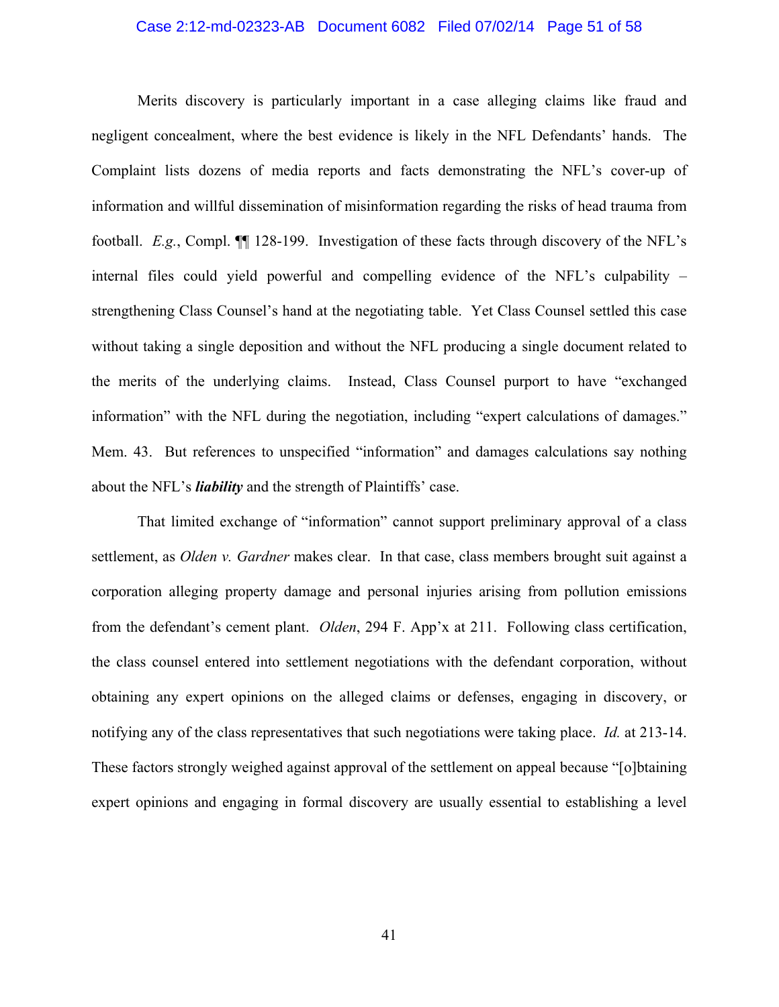#### Case 2:12-md-02323-AB Document 6082 Filed 07/02/14 Page 51 of 58

Merits discovery is particularly important in a case alleging claims like fraud and negligent concealment, where the best evidence is likely in the NFL Defendants' hands. The Complaint lists dozens of media reports and facts demonstrating the NFL's cover-up of information and willful dissemination of misinformation regarding the risks of head trauma from football. *E.g.*, Compl. ¶¶ 128-199. Investigation of these facts through discovery of the NFL's internal files could yield powerful and compelling evidence of the NFL's culpability – strengthening Class Counsel's hand at the negotiating table. Yet Class Counsel settled this case without taking a single deposition and without the NFL producing a single document related to the merits of the underlying claims. Instead, Class Counsel purport to have "exchanged information" with the NFL during the negotiation, including "expert calculations of damages." Mem. 43. But references to unspecified "information" and damages calculations say nothing about the NFL's *liability* and the strength of Plaintiffs' case.

That limited exchange of "information" cannot support preliminary approval of a class settlement, as *Olden v. Gardner* makes clear. In that case, class members brought suit against a corporation alleging property damage and personal injuries arising from pollution emissions from the defendant's cement plant. *Olden*, 294 F. App'x at 211. Following class certification, the class counsel entered into settlement negotiations with the defendant corporation, without obtaining any expert opinions on the alleged claims or defenses, engaging in discovery, or notifying any of the class representatives that such negotiations were taking place. *Id.* at 213-14. These factors strongly weighed against approval of the settlement on appeal because "[o]btaining expert opinions and engaging in formal discovery are usually essential to establishing a level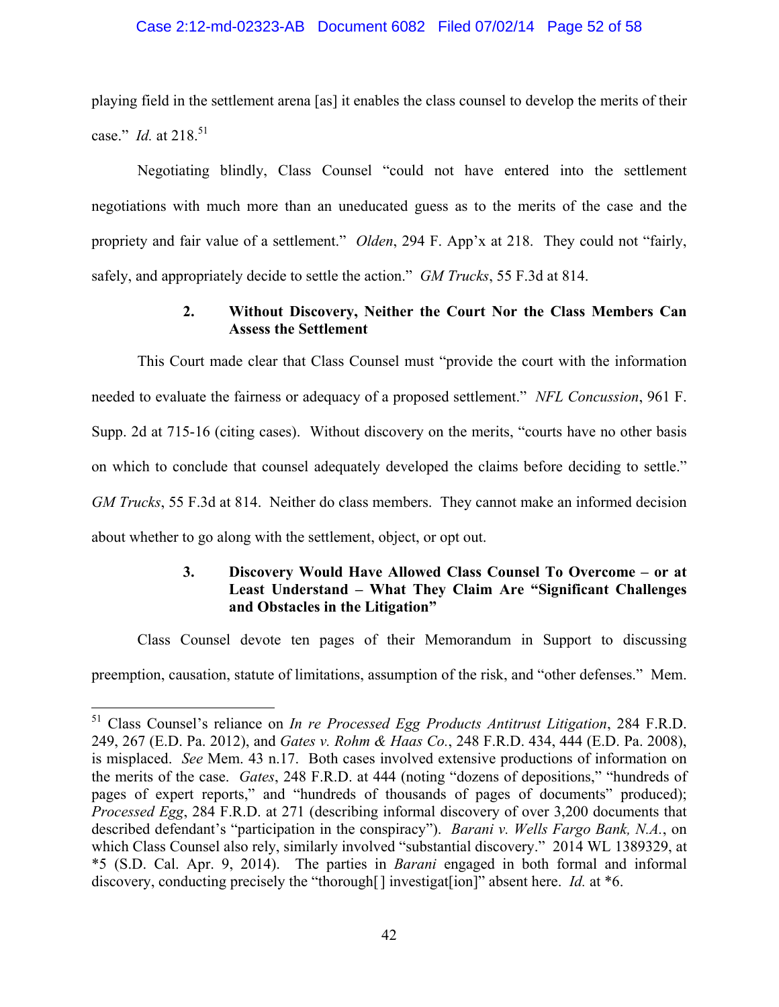## Case 2:12-md-02323-AB Document 6082 Filed 07/02/14 Page 52 of 58

playing field in the settlement arena [as] it enables the class counsel to develop the merits of their case." *Id.* at 218.<sup>51</sup>

Negotiating blindly, Class Counsel "could not have entered into the settlement negotiations with much more than an uneducated guess as to the merits of the case and the propriety and fair value of a settlement." *Olden*, 294 F. App'x at 218. They could not "fairly, safely, and appropriately decide to settle the action." *GM Trucks*, 55 F.3d at 814.

# **2. Without Discovery, Neither the Court Nor the Class Members Can Assess the Settlement**

This Court made clear that Class Counsel must "provide the court with the information needed to evaluate the fairness or adequacy of a proposed settlement." *NFL Concussion*, 961 F. Supp. 2d at 715-16 (citing cases). Without discovery on the merits, "courts have no other basis on which to conclude that counsel adequately developed the claims before deciding to settle." *GM Trucks*, 55 F.3d at 814. Neither do class members. They cannot make an informed decision about whether to go along with the settlement, object, or opt out.

# **3. Discovery Would Have Allowed Class Counsel To Overcome – or at Least Understand – What They Claim Are "Significant Challenges and Obstacles in the Litigation"**

Class Counsel devote ten pages of their Memorandum in Support to discussing preemption, causation, statute of limitations, assumption of the risk, and "other defenses." Mem.

<sup>51</sup> Class Counsel's reliance on *In re Processed Egg Products Antitrust Litigation*, 284 F.R.D. 249, 267 (E.D. Pa. 2012), and *Gates v. Rohm & Haas Co.*, 248 F.R.D. 434, 444 (E.D. Pa. 2008), is misplaced. *See* Mem. 43 n.17. Both cases involved extensive productions of information on the merits of the case. *Gates*, 248 F.R.D. at 444 (noting "dozens of depositions," "hundreds of pages of expert reports," and "hundreds of thousands of pages of documents" produced); *Processed Egg*, 284 F.R.D. at 271 (describing informal discovery of over 3,200 documents that described defendant's "participation in the conspiracy"). *Barani v. Wells Fargo Bank, N.A.*, on which Class Counsel also rely, similarly involved "substantial discovery." 2014 WL 1389329, at \*5 (S.D. Cal. Apr. 9, 2014). The parties in *Barani* engaged in both formal and informal discovery, conducting precisely the "thorough[] investigat[ion]" absent here. *Id.* at \*6.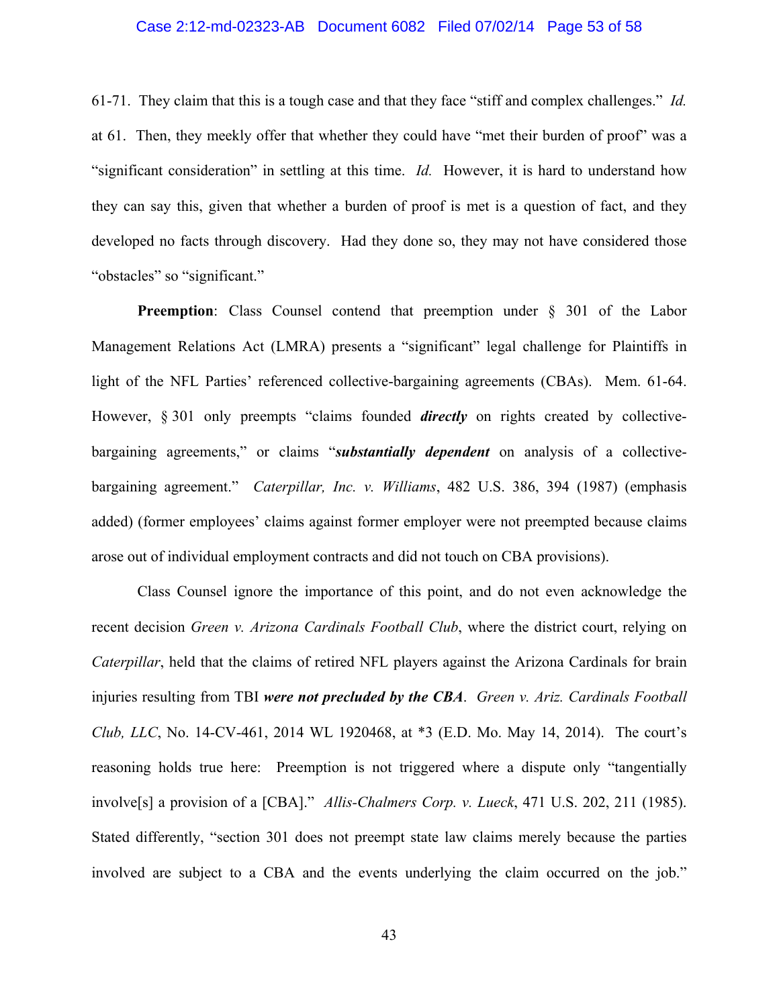#### Case 2:12-md-02323-AB Document 6082 Filed 07/02/14 Page 53 of 58

61-71. They claim that this is a tough case and that they face "stiff and complex challenges." *Id.* at 61. Then, they meekly offer that whether they could have "met their burden of proof" was a "significant consideration" in settling at this time. *Id.* However, it is hard to understand how they can say this, given that whether a burden of proof is met is a question of fact, and they developed no facts through discovery. Had they done so, they may not have considered those "obstacles" so "significant."

**Preemption**: Class Counsel contend that preemption under § 301 of the Labor Management Relations Act (LMRA) presents a "significant" legal challenge for Plaintiffs in light of the NFL Parties' referenced collective-bargaining agreements (CBAs). Mem. 61-64. However, § 301 only preempts "claims founded *directly* on rights created by collectivebargaining agreements," or claims "*substantially dependent* on analysis of a collectivebargaining agreement." *Caterpillar, Inc. v. Williams*, 482 U.S. 386, 394 (1987) (emphasis added) (former employees' claims against former employer were not preempted because claims arose out of individual employment contracts and did not touch on CBA provisions).

Class Counsel ignore the importance of this point, and do not even acknowledge the recent decision *Green v. Arizona Cardinals Football Club*, where the district court, relying on *Caterpillar*, held that the claims of retired NFL players against the Arizona Cardinals for brain injuries resulting from TBI *were not precluded by the CBA*. *Green v. Ariz. Cardinals Football Club, LLC*, No. 14-CV-461, 2014 WL 1920468, at \*3 (E.D. Mo. May 14, 2014). The court's reasoning holds true here: Preemption is not triggered where a dispute only "tangentially involve[s] a provision of a [CBA]." *Allis-Chalmers Corp. v. Lueck*, 471 U.S. 202, 211 (1985). Stated differently, "section 301 does not preempt state law claims merely because the parties involved are subject to a CBA and the events underlying the claim occurred on the job."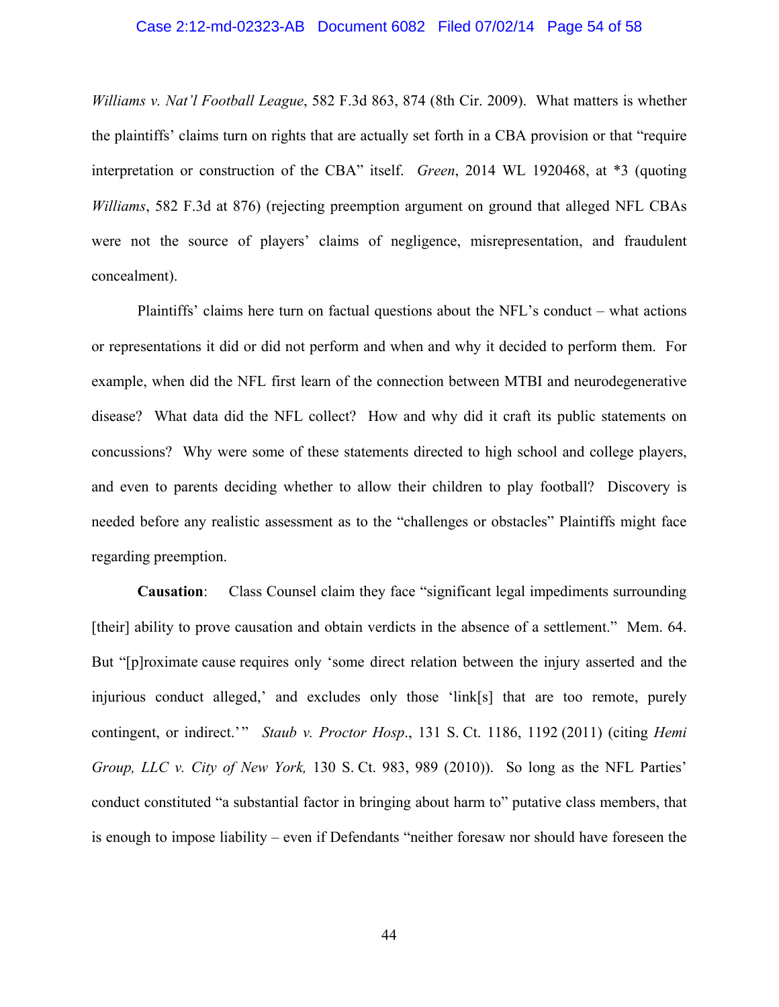#### Case 2:12-md-02323-AB Document 6082 Filed 07/02/14 Page 54 of 58

*Williams v. Nat'l Football League*, 582 F.3d 863, 874 (8th Cir. 2009). What matters is whether the plaintiffs' claims turn on rights that are actually set forth in a CBA provision or that "require interpretation or construction of the CBA" itself. *Green*, 2014 WL 1920468, at \*3 (quoting *Williams*, 582 F.3d at 876) (rejecting preemption argument on ground that alleged NFL CBAs were not the source of players' claims of negligence, misrepresentation, and fraudulent concealment).

Plaintiffs' claims here turn on factual questions about the NFL's conduct – what actions or representations it did or did not perform and when and why it decided to perform them. For example, when did the NFL first learn of the connection between MTBI and neurodegenerative disease? What data did the NFL collect? How and why did it craft its public statements on concussions? Why were some of these statements directed to high school and college players, and even to parents deciding whether to allow their children to play football? Discovery is needed before any realistic assessment as to the "challenges or obstacles" Plaintiffs might face regarding preemption.

**Causation**: Class Counsel claim they face "significant legal impediments surrounding [their] ability to prove causation and obtain verdicts in the absence of a settlement." Mem. 64. But "[p]roximate cause requires only 'some direct relation between the injury asserted and the injurious conduct alleged,' and excludes only those 'link[s] that are too remote, purely contingent, or indirect.'" *Staub v. Proctor Hosp*., 131 S. Ct. 1186, 1192 (2011) (citing *Hemi Group, LLC v. City of New York,* 130 S. Ct. 983, 989 (2010)). So long as the NFL Parties' conduct constituted "a substantial factor in bringing about harm to" putative class members, that is enough to impose liability – even if Defendants "neither foresaw nor should have foreseen the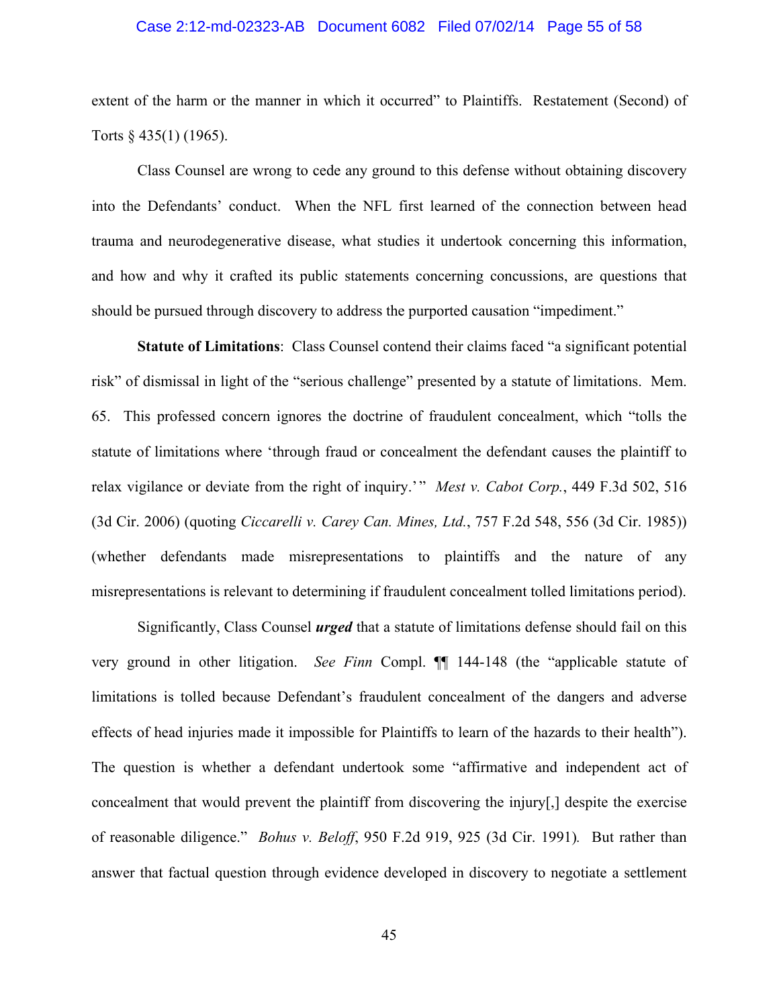#### Case 2:12-md-02323-AB Document 6082 Filed 07/02/14 Page 55 of 58

extent of the harm or the manner in which it occurred" to Plaintiffs. Restatement (Second) of Torts § 435(1) (1965).

Class Counsel are wrong to cede any ground to this defense without obtaining discovery into the Defendants' conduct. When the NFL first learned of the connection between head trauma and neurodegenerative disease, what studies it undertook concerning this information, and how and why it crafted its public statements concerning concussions, are questions that should be pursued through discovery to address the purported causation "impediment."

**Statute of Limitations**: Class Counsel contend their claims faced "a significant potential risk" of dismissal in light of the "serious challenge" presented by a statute of limitations. Mem. 65. This professed concern ignores the doctrine of fraudulent concealment, which "tolls the statute of limitations where 'through fraud or concealment the defendant causes the plaintiff to relax vigilance or deviate from the right of inquiry.'" *Mest v. Cabot Corp.*, 449 F.3d 502, 516 (3d Cir. 2006) (quoting *Ciccarelli v. Carey Can. Mines, Ltd.*, 757 F.2d 548, 556 (3d Cir. 1985)) (whether defendants made misrepresentations to plaintiffs and the nature of any misrepresentations is relevant to determining if fraudulent concealment tolled limitations period).

Significantly, Class Counsel *urged* that a statute of limitations defense should fail on this very ground in other litigation. *See Finn* Compl. ¶¶ 144-148 (the "applicable statute of limitations is tolled because Defendant's fraudulent concealment of the dangers and adverse effects of head injuries made it impossible for Plaintiffs to learn of the hazards to their health"). The question is whether a defendant undertook some "affirmative and independent act of concealment that would prevent the plaintiff from discovering the injury[,] despite the exercise of reasonable diligence." *Bohus v. Beloff*, 950 F.2d 919, 925 (3d Cir. 1991)*.* But rather than answer that factual question through evidence developed in discovery to negotiate a settlement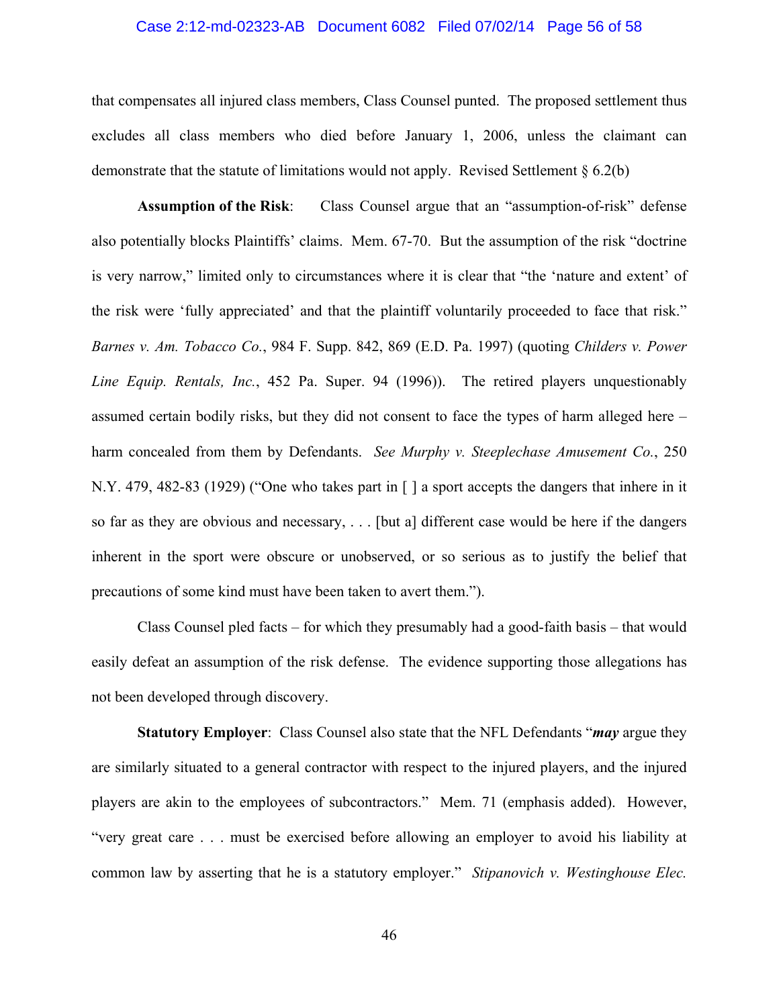#### Case 2:12-md-02323-AB Document 6082 Filed 07/02/14 Page 56 of 58

that compensates all injured class members, Class Counsel punted. The proposed settlement thus excludes all class members who died before January 1, 2006, unless the claimant can demonstrate that the statute of limitations would not apply. Revised Settlement  $\S 6.2(b)$ 

**Assumption of the Risk**: Class Counsel argue that an "assumption-of-risk" defense also potentially blocks Plaintiffs' claims. Mem. 67-70. But the assumption of the risk "doctrine is very narrow," limited only to circumstances where it is clear that "the 'nature and extent' of the risk were 'fully appreciated' and that the plaintiff voluntarily proceeded to face that risk." *Barnes v. Am. Tobacco Co.*, 984 F. Supp. 842, 869 (E.D. Pa. 1997) (quoting *Childers v. Power Line Equip. Rentals, Inc.*, 452 Pa. Super. 94 (1996)). The retired players unquestionably assumed certain bodily risks, but they did not consent to face the types of harm alleged here – harm concealed from them by Defendants. *See Murphy v. Steeplechase Amusement Co.*, 250 N.Y. 479, 482-83 (1929) ("One who takes part in [ ] a sport accepts the dangers that inhere in it so far as they are obvious and necessary, . . . [but a] different case would be here if the dangers inherent in the sport were obscure or unobserved, or so serious as to justify the belief that precautions of some kind must have been taken to avert them.").

Class Counsel pled facts – for which they presumably had a good-faith basis – that would easily defeat an assumption of the risk defense. The evidence supporting those allegations has not been developed through discovery.

**Statutory Employer**: Class Counsel also state that the NFL Defendants "*may* argue they are similarly situated to a general contractor with respect to the injured players, and the injured players are akin to the employees of subcontractors." Mem. 71 (emphasis added). However, "very great care . . . must be exercised before allowing an employer to avoid his liability at common law by asserting that he is a statutory employer." *Stipanovich v. Westinghouse Elec.* 

46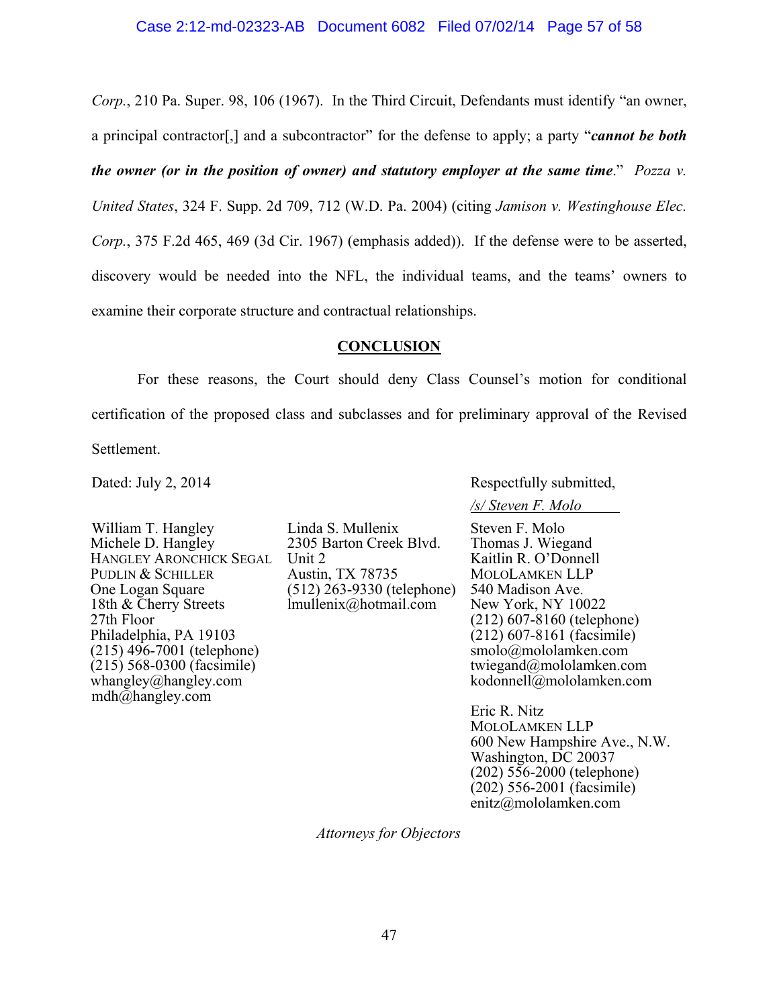*Corp.*, 210 Pa. Super. 98, 106 (1967). In the Third Circuit, Defendants must identify "an owner, a principal contractor[,] and a subcontractor" for the defense to apply; a party "*cannot be both the owner (or in the position of owner) and statutory employer at the same time*." *Pozza v. United States*, 324 F. Supp. 2d 709, 712 (W.D. Pa. 2004) (citing *Jamison v. Westinghouse Elec. Corp.*, 375 F.2d 465, 469 (3d Cir. 1967) (emphasis added)). If the defense were to be asserted, discovery would be needed into the NFL, the individual teams, and the teams' owners to examine their corporate structure and contractual relationships.

## **CONCLUSION**

For these reasons, the Court should deny Class Counsel's motion for conditional certification of the proposed class and subclasses and for preliminary approval of the Revised Settlement.

Dated: July 2, 2014

William T. Hangley Michele D. Hangley HANGLEY ARONCHICK SEGAL Unit 2 PUDLIN & SCHILLER One Logan Square 18th & Cherry Streets 27th Floor Philadelphia, PA 19103 (215) 496-7001 (telephone) (215) 568-0300 (facsimile) whangley@hangley.com mdh@hangley.com

Linda S. Mullenix 2305 Barton Creek Blvd. Austin, TX 78735 (512) 263-9330 (telephone) lmullenix@hotmail.com

Respectfully submitted,

*/s/ Steven F. Molo* 

Steven F. Molo Thomas J. Wiegand Kaitlin R. O'Donnell MOLOLAMKEN LLP 540 Madison Ave. New York, NY 10022 (212) 607-8160 (telephone) (212) 607-8161 (facsimile) smolo@mololamken.com twiegand@mololamken.com kodonnell@mololamken.com

Eric R. Nitz MOLOLAMKEN LLP 600 New Hampshire Ave., N.W. Washington, DC 20037 (202) 556-2000 (telephone) (202) 556-2001 (facsimile) enitz@mololamken.com

*Attorneys for Objectors*